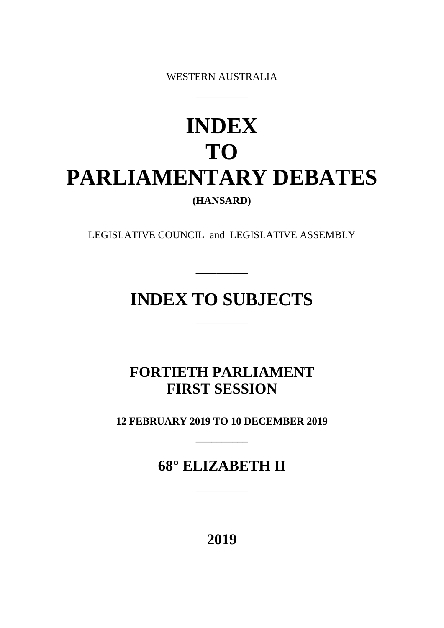WESTERN AUSTRALIA

\_\_\_\_\_\_\_\_\_\_

# **INDEX TO PARLIAMENTARY DEBATES (HANSARD)**

LEGISLATIVE COUNCIL and LEGISLATIVE ASSEMBLY

## **INDEX TO SUBJECTS**

 $\overline{\phantom{a}}$  , we can also the set of  $\overline{\phantom{a}}$ 

 $\overline{\phantom{a}}$ 

## **FORTIETH PARLIAMENT FIRST SESSION**

**12 FEBRUARY 2019 TO 10 DECEMBER 2019**

\_\_\_\_\_\_\_\_\_\_

**68° ELIZABETH II**

\_\_\_\_\_\_\_\_\_\_

**2019**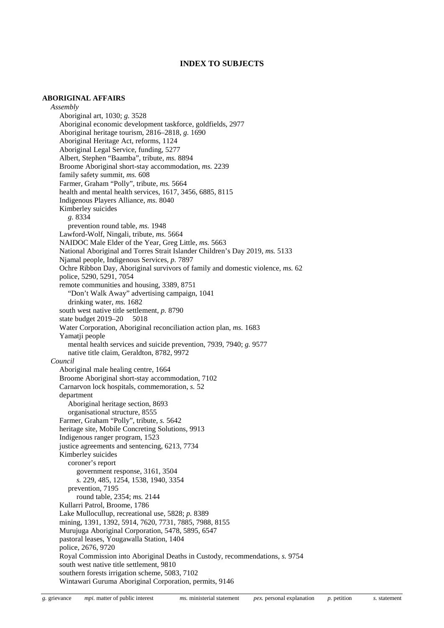#### **INDEX TO SUBJECTS**

#### **ABORIGINAL AFFAIRS**

*Assembly* Aboriginal art, 1030; *g.* 3528 Aboriginal economic development taskforce, goldfields, 2977 Aboriginal heritage tourism, 2816–2818, *g.* 1690 Aboriginal Heritage Act, reforms, 1124 Aboriginal Legal Service, funding, 5277 Albert, Stephen "Baamba", tribute, *ms.* 8894 Broome Aboriginal short-stay accommodation, *ms.* 2239 family safety summit, *ms.* 608 Farmer, Graham "Polly", tribute, *ms.* 5664 health and mental health services, 1617, 3456, 6885, 8115 Indigenous Players Alliance, *ms.* 8040 Kimberley suicides *g.* 8334 prevention round table, *ms.* 1948 Lawford-Wolf, Ningali, tribute, *ms.* 5664 NAIDOC Male Elder of the Year, Greg Little, *ms.* 5663 National Aboriginal and Torres Strait Islander Children's Day 2019, *ms.* 5133 Njamal people, Indigenous Services, *p.* 7897 Ochre Ribbon Day, Aboriginal survivors of family and domestic violence, *ms.* 62 police, 5290, 5291, 7054 remote communities and housing, 3389, 8751 "Don't Walk Away" advertising campaign, 1041 drinking water, *ms.* 1682 south west native title settlement, *p.* 8790 state budget 2019–20 5018 Water Corporation, Aboriginal reconciliation action plan, *ms.* 1683 Yamatji people mental health services and suicide prevention, 7939, 7940; *g.* 9577 native title claim, Geraldton, 8782, 9972 *Council* Aboriginal male healing centre, 1664 Broome Aboriginal short-stay accommodation, 7102 Carnarvon lock hospitals, commemoration, *s.* 52 department Aboriginal heritage section, 8693 organisational structure, 8555 Farmer, Graham "Polly", tribute, *s.* 5642 heritage site, Mobile Concreting Solutions, 9913 Indigenous ranger program, 1523 justice agreements and sentencing, 6213, 7734 Kimberley suicides coroner's report government response, 3161, 3504 *s.* 229, 485, 1254, 1538, 1940, 3354 prevention, 7195 round table, 2354; *ms.* 2144 Kullarri Patrol, Broome, 1786 Lake Mullocullup, recreational use, 5828; *p.* 8389 mining, 1391, 1392, 5914, 7620, 7731, 7885, 7988, 8155 Murujuga Aboriginal Corporation, 5478, 5895, 6547 pastoral leases, Yougawalla Station, 1404 police, 2676, 9720 Royal Commission into Aboriginal Deaths in Custody, recommendations, *s.* 9754 south west native title settlement, 9810 southern forests irrigation scheme, 5083, 7102 Wintawari Guruma Aboriginal Corporation, permits, 9146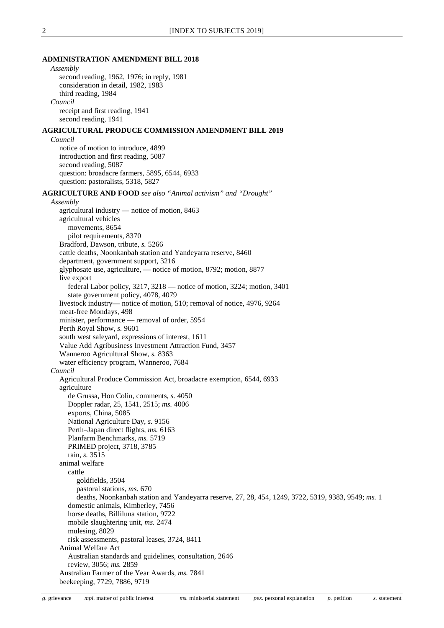#### **ADMINISTRATION AMENDMENT BILL 2018**

*Assembly* second reading, 1962, 1976; in reply, 1981 consideration in detail, 1982, 1983 third reading, 1984 *Council* receipt and first reading, 1941 second reading, 1941 **AGRICULTURAL PRODUCE COMMISSION AMENDMENT BILL 2019** *Council* notice of motion to introduce, 4899 introduction and first reading, 5087 second reading, 5087 question: broadacre farmers, 5895, 6544, 6933 question: pastoralists, 5318, 5827 **AGRICULTURE AND FOOD** *see also "Animal activism" and "Drought" Assembly* agricultural industry — notice of motion, 8463 agricultural vehicles movements, 8654 pilot requirements, 8370 Bradford, Dawson, tribute, *s.* 5266 cattle deaths, Noonkanbah station and Yandeyarra reserve, 8460 department, government support, 3216 glyphosate use, agriculture, — notice of motion, 8792; motion, 8877 live export federal Labor policy, 3217, 3218 — notice of motion, 3224; motion, 3401 state government policy, 4078, 4079 livestock industry— notice of motion, 510; removal of notice, 4976, 9264 meat-free Mondays, 498 minister, performance — removal of order, 5954 Perth Royal Show, *s.* 9601 south west saleyard, expressions of interest, 1611 Value Add Agribusiness Investment Attraction Fund, 3457 Wanneroo Agricultural Show, *s.* 8363 water efficiency program, Wanneroo, 7684 *Council* Agricultural Produce Commission Act, broadacre exemption, 6544, 6933 agriculture de Grussa, Hon Colin, comments, *s.* 4050 Doppler radar, 25, 1541, 2515; *ms.* 4006 exports, China, 5085 National Agriculture Day, *s.* 9156 Perth–Japan direct flights, *ms.* 6163 Planfarm Benchmarks, *ms.* 5719 PRIMED project, 3718, 3785 rain, *s.* 3515 animal welfare cattle goldfields, 3504 pastoral stations, *ms.* 670 deaths, Noonkanbah station and Yandeyarra reserve, 27, 28, 454, 1249, 3722, 5319, 9383, 9549; *ms.* 1 domestic animals, Kimberley, 7456 horse deaths, Billiluna station, 9722 mobile slaughtering unit, *ms.* 2474 mulesing, 8029 risk assessments, pastoral leases, 3724, 8411 Animal Welfare Act Australian standards and guidelines, consultation, 2646 review, 3056; *ms.* 2859 Australian Farmer of the Year Awards, *ms.* 7841 beekeeping, 7729, 7886, 9719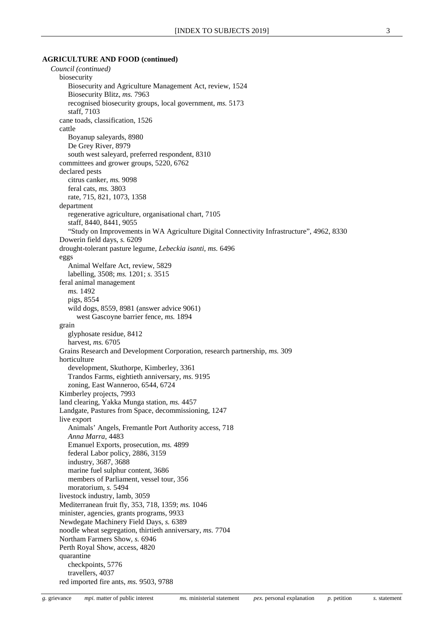#### **AGRICULTURE AND FOOD (continued)**

*Council (continued)* biosecurity Biosecurity and Agriculture Management Act, review, 1524 Biosecurity Blitz, *ms.* 7963 recognised biosecurity groups, local government, *ms.* 5173 staff, 7103 cane toads, classification, 1526 cattle Boyanup saleyards, 8980 De Grey River, 8979 south west saleyard, preferred respondent, 8310 committees and grower groups, 5220, 6762 declared pests citrus canker, *ms.* 9098 feral cats, *ms.* 3803 rate, 715, 821, 1073, 1358 department regenerative agriculture, organisational chart, 7105 staff, 8440, 8441, 9055 "Study on Improvements in WA Agriculture Digital Connectivity Infrastructure", 4962, 8330 Dowerin field days, *s.* 6209 drought-tolerant pasture legume, *Lebeckia isanti*, *ms.* 6496 eggs Animal Welfare Act, review, 5829 labelling, 3508; *ms.* 1201; *s.* 3515 feral animal management *ms.* 1492 pigs, 8554 wild dogs, 8559, 8981 (answer advice 9061) west Gascoyne barrier fence, *ms.* 1894 grain glyphosate residue, 8412 harvest, *ms.* 6705 Grains Research and Development Corporation, research partnership, *ms.* 309 horticulture development, Skuthorpe, Kimberley, 3361 Trandos Farms, eightieth anniversary, *ms.* 9195 zoning, East Wanneroo, 6544, 6724 Kimberley projects, 7993 land clearing, Yakka Munga station, *ms.* 4457 Landgate, Pastures from Space, decommissioning, 1247 live export Animals' Angels, Fremantle Port Authority access, 718 *Anna Marra*, 4483 Emanuel Exports, prosecution, *ms.* 4899 federal Labor policy, 2886, 3159 industry, 3687, 3688 marine fuel sulphur content, 3686 members of Parliament, vessel tour, 356 moratorium, *s.* 5494 livestock industry, lamb, 3059 Mediterranean fruit fly, 353, 718, 1359; *ms.* 1046 minister, agencies, grants programs, 9933 Newdegate Machinery Field Days, *s.* 6389 noodle wheat segregation, thirtieth anniversary, *ms.* 7704 Northam Farmers Show, *s.* 6946 Perth Royal Show, access, 4820 quarantine checkpoints, 5776 travellers, 4037 red imported fire ants, *ms.* 9503, 9788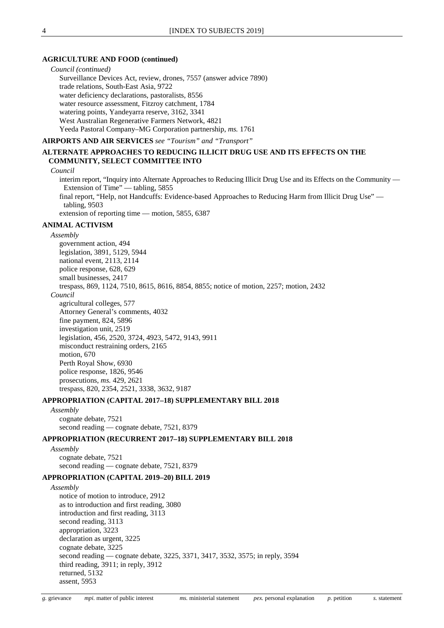#### **AGRICULTURE AND FOOD (continued)**

*Council (continued)* Surveillance Devices Act, review, drones, 7557 (answer advice 7890) trade relations, South-East Asia, 9722 water deficiency declarations, pastoralists, 8556 water resource assessment, Fitzroy catchment, 1784 watering points, Yandeyarra reserve, 3162, 3341 West Australian Regenerative Farmers Network, 4821 Yeeda Pastoral Company–MG Corporation partnership, *ms.* 1761

**AIRPORTS AND AIR SERVICES** *see "Tourism" and "Transport"*

#### **ALTERNATE APPROACHES TO REDUCING ILLICIT DRUG USE AND ITS EFFECTS ON THE COMMUNITY, SELECT COMMITTEE INTO**

#### *Council*

interim report, "Inquiry into Alternate Approaches to Reducing Illicit Drug Use and its Effects on the Community — Extension of Time" — tabling, 5855 final report, "Help, not Handcuffs: Evidence-based Approaches to Reducing Harm from Illicit Drug Use" tabling, 9503

extension of reporting time — motion, 5855, 6387

#### **ANIMAL ACTIVISM**

#### *Assembly*

government action, 494 legislation, 3891, 5129, 5944 national event, 2113, 2114 police response, 628, 629 small businesses, 2417 trespass, 869, 1124, 7510, 8615, 8616, 8854, 8855; notice of motion, 2257; motion, 2432 *Council* agricultural colleges, 577 Attorney General's comments, 4032 fine payment, 824, 5896 investigation unit, 2519 legislation, 456, 2520, 3724, 4923, 5472, 9143, 9911 misconduct restraining orders, 2165 motion, 670 Perth Royal Show, 6930 police response, 1826, 9546 prosecutions, *ms.* 429, 2621 trespass, 820, 2354, 2521, 3338, 3632, 9187

#### **APPROPRIATION (CAPITAL 2017–18) SUPPLEMENTARY BILL 2018**

*Assembly* cognate debate, 7521 second reading — cognate debate, 7521, 8379

#### **APPROPRIATION (RECURRENT 2017–18) SUPPLEMENTARY BILL 2018**

*Assembly* cognate debate, 7521 second reading — cognate debate, 7521, 8379

#### **APPROPRIATION (CAPITAL 2019–20) BILL 2019**

*Assembly* notice of motion to introduce, 2912 as to introduction and first reading, 3080 introduction and first reading, 3113 second reading, 3113 appropriation, 3223 declaration as urgent, 3225 cognate debate, 3225 second reading — cognate debate, 3225, 3371, 3417, 3532, 3575; in reply, 3594 third reading, 3911; in reply, 3912 returned, 5132 assent, 5953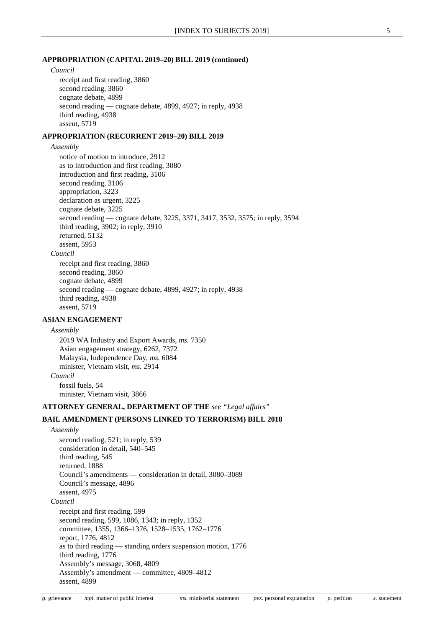#### **APPROPRIATION (CAPITAL 2019–20) BILL 2019 (continued)**

*Council*

receipt and first reading, 3860 second reading, 3860 cognate debate, 4899 second reading — cognate debate, 4899, 4927; in reply, 4938 third reading, 4938 assent, 5719

#### **APPROPRIATION (RECURRENT 2019–20) BILL 2019**

*Assembly*

notice of motion to introduce, 2912 as to introduction and first reading, 3080 introduction and first reading, 3106 second reading, 3106 appropriation, 3223 declaration as urgent, 3225 cognate debate, 3225 second reading — cognate debate, 3225, 3371, 3417, 3532, 3575; in reply, 3594 third reading, 3902; in reply, 3910 returned, 5132 assent, 5953 *Council* receipt and first reading, 3860 second reading, 3860 cognate debate, 4899

second reading — cognate debate, 4899, 4927; in reply, 4938 third reading, 4938 assent, 5719

#### **ASIAN ENGAGEMENT**

#### *Assembly*

2019 WA Industry and Export Awards, *ms.* 7350 Asian engagement strategy, 6262, 7372 Malaysia, Independence Day, *ms.* 6084 minister, Vietnam visit, *ms.* 2914 *Council* fossil fuels, 54 minister, Vietnam visit, 3866

#### **ATTORNEY GENERAL, DEPARTMENT OF THE** *see "Legal affairs"*

#### **BAIL AMENDMENT (PERSONS LINKED TO TERRORISM) BILL 2018**

*Assembly* second reading, 521; in reply, 539 consideration in detail, 540–545 third reading, 545 returned, 1888 Council's amendments — consideration in detail, 3080–3089 Council's message, 4896 assent, 4975 *Council* receipt and first reading, 599 second reading, 599, 1086, 1343; in reply, 1352 committee, 1355, 1366–1376, 1528–1535, 1762–1776 report, 1776, 4812 as to third reading — standing orders suspension motion, 1776 third reading, 1776 Assembly's message, 3068, 4809 Assembly's amendment — committee, 4809–4812 assent, 4899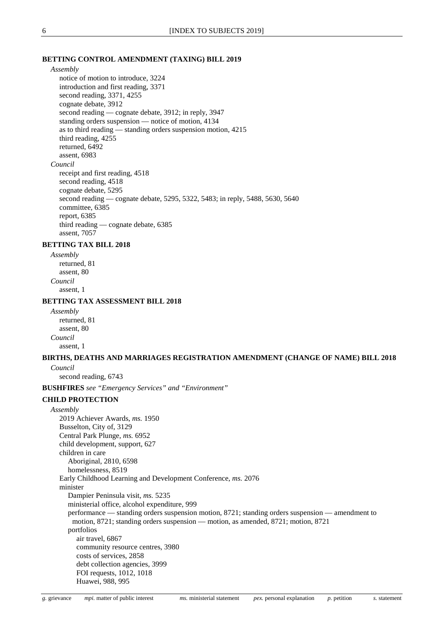#### **BETTING CONTROL AMENDMENT (TAXING) BILL 2019**

*Assembly*

notice of motion to introduce, 3224 introduction and first reading, 3371 second reading, 3371, 4255 cognate debate, 3912 second reading — cognate debate, 3912; in reply, 3947 standing orders suspension — notice of motion, 4134 as to third reading — standing orders suspension motion, 4215 third reading, 4255 returned, 6492 assent, 6983 *Council* receipt and first reading, 4518 second reading, 4518 cognate debate, 5295 second reading — cognate debate, 5295, 5322, 5483; in reply, 5488, 5630, 5640 committee, 6385 report, 6385 third reading — cognate debate, 6385 assent, 7057

#### **BETTING TAX BILL 2018**

*Assembly* returned, 81 assent, 80 *Council* assent, 1

#### **BETTING TAX ASSESSMENT BILL 2018**

*Assembly* returned, 81 assent, 80 *Council* assent, 1

#### **BIRTHS, DEATHS AND MARRIAGES REGISTRATION AMENDMENT (CHANGE OF NAME) BILL 2018** *Council*

second reading, 6743

**BUSHFIRES** *see "Emergency Services" and "Environment"*

#### **CHILD PROTECTION**

*Assembly* 2019 Achiever Awards, *ms.* 1950 Busselton, City of, 3129 Central Park Plunge, *ms.* 6952 child development, support, 627 children in care Aboriginal, 2810, 6598 homelessness, 8519 Early Childhood Learning and Development Conference, *ms.* 2076 minister Dampier Peninsula visit, *ms.* 5235 ministerial office, alcohol expenditure, 999 performance — standing orders suspension motion, 8721; standing orders suspension — amendment to motion, 8721; standing orders suspension — motion, as amended, 8721; motion, 8721 portfolios air travel, 6867 community resource centres, 3980 costs of services, 2858 debt collection agencies, 3999 FOI requests, 1012, 1018 Huawei, 988, 995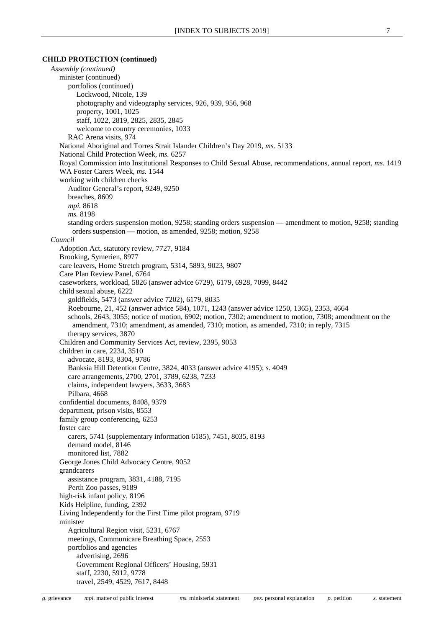#### **CHILD PROTECTION (continued)**

*Assembly (continued)* minister (continued) portfolios (continued) Lockwood, Nicole, 139 photography and videography services, 926, 939, 956, 968 property, 1001, 1025 staff, 1022, 2819, 2825, 2835, 2845 welcome to country ceremonies, 1033 RAC Arena visits, 974 National Aboriginal and Torres Strait Islander Children's Day 2019, *ms.* 5133 National Child Protection Week, *ms.* 6257 Royal Commission into Institutional Responses to Child Sexual Abuse, recommendations, annual report, *ms.* 1419 WA Foster Carers Week, *ms.* 1544 working with children checks Auditor General's report, 9249, 9250 breaches, 8609 *mpi.* 8618 *ms.* 8198 standing orders suspension motion, 9258; standing orders suspension — amendment to motion, 9258; standing orders suspension — motion, as amended, 9258; motion, 9258 *Council* Adoption Act, statutory review, 7727, 9184 Brooking, Symerien, 8977 care leavers, Home Stretch program, 5314, 5893, 9023, 9807 Care Plan Review Panel, 6764 caseworkers, workload, 5826 (answer advice 6729), 6179, 6928, 7099, 8442 child sexual abuse, 6222 goldfields, 5473 (answer advice 7202), 6179, 8035 Roebourne, 21, 452 (answer advice 584), 1071, 1243 (answer advice 1250, 1365), 2353, 4664 schools, 2643, 3055; notice of motion, 6902; motion, 7302; amendment to motion, 7308; amendment on the amendment, 7310; amendment, as amended, 7310; motion, as amended, 7310; in reply, 7315 therapy services, 3870 Children and Community Services Act, review, 2395, 9053 children in care, 2234, 3510 advocate, 8193, 8304, 9786 Banksia Hill Detention Centre, 3824, 4033 (answer advice 4195); *s.* 4049 care arrangements, 2700, 2701, 3789, 6238, 7233 claims, independent lawyers, 3633, 3683 Pilbara, 4668 confidential documents, 8408, 9379 department, prison visits, 8553 family group conferencing, 6253 foster care carers, 5741 (supplementary information 6185), 7451, 8035, 8193 demand model, 8146 monitored list, 7882 George Jones Child Advocacy Centre, 9052 grandcarers assistance program, 3831, 4188, 7195 Perth Zoo passes, 9189 high-risk infant policy, 8196 Kids Helpline, funding, 2392 Living Independently for the First Time pilot program, 9719 minister Agricultural Region visit, 5231, 6767 meetings, Communicare Breathing Space, 2553 portfolios and agencies advertising, 2696 Government Regional Officers' Housing, 5931 staff, 2230, 5912, 9778 travel, 2549, 4529, 7617, 8448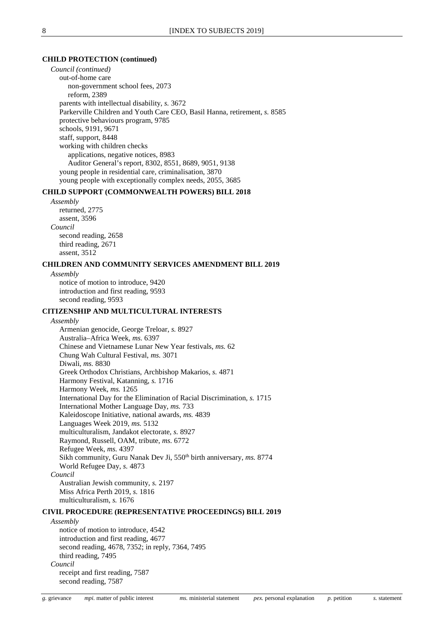#### **CHILD PROTECTION (continued)**

*Council (continued)* out-of-home care non-government school fees, 2073 reform, 2389 parents with intellectual disability, *s.* 3672 Parkerville Children and Youth Care CEO, Basil Hanna, retirement, *s.* 8585 protective behaviours program, 9785 schools, 9191, 9671 staff, support, 8448 working with children checks applications, negative notices, 8983 Auditor General's report, 8302, 8551, 8689, 9051, 9138 young people in residential care, criminalisation, 3870 young people with exceptionally complex needs, 2055, 3685

#### **CHILD SUPPORT (COMMONWEALTH POWERS) BILL 2018**

*Assembly* returned, 2775 assent, 3596 *Council* second reading, 2658 third reading, 2671 assent, 3512

#### **CHILDREN AND COMMUNITY SERVICES AMENDMENT BILL 2019**

*Assembly* notice of motion to introduce, 9420 introduction and first reading, 9593 second reading, 9593

#### **CITIZENSHIP AND MULTICULTURAL INTERESTS**

*Assembly*

Armenian genocide, George Treloar, *s.* 8927 Australia–Africa Week, *ms.* 6397 Chinese and Vietnamese Lunar New Year festivals, *ms.* 62 Chung Wah Cultural Festival, *ms.* 3071 Diwali, *ms.* 8830 Greek Orthodox Christians, Archbishop Makarios, *s.* 4871 Harmony Festival, Katanning, *s.* 1716 Harmony Week, *ms.* 1265 International Day for the Elimination of Racial Discrimination, *s.* 1715 International Mother Language Day, *ms.* 733 Kaleidoscope Initiative, national awards, *ms.* 4839 Languages Week 2019, *ms.* 5132 multiculturalism, Jandakot electorate, *s.* 8927 Raymond, Russell, OAM, tribute, *ms.* 6772 Refugee Week, *ms.* 4397 Sikh community, Guru Nanak Dev Ji, 550<sup>th</sup> birth anniversary, ms. 8774 World Refugee Day, *s.* 4873 *Council* Australian Jewish community, *s.* 2197

Miss Africa Perth 2019, *s.* 1816

multiculturalism, *s.* 1676

#### **CIVIL PROCEDURE (REPRESENTATIVE PROCEEDINGS) BILL 2019**

*Assembly*

notice of motion to introduce, 4542 introduction and first reading, 4677 second reading, 4678, 7352; in reply, 7364, 7495 third reading, 7495 *Council* receipt and first reading, 7587 second reading, 7587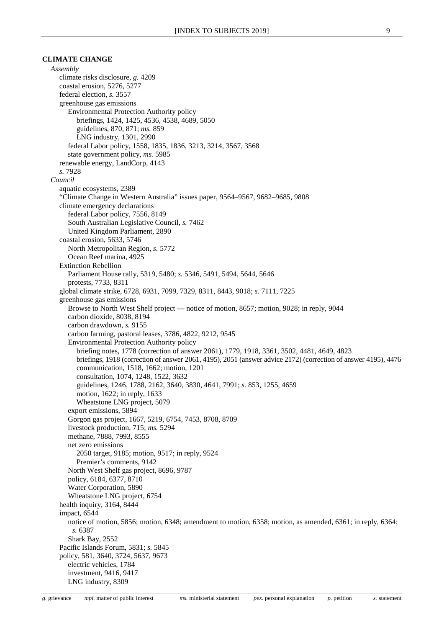#### **CLIMATE CHANGE**

*Assembly* climate risks disclosure, *g.* 4209 coastal erosion, 5276, 5277 federal election, *s.* 3557 greenhouse gas emissions Environmental Protection Authority policy briefings, 1424, 1425, 4536, 4538, 4689, 5050 guidelines, 870, 871; *ms.* 859 LNG industry, 1301, 2990 federal Labor policy, 1558, 1835, 1836, 3213, 3214, 3567, 3568 state government policy, *ms.* 5985 renewable energy, LandCorp, 4143 *s.* 7928 *Council* aquatic ecosystems, 2389 "Climate Change in Western Australia" issues paper, 9564–9567, 9682–9685, 9808 climate emergency declarations federal Labor policy, 7556, 8149 South Australian Legislative Council, *s.* 7462 United Kingdom Parliament, 2890 coastal erosion, 5633, 5746 North Metropolitan Region, *s.* 5772 Ocean Reef marina, 4925 Extinction Rebellion Parliament House rally, 5319, 5480; *s.* 5346, 5491, 5494, 5644, 5646 protests, 7733, 8311 global climate strike, 6728, 6931, 7099, 7329, 8311, 8443, 9018; *s.* 7111, 7225 greenhouse gas emissions Browse to North West Shelf project — notice of motion, 8657; motion, 9028; in reply, 9044 carbon dioxide, 8038, 8194 carbon drawdown, *s.* 9155 carbon farming, pastoral leases, 3786, 4822, 9212, 9545 Environmental Protection Authority policy briefing notes, 1778 (correction of answer 2061), 1779, 1918, 3361, 3502, 4481, 4649, 4823 briefings, 1918 (correction of answer 2061, 4195), 2051 (answer advice 2172) (correction of answer 4195), 4476 communication, 1518, 1662; motion, 1201 consultation, 1074, 1248, 1522, 3632 guidelines, 1246, 1788, 2162, 3640, 3830, 4641, 7991; *s.* 853, 1255, 4659 motion, 1622; in reply, 1633 Wheatstone LNG project, 5079 export emissions, 5894 Gorgon gas project, 1667, 5219, 6754, 7453, 8708, 8709 livestock production, 715; *ms.* 5294 methane, 7888, 7993, 8555 net zero emissions 2050 target, 9185; motion, 9517; in reply, 9524 Premier's comments, 9142 North West Shelf gas project, 8696, 9787 policy, 6184, 6377, 8710 Water Corporation, 5890 Wheatstone LNG project, 6754 health inquiry, 3164, 8444 impact, 6544 notice of motion, 5856; motion, 6348; amendment to motion, 6358; motion, as amended, 6361; in reply, 6364; *s.* 6387 Shark Bay, 2552 Pacific Islands Forum, 5831; *s.* 5845 policy, 581, 3640, 3724, 5637, 9673 electric vehicles, 1784 investment, 9416, 9417 LNG industry, 8309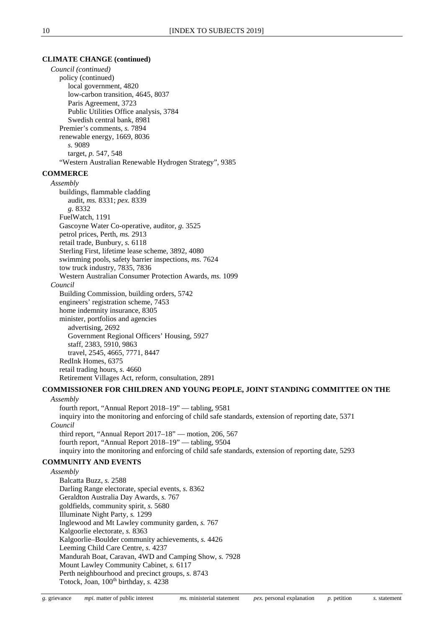#### **CLIMATE CHANGE (continued)**

*Council (continued)* policy (continued) local government, 4820 low-carbon transition, 4645, 8037 Paris Agreement, 3723 Public Utilities Office analysis, 3784 Swedish central bank, 8981 Premier's comments, *s.* 7894 renewable energy, 1669, 8036 *s.* 9089 target, *p.* 547, 548 "Western Australian Renewable Hydrogen Strategy", 9385

#### **COMMERCE**

#### *Assembly*

buildings, flammable cladding audit, *ms.* 8331; *pex.* 8339 *g.* 8332 FuelWatch, 1191 Gascoyne Water Co-operative, auditor, *g.* 3525 petrol prices, Perth, *ms.* 2913 retail trade, Bunbury, *s.* 6118 Sterling First, lifetime lease scheme, 3892, 4080 swimming pools, safety barrier inspections, *ms.* 7624 tow truck industry, 7835, 7836 Western Australian Consumer Protection Awards, *ms.* 1099 *Council* Building Commission, building orders, 5742 engineers' registration scheme, 7453 home indemnity insurance, 8305 minister, portfolios and agencies advertising, 2692

Government Regional Officers' Housing, 5927 staff, 2383, 5910, 9863

travel, 2545, 4665, 7771, 8447

RedInk Homes, 6375 retail trading hours, *s.* 4660 Retirement Villages Act, reform, consultation, 2891

#### **COMMISSIONER FOR CHILDREN AND YOUNG PEOPLE, JOINT STANDING COMMITTEE ON THE** *Assembly*

fourth report, "Annual Report 2018–19" — tabling, 9581 inquiry into the monitoring and enforcing of child safe standards, extension of reporting date, 5371 *Council* third report, "Annual Report 2017–18" — motion, 206, 567 fourth report, "Annual Report 2018–19" — tabling, 9504 inquiry into the monitoring and enforcing of child safe standards, extension of reporting date, 5293

#### **COMMUNITY AND EVENTS**

*Assembly* Balcatta Buzz, *s.* 2588 Darling Range electorate, special events, *s.* 8362 Geraldton Australia Day Awards, *s.* 767 goldfields, community spirit, *s.* 5680 Illuminate Night Party, *s.* 1299 Inglewood and Mt Lawley community garden, *s.* 767 Kalgoorlie electorate, *s.* 8363 Kalgoorlie–Boulder community achievements, *s.* 4426 Leeming Child Care Centre, *s.* 4237 Mandurah Boat, Caravan, 4WD and Camping Show, *s.* 7928 Mount Lawley Community Cabinet, *s.* 6117 Perth neighbourhood and precinct groups, *s.* 8743 Totock, Joan, 100<sup>th</sup> birthday, *s.* 4238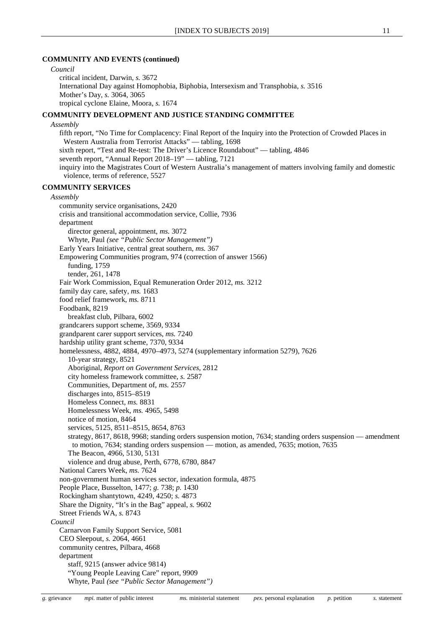#### **COMMUNITY AND EVENTS (continued)**

*Council*

critical incident, Darwin, *s.* 3672 International Day against Homophobia, Biphobia, Intersexism and Transphobia, *s.* 3516 Mother's Day, *s.* 3064, 3065 tropical cyclone Elaine, Moora, *s.* 1674

#### **COMMUNITY DEVELOPMENT AND JUSTICE STANDING COMMITTEE**

*Assembly*

fifth report, "No Time for Complacency: Final Report of the Inquiry into the Protection of Crowded Places in Western Australia from Terrorist Attacks" — tabling, 1698 sixth report, "Test and Re-test: The Driver's Licence Roundabout" — tabling, 4846 seventh report, "Annual Report 2018–19" — tabling, 7121 inquiry into the Magistrates Court of Western Australia's management of matters involving family and domestic violence, terms of reference, 5527

#### **COMMUNITY SERVICES**

#### *Assembly* community service organisations, 2420 crisis and transitional accommodation service, Collie, 7936 department director general, appointment, *ms.* 3072 Whyte, Paul *(see "Public Sector Management")* Early Years Initiative, central great southern, *ms.* 367 Empowering Communities program, 974 (correction of answer 1566) funding, 1759 tender, 261, 1478 Fair Work Commission, Equal Remuneration Order 2012, *ms.* 3212 family day care, safety, *ms.* 1683 food relief framework, *ms.* 8711 Foodbank, 8219 breakfast club, Pilbara, 6002 grandcarers support scheme, 3569, 9334 grandparent carer support services, *ms.* 7240 hardship utility grant scheme, 7370, 9334 homelessness, 4882, 4884, 4970–4973, 5274 (supplementary information 5279), 7626 10-year strategy, 8521 Aboriginal, *Report on Government Services*, 2812 city homeless framework committee, *s.* 2587 Communities, Department of, *ms.* 2557 discharges into, 8515–8519 Homeless Connect, *ms.* 8831 Homelessness Week, *ms.* 4965, 5498 notice of motion, 8464 services, 5125, 8511–8515, 8654, 8763 strategy, 8617, 8618, 9968; standing orders suspension motion, 7634; standing orders suspension — amendment to motion, 7634; standing orders suspension — motion, as amended, 7635; motion, 7635 The Beacon, 4966, 5130, 5131 violence and drug abuse, Perth, 6778, 6780, 8847 National Carers Week, *ms.* 7624 non-government human services sector, indexation formula, 4875 People Place, Busselton, 1477; *g.* 738; *p.* 1430 Rockingham shantytown, 4249, 4250; *s.* 4873 Share the Dignity, "It's in the Bag" appeal, *s.* 9602 Street Friends WA, *s.* 8743 *Council* Carnarvon Family Support Service, 5081 CEO Sleepout, *s.* 2064, 4661 community centres, Pilbara, 4668 department staff, 9215 (answer advice 9814) "Young People Leaving Care" report, 9909 Whyte, Paul *(see "Public Sector Management")*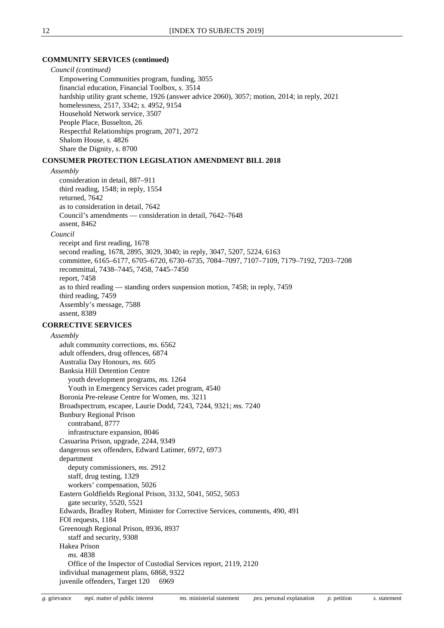#### **COMMUNITY SERVICES (continued)**

*Council (continued)* Empowering Communities program, funding, 3055 financial education, Financial Toolbox, *s.* 3514 hardship utility grant scheme, 1926 (answer advice 2060), 3057; motion, 2014; in reply, 2021 homelessness, 2517, 3342; *s.* 4952, 9154 Household Network service, 3507 People Place, Busselton, 26 Respectful Relationships program, 2071, 2072 Shalom House, *s.* 4826 Share the Dignity, *s.* 8700

#### **CONSUMER PROTECTION LEGISLATION AMENDMENT BILL 2018**

#### *Assembly*

consideration in detail, 887–911 third reading, 1548; in reply, 1554 returned, 7642 as to consideration in detail, 7642 Council's amendments — consideration in detail, 7642–7648 assent, 8462 *Council* receipt and first reading, 1678 second reading, 1678, 2895, 3029, 3040; in reply, 3047, 5207, 5224, 6163 committee, 6165–6177, 6705–6720, 6730–6735, 7084–7097, 7107–7109, 7179–7192, 7203–7208 recommittal, 7438–7445, 7458, 7445–7450 report, 7458 as to third reading — standing orders suspension motion, 7458; in reply, 7459 third reading, 7459 Assembly's message, 7588 assent, 8389

#### **CORRECTIVE SERVICES**

*Assembly* adult community corrections, *ms.* 6562 adult offenders, drug offences, 6874 Australia Day Honours, *ms.* 605 Banksia Hill Detention Centre youth development programs, *ms.* 1264 Youth in Emergency Services cadet program, 4540 Boronia Pre-release Centre for Women, *ms.* 3211 Broadspectrum, escapee, Laurie Dodd, 7243, 7244, 9321; *ms.* 7240 Bunbury Regional Prison contraband, 8777 infrastructure expansion, 8046 Casuarina Prison, upgrade, 2244, 9349 dangerous sex offenders, Edward Latimer, 6972, 6973 department deputy commissioners, *ms.* 2912 staff, drug testing, 1329 workers' compensation, 5026 Eastern Goldfields Regional Prison, 3132, 5041, 5052, 5053 gate security, 5520, 5521 Edwards, Bradley Robert, Minister for Corrective Services, comments, 490, 491 FOI requests, 1184 Greenough Regional Prison, 8936, 8937 staff and security, 9308 Hakea Prison *ms.* 4838 Office of the Inspector of Custodial Services report, 2119, 2120 individual management plans, 6868, 9322 juvenile offenders, Target 120 6969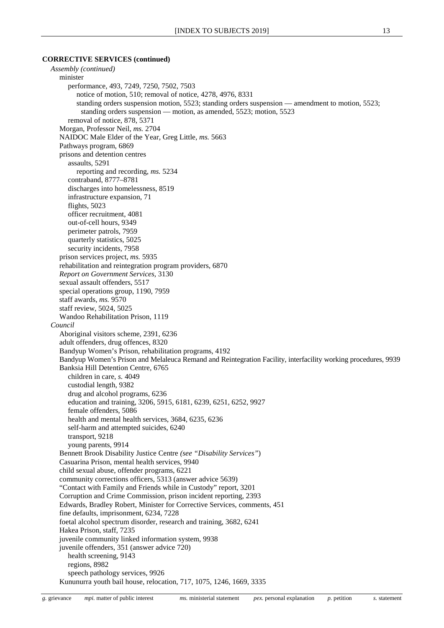#### **CORRECTIVE SERVICES (continued)**

*Assembly (continued)* minister performance, 493, 7249, 7250, 7502, 7503 notice of motion, 510; removal of notice, 4278, 4976, 8331 standing orders suspension motion, 5523; standing orders suspension — amendment to motion, 5523; standing orders suspension — motion, as amended, 5523; motion, 5523 removal of notice, 878, 5371 Morgan, Professor Neil, *ms.* 2704 NAIDOC Male Elder of the Year, Greg Little, *ms.* 5663 Pathways program, 6869 prisons and detention centres assaults, 5291 reporting and recording, *ms.* 5234 contraband, 8777–8781 discharges into homelessness, 8519 infrastructure expansion, 71 flights, 5023 officer recruitment, 4081 out-of-cell hours, 9349 perimeter patrols, 7959 quarterly statistics, 5025 security incidents, 7958 prison services project, *ms.* 5935 rehabilitation and reintegration program providers, 6870 *Report on Government Services*, 3130 sexual assault offenders, 5517 special operations group, 1190, 7959 staff awards, *ms.* 9570 staff review, 5024, 5025 Wandoo Rehabilitation Prison, 1119 *Council* Aboriginal visitors scheme, 2391, 6236 adult offenders, drug offences, 8320 Bandyup Women's Prison, rehabilitation programs, 4192 Bandyup Women's Prison and Melaleuca Remand and Reintegration Facility, interfacility working procedures, 9939 Banksia Hill Detention Centre, 6765 children in care, *s.* 4049 custodial length, 9382 drug and alcohol programs, 6236 education and training, 3206, 5915, 6181, 6239, 6251, 6252, 9927 female offenders, 5086 health and mental health services, 3684, 6235, 6236 self-harm and attempted suicides, 6240 transport, 9218 young parents, 9914 Bennett Brook Disability Justice Centre *(see "Disability Services"*) Casuarina Prison, mental health services, 9940 child sexual abuse, offender programs, 6221 community corrections officers, 5313 (answer advice 5639) "Contact with Family and Friends while in Custody" report, 3201 Corruption and Crime Commission, prison incident reporting, 2393 Edwards, Bradley Robert, Minister for Corrective Services, comments, 451 fine defaults, imprisonment, 6234, 7228 foetal alcohol spectrum disorder, research and training, 3682, 6241 Hakea Prison, staff, 7235 juvenile community linked information system, 9938 juvenile offenders, 351 (answer advice 720) health screening, 9143 regions, 8982 speech pathology services, 9926 Kununurra youth bail house, relocation, 717, 1075, 1246, 1669, 3335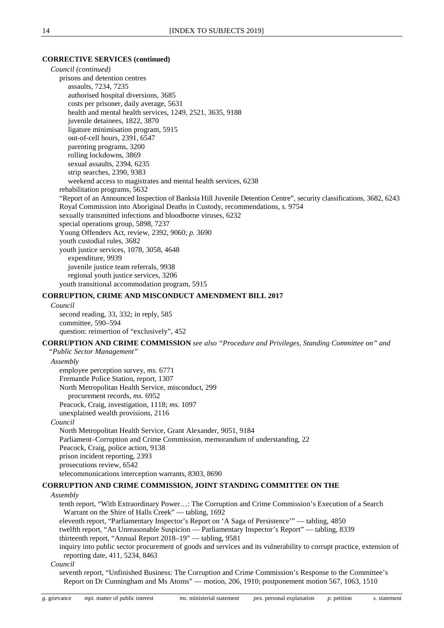#### **CORRECTIVE SERVICES (continued)**

*Council (continued)* prisons and detention centres assaults, 7234, 7235 authorised hospital diversions, 3685 costs per prisoner, daily average, 5631 health and mental health services, 1249, 2521, 3635, 9188 juvenile detainees, 1822, 3870 ligature minimisation program, 5915 out-of-cell hours, 2391, 6547 parenting programs, 3200 rolling lockdowns, 3869 sexual assaults, 2394, 6235 strip searches, 2390, 9383 weekend access to magistrates and mental health services, 6238 rehabilitation programs, 5632 "Report of an Announced Inspection of Banksia Hill Juvenile Detention Centre", security classifications, 3682, 6243 Royal Commission into Aboriginal Deaths in Custody, recommendations, *s.* 9754 sexually transmitted infections and bloodborne viruses, 6232 special operations group, 5898, 7237 Young Offenders Act, review, 2392, 9060; *p.* 3690 youth custodial rules, 3682 youth justice services, 1078, 3058, 4648 expenditure, 9939 juvenile justice team referrals, 9938 regional youth justice services, 3206 youth transitional accommodation program, 5915

#### **CORRUPTION, CRIME AND MISCONDUCT AMENDMENT BILL 2017**

#### *Council*

second reading, 33, 332; in reply, 585 committee, 590–594 question: reinsertion of "exclusively", 452

#### **CORRUPTION AND CRIME COMMISSION** *see also "Procedure and Privileges, Standing Committee on" and*

*"Public Sector Management"*

*Assembly*

employee perception survey, *ms.* 6771 Fremantle Police Station, report, 1307 North Metropolitan Health Service, misconduct, 299 procurement records, *ms.* 6952 Peacock, Craig, investigation, 1118; *ms.* 1097 unexplained wealth provisions, 2116

#### *Council*

North Metropolitan Health Service, Grant Alexander, 9051, 9184 Parliament–Corruption and Crime Commission, memorandum of understanding, 22 Peacock, Craig, police action, 9138 prison incident reporting, 2393 prosecutions review, 6542 telecommunications interception warrants, 8303, 8690

#### **CORRUPTION AND CRIME COMMISSION, JOINT STANDING COMMITTEE ON THE**

#### *Assembly*

tenth report, "With Extraordinary Power…: The Corruption and Crime Commission's Execution of a Search Warrant on the Shire of Halls Creek" — tabling, 1692

eleventh report, "Parliamentary Inspector's Report on 'A Saga of Persistence'" — tabling, 4850

twelfth report, "An Unreasonable Suspicion — Parliamentary Inspector's Report" — tabling, 8339 thirteenth report, "Annual Report 2018–19" — tabling, 9581

inquiry into public sector procurement of goods and services and its vulnerability to corrupt practice, extension of reporting date, 411, 5234, 8463

*Council*

seventh report, "Unfinished Business: The Corruption and Crime Commission's Response to the Committee's Report on Dr Cunningham and Ms Atoms" — motion, 206, 1910; postponement motion 567, 1063, 1510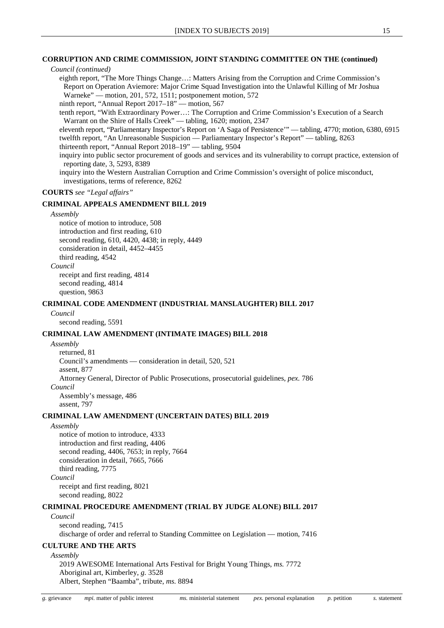#### **CORRUPTION AND CRIME COMMISSION, JOINT STANDING COMMITTEE ON THE (continued)**

#### *Council (continued)*

eighth report, "The More Things Change…: Matters Arising from the Corruption and Crime Commission's Report on Operation Aviemore: Major Crime Squad Investigation into the Unlawful Killing of Mr Joshua Warneke" — motion, 201, 572, 1511; postponement motion, 572

ninth report, "Annual Report 2017–18" — motion, 567

tenth report, "With Extraordinary Power…: The Corruption and Crime Commission's Execution of a Search Warrant on the Shire of Halls Creek" — tabling, 1620; motion, 2347

eleventh report, "Parliamentary Inspector's Report on 'A Saga of Persistence'" — tabling, 4770; motion, 6380, 6915 twelfth report, "An Unreasonable Suspicion — Parliamentary Inspector's Report" — tabling, 8263

thirteenth report, "Annual Report 2018–19" — tabling, 9504

inquiry into public sector procurement of goods and services and its vulnerability to corrupt practice, extension of reporting date, 3, 5293, 8389

inquiry into the Western Australian Corruption and Crime Commission's oversight of police misconduct, investigations, terms of reference, 8262

#### **COURTS** *see "Legal affairs"*

#### **CRIMINAL APPEALS AMENDMENT BILL 2019**

#### *Assembly*

notice of motion to introduce, 508 introduction and first reading, 610 second reading, 610, 4420, 4438; in reply, 4449 consideration in detail, 4452–4455 third reading, 4542

#### *Council*

receipt and first reading, 4814 second reading, 4814 question, 9863

#### **CRIMINAL CODE AMENDMENT (INDUSTRIAL MANSLAUGHTER) BILL 2017**

*Council*

second reading, 5591

#### **CRIMINAL LAW AMENDMENT (INTIMATE IMAGES) BILL 2018**

*Assembly* returned, 81 Council's amendments — consideration in detail, 520, 521 assent, 877 Attorney General, Director of Public Prosecutions, prosecutorial guidelines, *pex.* 786 *Council* Assembly's message, 486 assent, 797

#### **CRIMINAL LAW AMENDMENT (UNCERTAIN DATES) BILL 2019**

#### *Assembly*

notice of motion to introduce, 4333 introduction and first reading, 4406 second reading, 4406, 7653; in reply, 7664 consideration in detail, 7665, 7666 third reading, 7775 *Council* receipt and first reading, 8021

second reading, 8022

#### **CRIMINAL PROCEDURE AMENDMENT (TRIAL BY JUDGE ALONE) BILL 2017**

#### *Council*

second reading, 7415 discharge of order and referral to Standing Committee on Legislation — motion, 7416

#### **CULTURE AND THE ARTS**

*Assembly*

2019 AWESOME International Arts Festival for Bright Young Things, *ms.* 7772 Aboriginal art, Kimberley, *g.* 3528 Albert, Stephen "Baamba", tribute, *ms.* 8894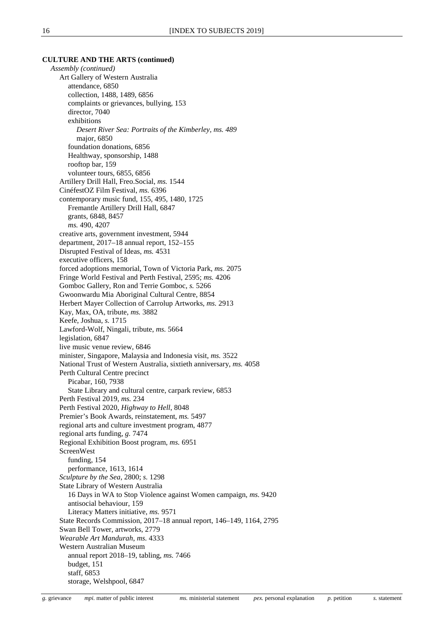#### **CULTURE AND THE ARTS (continued)**

*Assembly (continued)* Art Gallery of Western Australia attendance, 6850 collection, 1488, 1489, 6856 complaints or grievances, bullying, 153 director, 7040 exhibitions *Desert River Sea: Portraits of the Kimberley, ms. 489* major, 6850 foundation donations, 6856 Healthway, sponsorship, 1488 rooftop bar, 159 volunteer tours, 6855, 6856 Artillery Drill Hall, Freo.Social, *ms.* 1544 CinéfestOZ Film Festival, *ms.* 6396 contemporary music fund, 155, 495, 1480, 1725 Fremantle Artillery Drill Hall, 6847 grants, 6848, 8457 *ms.* 490, 4207 creative arts, government investment, 5944 department, 2017–18 annual report, 152–155 Disrupted Festival of Ideas, *ms.* 4531 executive officers, 158 forced adoptions memorial, Town of Victoria Park, *ms.* 2075 Fringe World Festival and Perth Festival, 2595; *ms.* 4206 Gomboc Gallery, Ron and Terrie Gomboc, *s.* 5266 Gwoonwardu Mia Aboriginal Cultural Centre, 8854 Herbert Mayer Collection of Carrolup Artworks, *ms.* 2913 Kay, Max, OA, tribute, *ms.* 3882 Keefe, Joshua, *s.* 1715 Lawford-Wolf, Ningali, tribute, *ms.* 5664 legislation, 6847 live music venue review, 6846 minister, Singapore, Malaysia and Indonesia visit, *ms.* 3522 National Trust of Western Australia, sixtieth anniversary, *ms.* 4058 Perth Cultural Centre precinct Picabar, 160, 7938 State Library and cultural centre, carpark review, 6853 Perth Festival 2019, *ms.* 234 Perth Festival 2020, *Highway to Hell*, 8048 Premier's Book Awards, reinstatement, *ms.* 5497 regional arts and culture investment program, 4877 regional arts funding, *g.* 7474 Regional Exhibition Boost program, *ms.* 6951 ScreenWest funding, 154 performance, 1613, 1614 *Sculpture by the Sea*, 2800; *s.* 1298 State Library of Western Australia 16 Days in WA to Stop Violence against Women campaign, *ms.* 9420 antisocial behaviour, 159 Literacy Matters initiative, *ms.* 9571 State Records Commission, 2017–18 annual report, 146–149, 1164, 2795 Swan Bell Tower, artworks, 2779 *Wearable Art Mandurah*, *ms.* 4333 Western Australian Museum annual report 2018–19, tabling, *ms.* 7466 budget, 151 staff, 6853 storage, Welshpool, 6847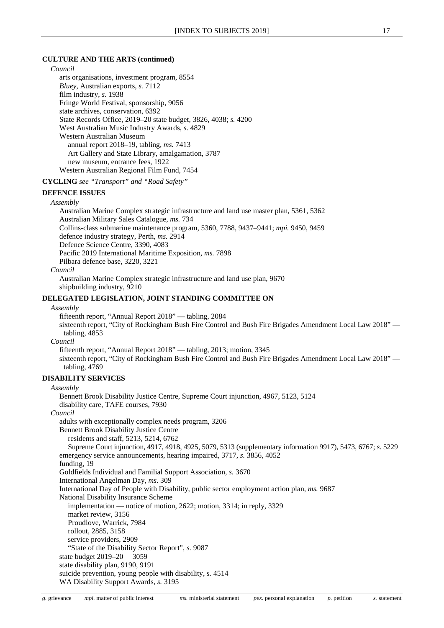#### **CULTURE AND THE ARTS (continued)**

*Council*

arts organisations, investment program, 8554 *Bluey*, Australian exports, *s.* 7112 film industry, *s.* 1938 Fringe World Festival, sponsorship, 9056 state archives, conservation, 6392 State Records Office, 2019–20 state budget, 3826, 4038; *s.* 4200 West Australian Music Industry Awards, *s.* 4829 Western Australian Museum annual report 2018–19, tabling, *ms.* 7413 Art Gallery and State Library, amalgamation, 3787 new museum, entrance fees, 1922 Western Australian Regional Film Fund, 7454

**CYCLING** *see "Transport" and "Road Safety"*

#### **DEFENCE ISSUES**

#### *Assembly*

Australian Marine Complex strategic infrastructure and land use master plan, 5361, 5362 Australian Military Sales Catalogue, *ms.* 734 Collins-class submarine maintenance program, 5360, 7788, 9437–9441; *mpi.* 9450, 9459 defence industry strategy, Perth, *ms.* 2914 Defence Science Centre, 3390, 4083 Pacific 2019 International Maritime Exposition, *ms.* 7898 Pilbara defence base, 3220, 3221

#### *Council*

Australian Marine Complex strategic infrastructure and land use plan, 9670 shipbuilding industry, 9210

#### **DELEGATED LEGISLATION, JOINT STANDING COMMITTEE ON**

#### *Assembly*

fifteenth report, "Annual Report 2018" — tabling, 2084 sixteenth report, "City of Rockingham Bush Fire Control and Bush Fire Brigades Amendment Local Law 2018" tabling, 4853

*Council*

fifteenth report, "Annual Report 2018" — tabling, 2013; motion, 3345 sixteenth report, "City of Rockingham Bush Fire Control and Bush Fire Brigades Amendment Local Law 2018" tabling, 4769

#### **DISABILITY SERVICES**

*Assembly* Bennett Brook Disability Justice Centre, Supreme Court injunction, 4967, 5123, 5124 disability care, TAFE courses, 7930 *Council* adults with exceptionally complex needs program, 3206 Bennett Brook Disability Justice Centre residents and staff, 5213, 5214, 6762 Supreme Court injunction, 4917, 4918, 4925, 5079, 5313 (supplementary information 9917), 5473, 6767; *s.* 5229 emergency service announcements, hearing impaired, 3717, *s.* 3856, 4052 funding, 19 Goldfields Individual and Familial Support Association, *s.* 3670 International Angelman Day, *ms.* 309 International Day of People with Disability, public sector employment action plan, *ms.* 9687 National Disability Insurance Scheme implementation — notice of motion, 2622; motion, 3314; in reply, 3329 market review, 3156 Proudlove, Warrick, 7984 rollout, 2885, 3158 service providers, 2909 "State of the Disability Sector Report", *s.* 9087 state budget 2019–20 3059 state disability plan, 9190, 9191 suicide prevention, young people with disability, *s.* 4514 WA Disability Support Awards, *s.* 3195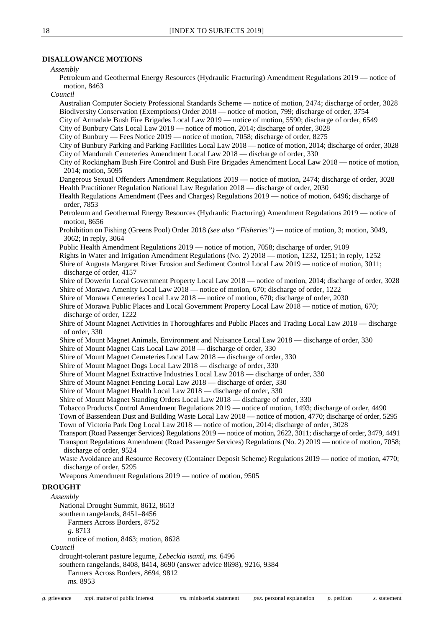#### **DISALLOWANCE MOTIONS**

#### *Assembly*

Petroleum and Geothermal Energy Resources (Hydraulic Fracturing) Amendment Regulations 2019 — notice of motion, 8463

*Council*

Australian Computer Society Professional Standards Scheme — notice of motion, 2474; discharge of order, 3028 Biodiversity Conservation (Exemptions) Order 2018 — notice of motion, 799; discharge of order, 3754

City of Armadale Bush Fire Brigades Local Law 2019 — notice of motion, 5590; discharge of order, 6549

City of Bunbury Cats Local Law 2018 — notice of motion, 2014; discharge of order, 3028

City of Bunbury — Fees Notice 2019 — notice of motion, 7058; discharge of order, 8275

City of Bunbury Parking and Parking Facilities Local Law 2018 — notice of motion, 2014; discharge of order, 3028 City of Mandurah Cemeteries Amendment Local Law 2018 — discharge of order, 330

City of Rockingham Bush Fire Control and Bush Fire Brigades Amendment Local Law 2018 — notice of motion, 2014; motion, 5095

Dangerous Sexual Offenders Amendment Regulations 2019 — notice of motion, 2474; discharge of order, 3028 Health Practitioner Regulation National Law Regulation 2018 — discharge of order, 2030

Health Regulations Amendment (Fees and Charges) Regulations 2019 — notice of motion, 6496; discharge of order, 7853

Petroleum and Geothermal Energy Resources (Hydraulic Fracturing) Amendment Regulations 2019 — notice of motion, 8656

- Prohibition on Fishing (Greens Pool) Order 2018 *(see also "Fisheries") —* notice of motion, 3; motion, 3049, 3062; in reply, 3064
- Public Health Amendment Regulations 2019 notice of motion, 7058; discharge of order, 9109

Rights in Water and Irrigation Amendment Regulations (No. 2) 2018 — motion, 1232, 1251; in reply, 1252

Shire of Augusta Margaret River Erosion and Sediment Control Local Law 2019 — notice of motion, 3011; discharge of order, 4157

Shire of Dowerin Local Government Property Local Law 2018 — notice of motion, 2014; discharge of order, 3028 Shire of Morawa Amenity Local Law 2018 — notice of motion, 670; discharge of order, 1222

Shire of Morawa Cemeteries Local Law 2018 — notice of motion, 670; discharge of order, 2030

Shire of Morawa Public Places and Local Government Property Local Law 2018 — notice of motion, 670; discharge of order, 1222

Shire of Mount Magnet Activities in Thoroughfares and Public Places and Trading Local Law 2018 — discharge of order, 330

Shire of Mount Magnet Animals, Environment and Nuisance Local Law 2018 — discharge of order, 330

Shire of Mount Magnet Cats Local Law 2018 — discharge of order, 330

- Shire of Mount Magnet Cemeteries Local Law 2018 discharge of order, 330
- Shire of Mount Magnet Dogs Local Law 2018 discharge of order, 330
- Shire of Mount Magnet Extractive Industries Local Law 2018 discharge of order, 330

Shire of Mount Magnet Fencing Local Law 2018 — discharge of order, 330

- Shire of Mount Magnet Health Local Law 2018 discharge of order, 330
- Shire of Mount Magnet Standing Orders Local Law 2018 discharge of order, 330

Tobacco Products Control Amendment Regulations 2019 — notice of motion, 1493; discharge of order, 4490

Town of Bassendean Dust and Building Waste Local Law 2018 — notice of motion, 4770; discharge of order, 5295 Town of Victoria Park Dog Local Law 2018 — notice of motion, 2014; discharge of order, 3028

Transport (Road Passenger Services) Regulations 2019 — notice of motion, 2622, 3011; discharge of order, 3479, 4491 Transport Regulations Amendment (Road Passenger Services) Regulations (No. 2) 2019 — notice of motion, 7058; discharge of order, 9524

Waste Avoidance and Resource Recovery (Container Deposit Scheme) Regulations 2019 — notice of motion, 4770; discharge of order, 5295

Weapons Amendment Regulations 2019 — notice of motion, 9505

#### **DROUGHT**

```
Assembly
  National Drought Summit, 8612, 8613
  southern rangelands, 8451–8456
     Farmers Across Borders, 8752
     g. 8713
     notice of motion, 8463; motion, 8628
Council
```
drought-tolerant pasture legume, *Lebeckia isanti*, *ms.* 6496

southern rangelands, 8408, 8414, 8690 (answer advice 8698), 9216, 9384

Farmers Across Borders, 8694, 9812

*ms.* 8953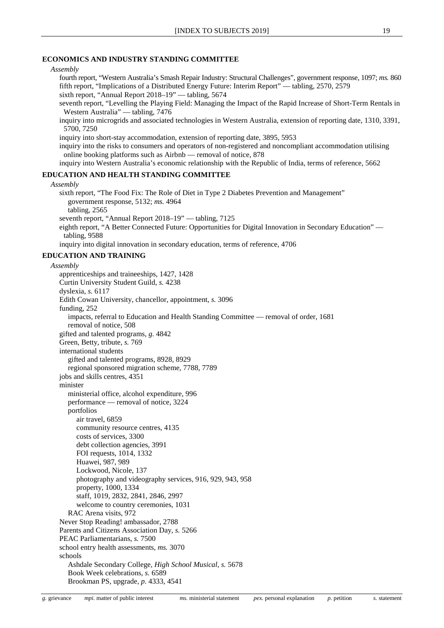#### **ECONOMICS AND INDUSTRY STANDING COMMITTEE**

*Assembly*

fourth report, "Western Australia's Smash Repair Industry: Structural Challenges", government response, 1097; *ms.* 860 fifth report, "Implications of a Distributed Energy Future: Interim Report" — tabling, 2570, 2579 sixth report, "Annual Report 2018–19" — tabling, 5674

seventh report, "Levelling the Playing Field: Managing the Impact of the Rapid Increase of Short-Term Rentals in Western Australia" — tabling, 7476

inquiry into microgrids and associated technologies in Western Australia, extension of reporting date, 1310, 3391, 5700, 7250

inquiry into short-stay accommodation, extension of reporting date, 3895, 5953

inquiry into the risks to consumers and operators of non-registered and noncompliant accommodation utilising online booking platforms such as Airbnb — removal of notice, 878

inquiry into Western Australia's economic relationship with the Republic of India, terms of reference, 5662

#### **EDUCATION AND HEALTH STANDING COMMITTEE**

#### *Assembly*

sixth report, "The Food Fix: The Role of Diet in Type 2 Diabetes Prevention and Management" government response, 5132; *ms.* 4964

tabling, 2565

seventh report, "Annual Report 2018–19" — tabling, 7125

eighth report, "A Better Connected Future: Opportunities for Digital Innovation in Secondary Education" tabling, 9588

inquiry into digital innovation in secondary education, terms of reference, 4706

#### **EDUCATION AND TRAINING**

*Assembly* apprenticeships and traineeships, 1427, 1428 Curtin University Student Guild, *s.* 4238 dyslexia, *s.* 6117 Edith Cowan University, chancellor, appointment, *s.* 3096 funding, 252 impacts, referral to Education and Health Standing Committee — removal of order, 1681 removal of notice, 508 gifted and talented programs, *g.* 4842 Green, Betty, tribute, *s.* 769 international students gifted and talented programs, 8928, 8929 regional sponsored migration scheme, 7788, 7789 jobs and skills centres, 4351 minister ministerial office, alcohol expenditure, 996 performance — removal of notice, 3224 portfolios air travel, 6859 community resource centres, 4135 costs of services, 3300 debt collection agencies, 3991 FOI requests, 1014, 1332 Huawei, 987, 989 Lockwood, Nicole, 137 photography and videography services, 916, 929, 943, 958 property, 1000, 1334 staff, 1019, 2832, 2841, 2846, 2997 welcome to country ceremonies, 1031 RAC Arena visits, 972 Never Stop Reading! ambassador, 2788 Parents and Citizens Association Day, *s.* 5266 PEAC Parliamentarians, *s.* 7500 school entry health assessments, *ms.* 3070 schools Ashdale Secondary College, *High School Musical*, *s.* 5678 Book Week celebrations, *s.* 6589 Brookman PS, upgrade, *p.* 4333, 4541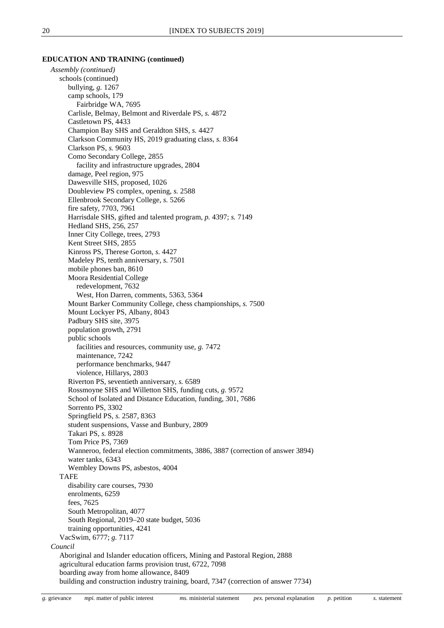*Assembly (continued)* schools (continued) bullying, *g.* 1267 camp schools, 179 Fairbridge WA, 7695 Carlisle, Belmay, Belmont and Riverdale PS, *s.* 4872 Castletown PS, 4433 Champion Bay SHS and Geraldton SHS, *s.* 4427 Clarkson Community HS, 2019 graduating class, *s.* 8364 Clarkson PS, *s.* 9603 Como Secondary College, 2855 facility and infrastructure upgrades, 2804 damage, Peel region, 975 Dawesville SHS, proposed, 1026 Doubleview PS complex, opening, *s.* 2588 Ellenbrook Secondary College, *s.* 5266 fire safety, 7703, 7961 Harrisdale SHS, gifted and talented program, *p.* 4397; *s.* 7149 Hedland SHS, 256, 257 Inner City College, trees, 2793 Kent Street SHS, 2855 Kinross PS, Therese Gorton, *s.* 4427 Madeley PS, tenth anniversary, *s.* 7501 mobile phones ban, 8610 Moora Residential College redevelopment, 7632 West, Hon Darren, comments, 5363, 5364 Mount Barker Community College, chess championships, *s.* 7500 Mount Lockyer PS, Albany, 8043 Padbury SHS site, 3975 population growth, 2791 public schools facilities and resources, community use, *g.* 7472 maintenance, 7242 performance benchmarks, 9447 violence, Hillarys, 2803 Riverton PS, seventieth anniversary, *s.* 6589 Rossmoyne SHS and Willetton SHS, funding cuts, *g.* 9572 School of Isolated and Distance Education, funding, 301, 7686 Sorrento PS, 3302 Springfield PS, *s.* 2587, 8363 student suspensions, Vasse and Bunbury, 2809 Takari PS, *s.* 8928 Tom Price PS, 7369 Wanneroo, federal election commitments, 3886, 3887 (correction of answer 3894) water tanks, 6343 Wembley Downs PS, asbestos, 4004 TAFE disability care courses, 7930 enrolments, 6259 fees, 7625 South Metropolitan, 4077 South Regional, 2019–20 state budget, 5036 training opportunities, 4241 VacSwim, 6777; *g.* 7117 *Council* Aboriginal and Islander education officers, Mining and Pastoral Region, 2888 agricultural education farms provision trust, 6722, 7098 boarding away from home allowance, 8409 building and construction industry training, board, 7347 (correction of answer 7734)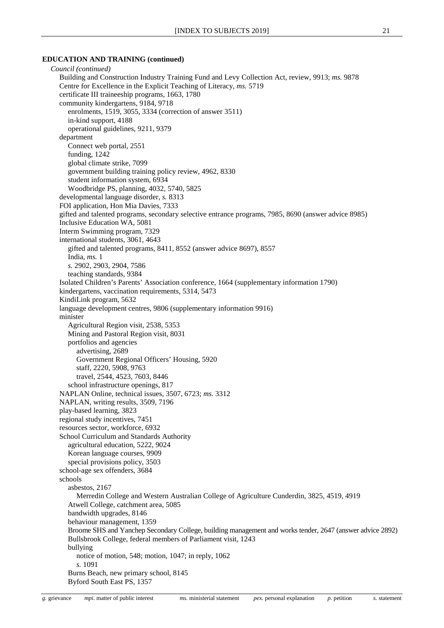*Council (continued)* Building and Construction Industry Training Fund and Levy Collection Act, review, 9913; *ms.* 9878 Centre for Excellence in the Explicit Teaching of Literacy, *ms.* 5719 certificate III traineeship programs, 1663, 1780 community kindergartens, 9184, 9718 enrolments, 1519, 3055, 3334 (correction of answer 3511) in-kind support, 4188 operational guidelines, 9211, 9379 department Connect web portal, 2551 funding, 1242 global climate strike, 7099 government building training policy review, 4962, 8330 student information system, 6934 Woodbridge PS, planning, 4032, 5740, 5825 developmental language disorder, *s.* 8313 FOI application, Hon Mia Davies, 7333 gifted and talented programs, secondary selective entrance programs, 7985, 8690 (answer advice 8985) Inclusive Education WA, 5081 Interm Swimming program, 7329 international students, 3061, 4643 gifted and talented programs, 8411, 8552 (answer advice 8697), 8557 India, *ms.* 1 *s.* 2902, 2903, 2904, 7586 teaching standards, 9384 Isolated Children's Parents' Association conference, 1664 (supplementary information 1790) kindergartens, vaccination requirements, 5314, 5473 KindiLink program, 5632 language development centres, 9806 (supplementary information 9916) minister Agricultural Region visit, 2538, 5353 Mining and Pastoral Region visit, 8031 portfolios and agencies advertising, 2689 Government Regional Officers' Housing, 5920 staff, 2220, 5908, 9763 travel, 2544, 4523, 7603, 8446 school infrastructure openings, 817 NAPLAN Online, technical issues, 3507, 6723; *ms.* 3312 NAPLAN, writing results, 3509, 7196 play-based learning, 3823 regional study incentives, 7451 resources sector, workforce, 6932 School Curriculum and Standards Authority agricultural education, 5222, 9024 Korean language courses, 9909 special provisions policy, 3503 school-age sex offenders, 3684 schools asbestos, 2167 Merredin College and Western Australian College of Agriculture Cunderdin, 3825, 4519, 4919 Atwell College, catchment area, 5085 bandwidth upgrades, 8146 behaviour management, 1359 Broome SHS and Yanchep Secondary College, building management and works tender, 2647 (answer advice 2892) Bullsbrook College, federal members of Parliament visit, 1243 bullying notice of motion, 548; motion, 1047; in reply, 1062 *s.* 1091 Burns Beach, new primary school, 8145 Byford South East PS, 1357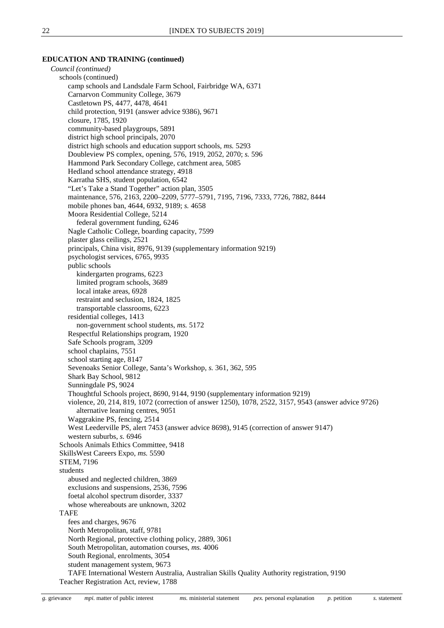*Council (continued)* schools (continued) camp schools and Landsdale Farm School, Fairbridge WA, 6371 Carnarvon Community College, 3679 Castletown PS, 4477, 4478, 4641 child protection, 9191 (answer advice 9386), 9671 closure, 1785, 1920 community-based playgroups, 5891 district high school principals, 2070 district high schools and education support schools, *ms.* 5293 Doubleview PS complex, opening, 576, 1919, 2052, 2070; *s.* 596 Hammond Park Secondary College, catchment area, 5085 Hedland school attendance strategy, 4918 Karratha SHS, student population, 6542 "Let's Take a Stand Together" action plan, 3505 maintenance, 576, 2163, 2200–2209, 5777–5791, 7195, 7196, 7333, 7726, 7882, 8444 mobile phones ban, 4644, 6932, 9189; *s.* 4658 Moora Residential College, 5214 federal government funding, 6246 Nagle Catholic College, boarding capacity, 7599 plaster glass ceilings, 2521 principals, China visit, 8976, 9139 (supplementary information 9219) psychologist services, 6765, 9935 public schools kindergarten programs, 6223 limited program schools, 3689 local intake areas, 6928 restraint and seclusion, 1824, 1825 transportable classrooms, 6223 residential colleges, 1413 non-government school students, *ms.* 5172 Respectful Relationships program, 1920 Safe Schools program, 3209 school chaplains, 7551 school starting age, 8147 Sevenoaks Senior College, Santa's Workshop, *s.* 361, 362, 595 Shark Bay School, 9812 Sunningdale PS, 9024 Thoughtful Schools project, 8690, 9144, 9190 (supplementary information 9219) violence, 20, 214, 819, 1072 (correction of answer 1250), 1078, 2522, 3157, 9543 (answer advice 9726) alternative learning centres, 9051 Waggrakine PS, fencing, 2514 West Leederville PS, alert 7453 (answer advice 8698), 9145 (correction of answer 9147) western suburbs, *s.* 6946 Schools Animals Ethics Committee, 9418 SkillsWest Careers Expo, *ms.* 5590 STEM, 7196 students abused and neglected children, 3869 exclusions and suspensions, 2536, 7596 foetal alcohol spectrum disorder, 3337 whose whereabouts are unknown, 3202 TAFE fees and charges, 9676 North Metropolitan, staff, 9781 North Regional, protective clothing policy, 2889, 3061 South Metropolitan, automation courses, *ms.* 4006 South Regional, enrolments, 3054 student management system, 9673 TAFE International Western Australia, Australian Skills Quality Authority registration, 9190 Teacher Registration Act, review, 1788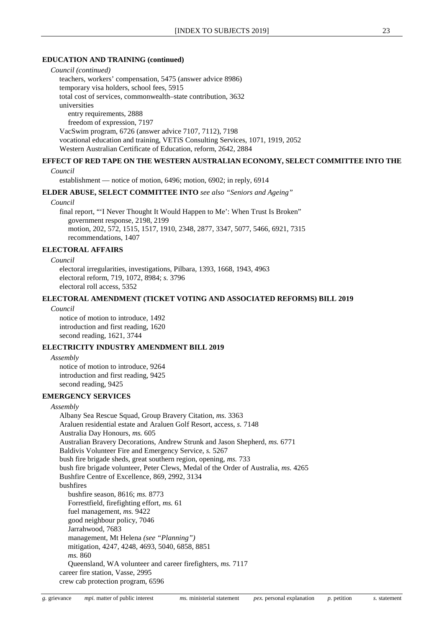#### *Council (continued)*

teachers, workers' compensation, 5475 (answer advice 8986)

temporary visa holders, school fees, 5915

total cost of services, commonwealth–state contribution, 3632

universities

entry requirements, 2888

freedom of expression, 7197

VacSwim program, 6726 (answer advice 7107, 7112), 7198

vocational education and training, VETiS Consulting Services, 1071, 1919, 2052

Western Australian Certificate of Education, reform, 2642, 2884

#### **EFFECT OF RED TAPE ON THE WESTERN AUSTRALIAN ECONOMY, SELECT COMMITTEE INTO THE**

#### *Council*

establishment — notice of motion, 6496; motion, 6902; in reply, 6914

#### **ELDER ABUSE, SELECT COMMITTEE INTO** *see also "Seniors and Ageing"*

#### *Council*

final report, "'I Never Thought It Would Happen to Me': When Trust Is Broken" government response, 2198, 2199 motion, 202, 572, 1515, 1517, 1910, 2348, 2877, 3347, 5077, 5466, 6921, 7315 recommendations, 1407

#### **ELECTORAL AFFAIRS**

#### *Council*

electoral irregularities, investigations, Pilbara, 1393, 1668, 1943, 4963 electoral reform, 719, 1072, 8984; *s.* 3796 electoral roll access, 5352

#### **ELECTORAL AMENDMENT (TICKET VOTING AND ASSOCIATED REFORMS) BILL 2019**

#### *Council*

notice of motion to introduce, 1492 introduction and first reading, 1620 second reading, 1621, 3744

#### **ELECTRICITY INDUSTRY AMENDMENT BILL 2019**

*Assembly* notice of motion to introduce, 9264 introduction and first reading, 9425 second reading, 9425

#### **EMERGENCY SERVICES**

#### *Assembly*

Albany Sea Rescue Squad, Group Bravery Citation, *ms.* 3363 Araluen residential estate and Araluen Golf Resort, access, *s.* 7148 Australia Day Honours, *ms.* 605 Australian Bravery Decorations, Andrew Strunk and Jason Shepherd, *ms.* 6771 Baldivis Volunteer Fire and Emergency Service, *s.* 5267 bush fire brigade sheds, great southern region, opening, *ms.* 733 bush fire brigade volunteer, Peter Clews, Medal of the Order of Australia, *ms.* 4265 Bushfire Centre of Excellence, 869, 2992, 3134 bushfires bushfire season, 8616; *ms.* 8773 Forrestfield, firefighting effort, *ms.* 61 fuel management, *ms.* 9422 good neighbour policy, 7046 Jarrahwood, 7683 management, Mt Helena *(see "Planning")* mitigation, 4247, 4248, 4693, 5040, 6858, 8851 *ms.* 860 Queensland, WA volunteer and career firefighters, *ms.* 7117 career fire station, Vasse, 2995 crew cab protection program, 6596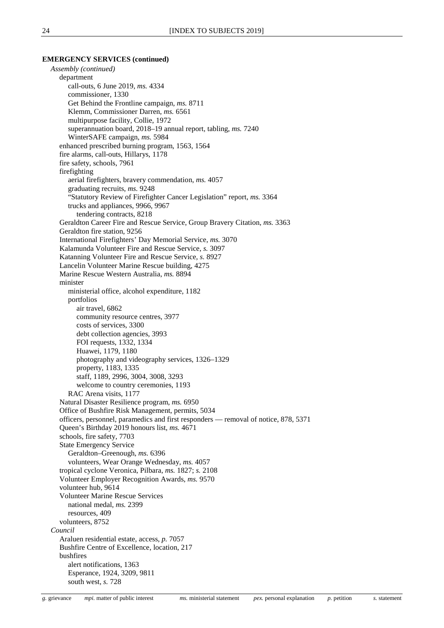#### **EMERGENCY SERVICES (continued)**

*Assembly (continued)* department call-outs, 6 June 2019, *ms.* 4334 commissioner, 1330 Get Behind the Frontline campaign, *ms.* 8711 Klemm, Commissioner Darren, *ms.* 6561 multipurpose facility, Collie, 1972 superannuation board, 2018–19 annual report, tabling, *ms.* 7240 WinterSAFE campaign, *ms.* 5984 enhanced prescribed burning program, 1563, 1564 fire alarms, call-outs, Hillarys, 1178 fire safety, schools, 7961 firefighting aerial firefighters, bravery commendation, *ms.* 4057 graduating recruits, *ms.* 9248 "Statutory Review of Firefighter Cancer Legislation" report, *ms.* 3364 trucks and appliances, 9966, 9967 tendering contracts, 8218 Geraldton Career Fire and Rescue Service, Group Bravery Citation, *ms.* 3363 Geraldton fire station, 9256 International Firefighters' Day Memorial Service, *ms.* 3070 Kalamunda Volunteer Fire and Rescue Service, *s.* 3097 Katanning Volunteer Fire and Rescue Service, *s.* 8927 Lancelin Volunteer Marine Rescue building, 4275 Marine Rescue Western Australia, *ms.* 8894 minister ministerial office, alcohol expenditure, 1182 portfolios air travel, 6862 community resource centres, 3977 costs of services, 3300 debt collection agencies, 3993 FOI requests, 1332, 1334 Huawei, 1179, 1180 photography and videography services, 1326–1329 property, 1183, 1335 staff, 1189, 2996, 3004, 3008, 3293 welcome to country ceremonies, 1193 RAC Arena visits, 1177 Natural Disaster Resilience program, *ms.* 6950 Office of Bushfire Risk Management, permits, 5034 officers, personnel, paramedics and first responders — removal of notice, 878, 5371 Queen's Birthday 2019 honours list, *ms.* 4671 schools, fire safety, 7703 State Emergency Service Geraldton–Greenough, *ms.* 6396 volunteers, Wear Orange Wednesday, *ms.* 4057 tropical cyclone Veronica, Pilbara, *ms.* 1827; *s.* 2108 Volunteer Employer Recognition Awards, *ms.* 9570 volunteer hub, 9614 Volunteer Marine Rescue Services national medal, *ms.* 2399 resources, 409 volunteers, 8752 *Council* Araluen residential estate, access, *p.* 7057 Bushfire Centre of Excellence, location, 217 bushfires alert notifications, 1363 Esperance, 1924, 3209, 9811 south west, *s.* 728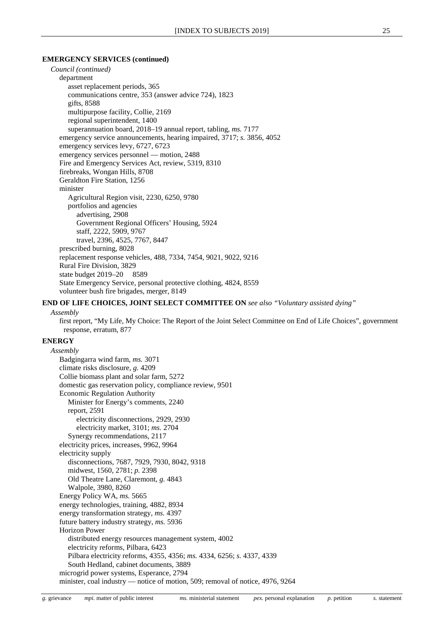#### **EMERGENCY SERVICES (continued)**

*Council (continued)* department asset replacement periods, 365 communications centre, 353 (answer advice 724), 1823 gifts, 8588 multipurpose facility, Collie, 2169 regional superintendent, 1400 superannuation board, 2018–19 annual report, tabling, *ms.* 7177 emergency service announcements, hearing impaired, 3717; *s.* 3856, 4052 emergency services levy, 6727, 6723 emergency services personnel — motion, 2488 Fire and Emergency Services Act, review, 5319, 8310 firebreaks, Wongan Hills, 8708 Geraldton Fire Station, 1256 minister Agricultural Region visit, 2230, 6250, 9780 portfolios and agencies advertising, 2908 Government Regional Officers' Housing, 5924 staff, 2222, 5909, 9767 travel, 2396, 4525, 7767, 8447 prescribed burning, 8028 replacement response vehicles, 488, 7334, 7454, 9021, 9022, 9216 Rural Fire Division, 3829 state budget 2019–20 8589 State Emergency Service, personal protective clothing, 4824, 8559 volunteer bush fire brigades, merger, 8149

#### **END OF LIFE CHOICES, JOINT SELECT COMMITTEE ON** *see also "Voluntary assisted dying"*

#### *Assembly*

first report, "My Life, My Choice: The Report of the Joint Select Committee on End of Life Choices", government response, erratum, 877

#### **ENERGY**

*Assembly* Badgingarra wind farm, *ms.* 3071 climate risks disclosure, *g.* 4209 Collie biomass plant and solar farm, 5272 domestic gas reservation policy, compliance review, 9501 Economic Regulation Authority Minister for Energy's comments, 2240 report, 2591 electricity disconnections, 2929, 2930 electricity market, 3101; *ms.* 2704 Synergy recommendations, 2117 electricity prices, increases, 9962, 9964 electricity supply disconnections, 7687, 7929, 7930, 8042, 9318 midwest, 1560, 2781; *p.* 2398 Old Theatre Lane, Claremont, *g.* 4843 Walpole, 3980, 8260 Energy Policy WA, *ms.* 5665 energy technologies, training, 4882, 8934 energy transformation strategy, *ms.* 4397 future battery industry strategy, *ms.* 5936 Horizon Power distributed energy resources management system, 4002 electricity reforms, Pilbara, 6423 Pilbara electricity reforms, 4355, 4356; *ms.* 4334, 6256; *s.* 4337, 4339 South Hedland, cabinet documents, 3889 microgrid power systems, Esperance, 2794 minister, coal industry — notice of motion, 509; removal of notice, 4976, 9264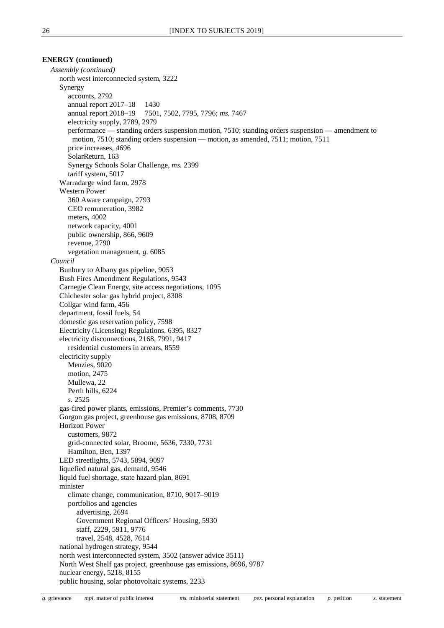#### **ENERGY (continued)**

*Assembly (continued)* north west interconnected system, 3222 Synergy accounts, 2792 annual report 2017–18 1430 annual report 2018–19 7501, 7502, 7795, 7796; *ms.* 7467 electricity supply, 2789, 2979 performance — standing orders suspension motion, 7510; standing orders suspension — amendment to motion, 7510; standing orders suspension — motion, as amended, 7511; motion, 7511 price increases, 4696 SolarReturn, 163 Synergy Schools Solar Challenge, *ms.* 2399 tariff system, 5017 Warradarge wind farm, 2978 Western Power 360 Aware campaign, 2793 CEO remuneration, 3982 meters, 4002 network capacity, 4001 public ownership, 866, 9609 revenue, 2790 vegetation management, *g.* 6085 *Council* Bunbury to Albany gas pipeline, 9053 Bush Fires Amendment Regulations, 9543 Carnegie Clean Energy, site access negotiations, 1095 Chichester solar gas hybrid project, 8308 Collgar wind farm, 456 department, fossil fuels, 54 domestic gas reservation policy, 7598 Electricity (Licensing) Regulations, 6395, 8327 electricity disconnections, 2168, 7991, 9417 residential customers in arrears, 8559 electricity supply Menzies, 9020 motion, 2475 Mullewa, 22 Perth hills, 6224 *s.* 2525 gas-fired power plants, emissions, Premier's comments, 7730 Gorgon gas project, greenhouse gas emissions, 8708, 8709 Horizon Power customers, 9872 grid-connected solar, Broome, 5636, 7330, 7731 Hamilton, Ben, 1397 LED streetlights, 5743, 5894, 9097 liquefied natural gas, demand, 9546 liquid fuel shortage, state hazard plan, 8691 minister climate change, communication, 8710, 9017–9019 portfolios and agencies advertising, 2694 Government Regional Officers' Housing, 5930 staff, 2229, 5911, 9776 travel, 2548, 4528, 7614 national hydrogen strategy, 9544 north west interconnected system, 3502 (answer advice 3511) North West Shelf gas project, greenhouse gas emissions, 8696, 9787 nuclear energy, 5218, 8155 public housing, solar photovoltaic systems, 2233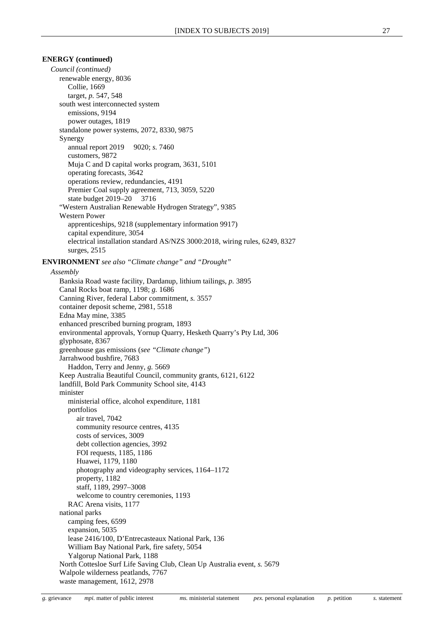#### **ENERGY (continued)**

*Council (continued)* renewable energy, 8036 Collie, 1669 target, *p.* 547, 548 south west interconnected system emissions, 9194 power outages, 1819 standalone power systems, 2072, 8330, 9875 Synergy annual report 2019 9020; *s.* 7460 customers, 9872 Muja C and D capital works program, 3631, 5101 operating forecasts, 3642 operations review, redundancies, 4191 Premier Coal supply agreement, 713, 3059, 5220 state budget 2019–20 3716 "Western Australian Renewable Hydrogen Strategy", 9385 Western Power apprenticeships, 9218 (supplementary information 9917) capital expenditure, 3054 electrical installation standard AS/NZS 3000:2018, wiring rules, 6249, 8327 surges, 2515 **ENVIRONMENT** *see also "Climate change" and "Drought" Assembly* Banksia Road waste facility, Dardanup, lithium tailings, *p.* 3895 Canal Rocks boat ramp, 1198; *g.* 1686 Canning River, federal Labor commitment, *s.* 3557 container deposit scheme, 2981, 5518 Edna May mine, 3385 enhanced prescribed burning program, 1893 environmental approvals, Yornup Quarry, Hesketh Quarry's Pty Ltd, 306 glyphosate, 8367 greenhouse gas emissions (*see "Climate change"*) Jarrahwood bushfire, 7683 Haddon, Terry and Jenny, *g.* 5669 Keep Australia Beautiful Council, community grants, 6121, 6122 landfill, Bold Park Community School site, 4143 minister ministerial office, alcohol expenditure, 1181 portfolios air travel, 7042 community resource centres, 4135 costs of services, 3009 debt collection agencies, 3992 FOI requests, 1185, 1186 Huawei, 1179, 1180 photography and videography services, 1164–1172 property, 1182 staff, 1189, 2997–3008 welcome to country ceremonies, 1193 RAC Arena visits, 1177 national parks camping fees, 6599 expansion, 5035 lease 2416/100, D'Entrecasteaux National Park, 136 William Bay National Park, fire safety, 5054 Yalgorup National Park, 1188 North Cottesloe Surf Life Saving Club, Clean Up Australia event, *s.* 5679 Walpole wilderness peatlands, 7767 waste management, 1612, 2978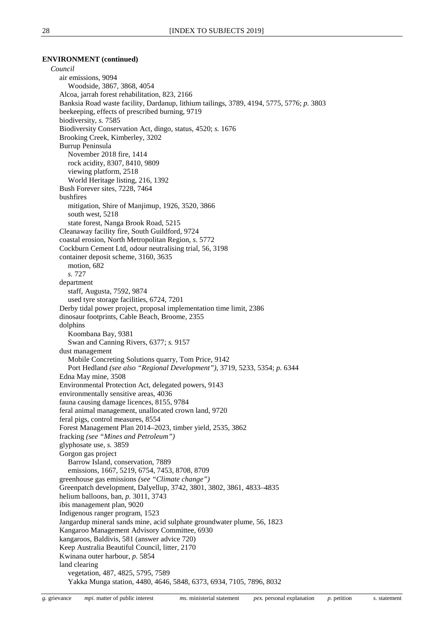#### **ENVIRONMENT (continued)**

*Council* air emissions, 9094 Woodside, 3867, 3868, 4054 Alcoa, jarrah forest rehabilitation, 823, 2166 Banksia Road waste facility, Dardanup, lithium tailings, 3789, 4194, 5775, 5776; *p.* 3803 beekeeping, effects of prescribed burning, 9719 biodiversity, *s.* 7585 Biodiversity Conservation Act, dingo, status, 4520; *s.* 1676 Brooking Creek, Kimberley, 3202 Burrup Peninsula November 2018 fire, 1414 rock acidity, 8307, 8410, 9809 viewing platform, 2518 World Heritage listing, 216, 1392 Bush Forever sites, 7228, 7464 bushfires mitigation, Shire of Manjimup, 1926, 3520, 3866 south west, 5218 state forest, Nanga Brook Road, 5215 Cleanaway facility fire, South Guildford, 9724 coastal erosion, North Metropolitan Region, *s.* 5772 Cockburn Cement Ltd, odour neutralising trial, 56, 3198 container deposit scheme, 3160, 3635 motion, 682 *s.* 727 department staff, Augusta, 7592, 9874 used tyre storage facilities, 6724, 7201 Derby tidal power project, proposal implementation time limit, 2386 dinosaur footprints, Cable Beach, Broome, 2355 dolphins Koombana Bay, 9381 Swan and Canning Rivers, 6377; *s.* 9157 dust management Mobile Concreting Solutions quarry, Tom Price, 9142 Port Hedland *(see also "Regional Development")*, 3719, 5233, 5354; *p.* 6344 Edna May mine, 3508 Environmental Protection Act, delegated powers, 9143 environmentally sensitive areas, 4036 fauna causing damage licences, 8155, 9784 feral animal management, unallocated crown land, 9720 feral pigs, control measures, 8554 Forest Management Plan 2014–2023, timber yield, 2535, 3862 fracking *(see "Mines and Petroleum")* glyphosate use, *s.* 3859 Gorgon gas project Barrow Island, conservation, 7889 emissions, 1667, 5219, 6754, 7453, 8708, 8709 greenhouse gas emissions *(see "Climate change")* Greenpatch development, Dalyellup, 3742, 3801, 3802, 3861, 4833–4835 helium balloons, ban, *p.* 3011, 3743 ibis management plan, 9020 Indigenous ranger program, 1523 Jangardup mineral sands mine, acid sulphate groundwater plume, 56, 1823 Kangaroo Management Advisory Committee, 6930 kangaroos, Baldivis, 581 (answer advice 720) Keep Australia Beautiful Council, litter, 2170 Kwinana outer harbour, *p.* 5854 land clearing vegetation, 487, 4825, 5795, 7589 Yakka Munga station, 4480, 4646, 5848, 6373, 6934, 7105, 7896, 8032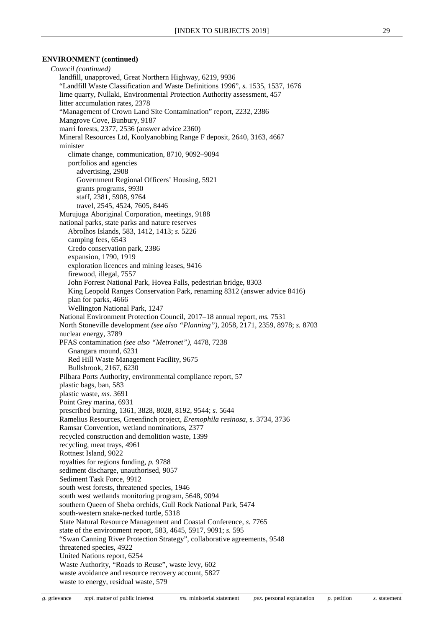#### **ENVIRONMENT (continued)**

*Council (continued)* landfill, unapproved, Great Northern Highway, 6219, 9936 "Landfill Waste Classification and Waste Definitions 1996", *s.* 1535, 1537, 1676 lime quarry, Nullaki, Environmental Protection Authority assessment, 457 litter accumulation rates, 2378 "Management of Crown Land Site Contamination" report, 2232, 2386 Mangrove Cove, Bunbury, 9187 marri forests, 2377, 2536 (answer advice 2360) Mineral Resources Ltd, Koolyanobbing Range F deposit, 2640, 3163, 4667 minister climate change, communication, 8710, 9092–9094 portfolios and agencies advertising, 2908 Government Regional Officers' Housing, 5921 grants programs, 9930 staff, 2381, 5908, 9764 travel, 2545, 4524, 7605, 8446 Murujuga Aboriginal Corporation, meetings, 9188 national parks, state parks and nature reserves Abrolhos Islands, 583, 1412, 1413; *s.* 5226 camping fees, 6543 Credo conservation park, 2386 expansion, 1790, 1919 exploration licences and mining leases, 9416 firewood, illegal, 7557 John Forrest National Park, Hovea Falls, pedestrian bridge, 8303 King Leopold Ranges Conservation Park, renaming 8312 (answer advice 8416) plan for parks, 4666 Wellington National Park, 1247 National Environment Protection Council, 2017–18 annual report, *ms.* 7531 North Stoneville development *(see also "Planning")*, 2058, 2171, 2359, 8978; *s.* 8703 nuclear energy, 3789 PFAS contamination *(see also "Metronet")*, 4478, 7238 Gnangara mound, 6231 Red Hill Waste Management Facility, 9675 Bullsbrook, 2167, 6230 Pilbara Ports Authority, environmental compliance report, 57 plastic bags, ban, 583 plastic waste, *ms.* 3691 Point Grey marina, 6931 prescribed burning, 1361, 3828, 8028, 8192, 9544; *s.* 5644 Ramelius Resources, Greenfinch project, *Eremophila resinosa*, *s.* 3734, 3736 Ramsar Convention, wetland nominations, 2377 recycled construction and demolition waste, 1399 recycling, meat trays, 4961 Rottnest Island, 9022 royalties for regions funding, *p.* 9788 sediment discharge, unauthorised, 9057 Sediment Task Force, 9912 south west forests, threatened species, 1946 south west wetlands monitoring program, 5648, 9094 southern Queen of Sheba orchids, Gull Rock National Park, 5474 south-western snake-necked turtle, 5318 State Natural Resource Management and Coastal Conference, *s.* 7765 state of the environment report, 583, 4645, 5917, 9091; *s.* 595 "Swan Canning River Protection Strategy", collaborative agreements, 9548 threatened species, 4922 United Nations report, 6254 Waste Authority, "Roads to Reuse", waste levy, 602 waste avoidance and resource recovery account, 5827 waste to energy, residual waste, 579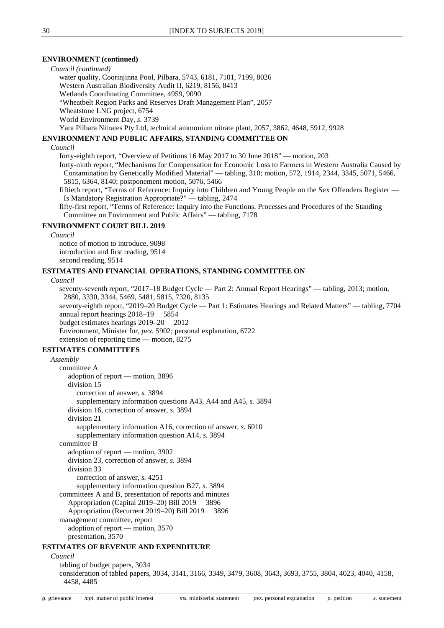#### **ENVIRONMENT (continued)**

*Council (continued)*

water quality, Coorinjinna Pool, Pilbara, 5743, 6181, 7101, 7199, 8026

Western Australian Biodiversity Audit II, 6219, 8156, 8413

Wetlands Coordinating Committee, 4959, 9090

"Wheatbelt Region Parks and Reserves Draft Management Plan", 2057

Wheatstone LNG project, 6754

World Environment Day, *s.* 3739

Yara Pilbara Nitrates Pty Ltd, technical ammonium nitrate plant, 2057, 3862, 4648, 5912, 9928

#### **ENVIRONMENT AND PUBLIC AFFAIRS, STANDING COMMITTEE ON**

#### *Council*

forty-eighth report, "Overview of Petitions 16 May 2017 to 30 June 2018" — motion, 203

forty-ninth report, "Mechanisms for Compensation for Economic Loss to Farmers in Western Australia Caused by Contamination by Genetically Modified Material" — tabling, 310; motion, 572, 1914, 2344, 3345, 5071, 5466, 5815, 6364, 8140; postponement motion, 5076, 5466

fiftieth report, "Terms of Reference: Inquiry into Children and Young People on the Sex Offenders Register — Is Mandatory Registration Appropriate?" — tabling, 2474

fifty-first report, "Terms of Reference: Inquiry into the Functions, Processes and Procedures of the Standing Committee on Environment and Public Affairs" — tabling, 7178

#### **ENVIRONMENT COURT BILL 2019**

*Council*

notice of motion to introduce, 9098 introduction and first reading, 9514 second reading, 9514

#### **ESTIMATES AND FINANCIAL OPERATIONS, STANDING COMMITTEE ON**

*Council*

seventy-seventh report, "2017–18 Budget Cycle — Part 2: Annual Report Hearings" — tabling, 2013; motion, 2880, 3330, 3344, 5469, 5481, 5815, 7320, 8135 seventy-eighth report, "2019–20 Budget Cycle — Part 1: Estimates Hearings and Related Matters" — tabling, 7704 annual report hearings 2018–19 5854 budget estimates hearings 2019–20 2012 Environment, Minister for, *pex.* 5902; personal explanation, 6722 extension of reporting time — motion, 8275 **ESTIMATES COMMITTEES**

```
Assembly
     committee A
        adoption of report — motion, 3896
        division 15
          correction of answer, s. 3894
          supplementary information questions A43, A44 and A45, s. 3894
        division 16, correction of answer, s. 3894
        division 21
          supplementary information A16, correction of answer, s. 6010
          supplementary information question A14, s. 3894
     committee B
        adoption of report — motion, 3902
        division 23, correction of answer, s. 3894
        division 33
          correction of answer, s. 4251
          supplementary information question B27, s. 3894
     committees A and B, presentation of reports and minutes
        Appropriation (Capital 2019–20) Bill 2019 3896
        Appropriation (Recurrent 2019–20) Bill 2019 3896
     management committee, report
        adoption of report — motion, 3570
        presentation, 3570
ESTIMATES OF REVENUE AND EXPENDITURE
  Council
```
tabling of budget papers, 3034

consideration of tabled papers, 3034, 3141, 3166, 3349, 3479, 3608, 3643, 3693, 3755, 3804, 4023, 4040, 4158, 4458, 4485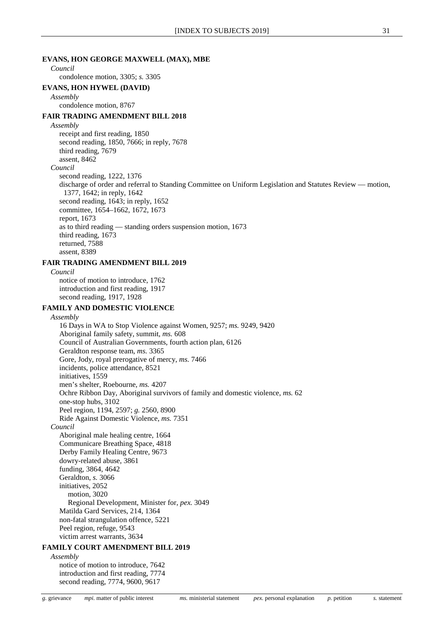#### **EVANS, HON GEORGE MAXWELL (MAX), MBE**

#### *Council* condolence motion, 3305; *s.* 3305

#### **EVANS, HON HYWEL (DAVID)** *Assembly*

condolence motion, 8767

#### **FAIR TRADING AMENDMENT BILL 2018**

*Assembly*

receipt and first reading, 1850 second reading, 1850, 7666; in reply, 7678

third reading, 7679

assent, 8462

#### *Council*

second reading, 1222, 1376

discharge of order and referral to Standing Committee on Uniform Legislation and Statutes Review — motion, 1377, 1642; in reply, 1642 second reading, 1643; in reply, 1652 committee, 1654–1662, 1672, 1673

report, 1673

as to third reading — standing orders suspension motion, 1673 third reading, 1673 returned, 7588 assent, 8389

#### **FAIR TRADING AMENDMENT BILL 2019**

*Council* notice of motion to introduce, 1762 introduction and first reading, 1917 second reading, 1917, 1928

#### **FAMILY AND DOMESTIC VIOLENCE**

#### *Assembly*

16 Days in WA to Stop Violence against Women, 9257; *ms.* 9249, 9420 Aboriginal family safety, summit, *ms.* 608 Council of Australian Governments, fourth action plan, 6126 Geraldton response team, *ms.* 3365 Gore, Jody, royal prerogative of mercy, *ms.* 7466 incidents, police attendance, 8521 initiatives, 1559 men's shelter, Roebourne, *ms.* 4207 Ochre Ribbon Day, Aboriginal survivors of family and domestic violence, *ms.* 62 one-stop hubs, 3102 Peel region, 1194, 2597; *g.* 2560, 8900 Ride Against Domestic Violence, *ms.* 7351 *Council* Aboriginal male healing centre, 1664 Communicare Breathing Space, 4818 Derby Family Healing Centre, 9673 dowry-related abuse, 3861 funding, 3864, 4642 Geraldton, *s.* 3066 initiatives, 2052 motion, 3020 Regional Development, Minister for, *pex.* 3049 Matilda Gard Services, 214, 1364 non-fatal strangulation offence, 5221 Peel region, refuge, 9543 victim arrest warrants, 3634 **FAMILY COURT AMENDMENT BILL 2019** *Assembly*

notice of motion to introduce, 7642 introduction and first reading, 7774 second reading, 7774, 9600, 9617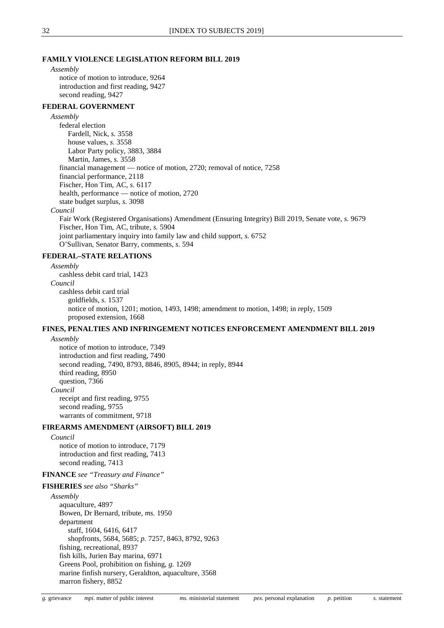#### **FAMILY VIOLENCE LEGISLATION REFORM BILL 2019**

*Assembly* notice of motion to introduce, 9264 introduction and first reading, 9427 second reading, 9427

#### **FEDERAL GOVERNMENT**

*Assembly* federal election Fardell, Nick, *s.* 3558 house values, *s.* 3558 Labor Party policy, 3883, 3884 Martin, James, *s.* 3558 financial management — notice of motion, 2720; removal of notice, 7258 financial performance, 2118 Fischer, Hon Tim, AC, *s.* 6117 health, performance — notice of motion, 2720 state budget surplus, *s.* 3098 *Council* Fair Work (Registered Organisations) Amendment (Ensuring Integrity) Bill 2019, Senate vote, *s.* 9679 Fischer, Hon Tim, AC, tribute, *s.* 5904 joint parliamentary inquiry into family law and child support, *s.* 6752 O'Sullivan, Senator Barry, comments, *s.* 594

#### **FEDERAL–STATE RELATIONS**

### *Assembly*

cashless debit card trial, 1423 *Council* cashless debit card trial goldfields, *s.* 1537 notice of motion, 1201; motion, 1493, 1498; amendment to motion, 1498; in reply, 1509 proposed extension, 1668

#### **FINES, PENALTIES AND INFRINGEMENT NOTICES ENFORCEMENT AMENDMENT BILL 2019**

*Assembly*

notice of motion to introduce, 7349 introduction and first reading, 7490 second reading, 7490, 8793, 8846, 8905, 8944; in reply, 8944 third reading, 8950 question, 7366 *Council* receipt and first reading, 9755 second reading, 9755 warrants of commitment, 9718

#### **FIREARMS AMENDMENT (AIRSOFT) BILL 2019**

*Council* notice of motion to introduce, 7179 introduction and first reading, 7413 second reading, 7413

#### **FINANCE** *see "Treasury and Finance"*

#### **FISHERIES** *see also "Sharks"*

*Assembly* aquaculture, 4897 Bowen, Dr Bernard, tribute, *ms.* 1950 department staff, 1604, 6416, 6417 shopfronts, 5684, 5685; *p.* 7257, 8463, 8792, 9263 fishing, recreational, 8937 fish kills, Jurien Bay marina, 6971 Greens Pool, prohibition on fishing, *g.* 1269 marine finfish nursery, Geraldton, aquaculture, 3568 marron fishery, 8852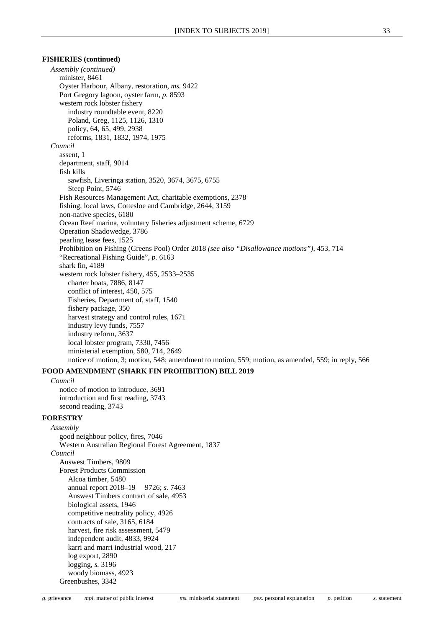#### **FISHERIES (continued)**

*Assembly (continued)* minister, 8461 Oyster Harbour, Albany, restoration, *ms.* 9422 Port Gregory lagoon, oyster farm, *p.* 8593 western rock lobster fishery industry roundtable event, 8220 Poland, Greg, 1125, 1126, 1310 policy, 64, 65, 499, 2938 reforms, 1831, 1832, 1974, 1975 *Council* assent, 1 department, staff, 9014 fish kills sawfish, Liveringa station, 3520, 3674, 3675, 6755 Steep Point, 5746 Fish Resources Management Act, charitable exemptions, 2378 fishing, local laws, Cottesloe and Cambridge, 2644, 3159 non-native species, 6180 Ocean Reef marina, voluntary fisheries adjustment scheme, 6729 Operation Shadowedge, 3786 pearling lease fees, 1525 Prohibition on Fishing (Greens Pool) Order 2018 *(see also "Disallowance motions")*, 453, 714 "Recreational Fishing Guide", *p.* 6163 shark fin, 4189 western rock lobster fishery, 455, 2533–2535 charter boats, 7886, 8147 conflict of interest, 450, 575 Fisheries, Department of, staff, 1540 fishery package, 350 harvest strategy and control rules, 1671 industry levy funds, 7557 industry reform, 3637 local lobster program, 7330, 7456 ministerial exemption, 580, 714, 2649 notice of motion, 3; motion, 548; amendment to motion, 559; motion, as amended, 559; in reply, 566

### **FOOD AMENDMENT (SHARK FIN PROHIBITION) BILL 2019**

#### *Council*

notice of motion to introduce, 3691 introduction and first reading, 3743 second reading, 3743

#### **FORESTRY**

*Assembly* good neighbour policy, fires, 7046 Western Australian Regional Forest Agreement, 1837 *Council* Auswest Timbers, 9809 Forest Products Commission Alcoa timber, 5480 annual report 2018–19 9726; *s.* 7463 Auswest Timbers contract of sale, 4953 biological assets, 1946 competitive neutrality policy, 4926 contracts of sale, 3165, 6184 harvest, fire risk assessment, 5479 independent audit, 4833, 9924 karri and marri industrial wood, 217 log export, 2890 logging, *s.* 3196 woody biomass, 4923 Greenbushes, 3342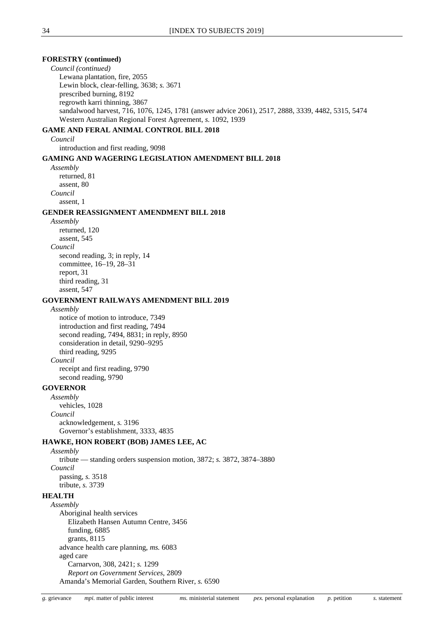#### **FORESTRY (continued)** *Council (continued)* Lewana plantation, fire, 2055 Lewin block, clear-felling, 3638; *s.* 3671 prescribed burning, 8192 regrowth karri thinning, 3867 sandalwood harvest, 716, 1076, 1245, 1781 (answer advice 2061), 2517, 2888, 3339, 4482, 5315, 5474 Western Australian Regional Forest Agreement, *s.* 1092, 1939 **GAME AND FERAL ANIMAL CONTROL BILL 2018** *Council* introduction and first reading, 9098 **GAMING AND WAGERING LEGISLATION AMENDMENT BILL 2018** *Assembly* returned, 81 assent, 80 *Council* assent, 1 **GENDER REASSIGNMENT AMENDMENT BILL 2018** *Assembly* returned, 120 assent, 545 *Council* second reading, 3; in reply, 14 committee, 16–19, 28–31 report, 31 third reading, 31 assent, 547 **GOVERNMENT RAILWAYS AMENDMENT BILL 2019** *Assembly* notice of motion to introduce, 7349 introduction and first reading, 7494 second reading, 7494, 8831; in reply, 8950 consideration in detail, 9290–9295 third reading, 9295 *Council* receipt and first reading, 9790 second reading, 9790 **GOVERNOR** *Assembly* vehicles, 1028 *Council* acknowledgement, *s.* 3196 Governor's establishment, 3333, 4835 **HAWKE, HON ROBERT (BOB) JAMES LEE, AC** *Assembly* tribute — standing orders suspension motion, 3872; *s.* 3872, 3874–3880 *Council* passing, *s.* 3518 tribute, *s.* 3739 **HEALTH** *Assembly* Aboriginal health services Elizabeth Hansen Autumn Centre, 3456 funding, 6885 grants, 8115 advance health care planning, *ms.* 6083 aged care Carnarvon, 308, 2421; *s.* 1299 *Report on Government Services*, 2809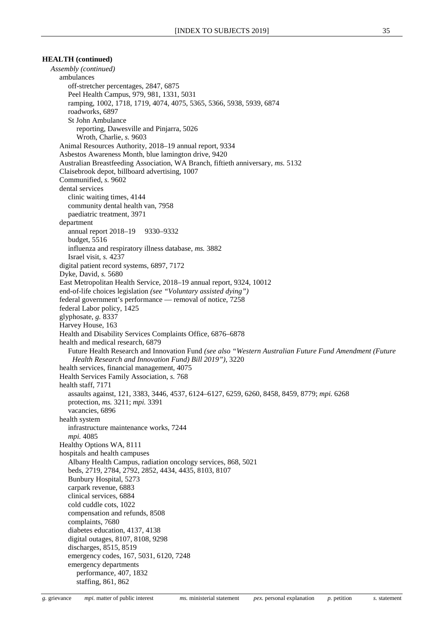*Assembly (continued)* ambulances off-stretcher percentages, 2847, 6875 Peel Health Campus, 979, 981, 1331, 5031 ramping, 1002, 1718, 1719, 4074, 4075, 5365, 5366, 5938, 5939, 6874 roadworks, 6897 St John Ambulance reporting, Dawesville and Pinjarra, 5026 Wroth, Charlie, *s.* 9603 Animal Resources Authority, 2018–19 annual report, 9334 Asbestos Awareness Month, blue lamington drive, 9420 Australian Breastfeeding Association, WA Branch, fiftieth anniversary, *ms.* 5132 Claisebrook depot, billboard advertising, 1007 Communified, *s.* 9602 dental services clinic waiting times, 4144 community dental health van, 7958 paediatric treatment, 3971 department annual report 2018–19 9330–9332 budget, 5516 influenza and respiratory illness database, *ms.* 3882 Israel visit, *s.* 4237 digital patient record systems, 6897, 7172 Dyke, David, *s.* 5680 East Metropolitan Health Service, 2018–19 annual report, 9324, 10012 end-of-life choices legislation *(see "Voluntary assisted dying")* federal government's performance — removal of notice, 7258 federal Labor policy, 1425 glyphosate, *g.* 8337 Harvey House, 163 Health and Disability Services Complaints Office, 6876–6878 health and medical research, 6879 Future Health Research and Innovation Fund *(see also "Western Australian Future Fund Amendment (Future Health Research and Innovation Fund) Bill 2019")*, 3220 health services, financial management, 4075 Health Services Family Association, *s.* 768 health staff, 7171 assaults against, 121, 3383, 3446, 4537, 6124–6127, 6259, 6260, 8458, 8459, 8779; *mpi.* 6268 protection, *ms.* 3211; *mpi.* 3391 vacancies, 6896 health system infrastructure maintenance works, 7244 *mpi.* 4085 Healthy Options WA, 8111 hospitals and health campuses Albany Health Campus, radiation oncology services, 868, 5021 beds, 2719, 2784, 2792, 2852, 4434, 4435, 8103, 8107 Bunbury Hospital, 5273 carpark revenue, 6883 clinical services, 6884 cold cuddle cots, 1022 compensation and refunds, 8508 complaints, 7680 diabetes education, 4137, 4138 digital outages, 8107, 8108, 9298 discharges, 8515, 8519 emergency codes, 167, 5031, 6120, 7248 emergency departments performance, 407, 1832 staffing, 861, 862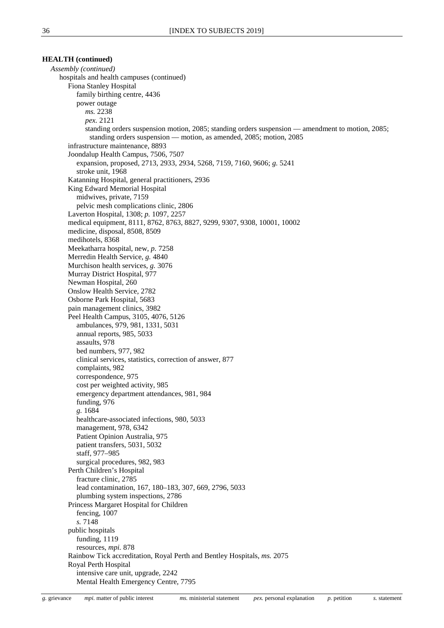*Assembly (continued)* hospitals and health campuses (continued) Fiona Stanley Hospital family birthing centre, 4436 power outage *ms.* 2238 *pex.* 2121 standing orders suspension motion, 2085; standing orders suspension — amendment to motion, 2085; standing orders suspension — motion, as amended, 2085; motion, 2085 infrastructure maintenance, 8893 Joondalup Health Campus, 7506, 7507 expansion, proposed, 2713, 2933, 2934, 5268, 7159, 7160, 9606; *g.* 5241 stroke unit, 1968 Katanning Hospital, general practitioners, 2936 King Edward Memorial Hospital midwives, private, 7159 pelvic mesh complications clinic, 2806 Laverton Hospital, 1308; *p.* 1097, 2257 medical equipment, 8111, 8762, 8763, 8827, 9299, 9307, 9308, 10001, 10002 medicine, disposal, 8508, 8509 medihotels, 8368 Meekatharra hospital, new, *p.* 7258 Merredin Health Service, *g.* 4840 Murchison health services, *g.* 3076 Murray District Hospital, 977 Newman Hospital, 260 Onslow Health Service, 2782 Osborne Park Hospital, 5683 pain management clinics, 3982 Peel Health Campus, 3105, 4076, 5126 ambulances, 979, 981, 1331, 5031 annual reports, 985, 5033 assaults, 978 bed numbers, 977, 982 clinical services, statistics, correction of answer, 877 complaints, 982 correspondence, 975 cost per weighted activity, 985 emergency department attendances, 981, 984 funding, 976 *g.* 1684 healthcare-associated infections, 980, 5033 management, 978, 6342 Patient Opinion Australia, 975 patient transfers, 5031, 5032 staff, 977–985 surgical procedures, 982, 983 Perth Children's Hospital fracture clinic, 2785 lead contamination, 167, 180–183, 307, 669, 2796, 5033 plumbing system inspections, 2786 Princess Margaret Hospital for Children fencing, 1007 *s.* 7148 public hospitals funding, 1119 resources, *mpi.* 878 Rainbow Tick accreditation, Royal Perth and Bentley Hospitals, *ms.* 2075 Royal Perth Hospital intensive care unit, upgrade, 2242 Mental Health Emergency Centre, 7795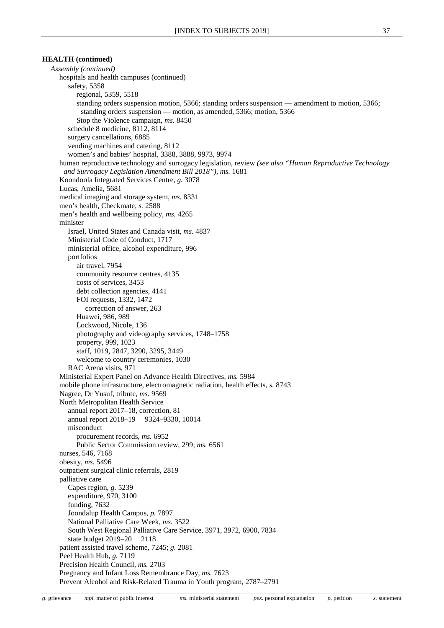*Assembly (continued)* hospitals and health campuses (continued) safety, 5358 regional, 5359, 5518 standing orders suspension motion, 5366; standing orders suspension — amendment to motion, 5366; standing orders suspension — motion, as amended, 5366; motion, 5366 Stop the Violence campaign, *ms.* 8450 schedule 8 medicine, 8112, 8114 surgery cancellations, 6885 vending machines and catering, 8112 women's and babies' hospital, 3388, 3888, 9973, 9974 human reproductive technology and surrogacy legislation, review *(see also "Human Reproductive Technology and Surrogacy Legislation Amendment Bill 2018"), ms.* 1681 Koondoola Integrated Services Centre, *g.* 3078 Lucas, Amelia, 5681 medical imaging and storage system, *ms.* 8331 men's health, Checkmate, *s.* 2588 men's health and wellbeing policy, *ms.* 4265 minister Israel, United States and Canada visit, *ms.* 4837 Ministerial Code of Conduct, 1717 ministerial office, alcohol expenditure, 996 portfolios air travel, 7954 community resource centres, 4135 costs of services, 3453 debt collection agencies, 4141 FOI requests, 1332, 1472 correction of answer, 263 Huawei, 986, 989 Lockwood, Nicole, 136 photography and videography services, 1748–1758 property, 999, 1023 staff, 1019, 2847, 3290, 3295, 3449 welcome to country ceremonies, 1030 RAC Arena visits, 971 Ministerial Expert Panel on Advance Health Directives, *ms.* 5984 mobile phone infrastructure, electromagnetic radiation, health effects, *s.* 8743 Nagree, Dr Yusuf, tribute, *ms.* 9569 North Metropolitan Health Service annual report 2017–18, correction, 81 annual report 2018–19 9324–9330, 10014 misconduct procurement records, *ms.* 6952 Public Sector Commission review, 299; *ms.* 6561 nurses, 546, 7168 obesity, *ms.* 5496 outpatient surgical clinic referrals, 2819 palliative care Capes region, *g.* 5239 expenditure, 970, 3100 funding, 7632 Joondalup Health Campus, *p.* 7897 National Palliative Care Week, *ms.* 3522 South West Regional Palliative Care Service, 3971, 3972, 6900, 7834 state budget 2019–20 2118 patient assisted travel scheme, 7245; *g.* 2081 Peel Health Hub, *g.* 7119 Precision Health Council, *ms.* 2703 Pregnancy and Infant Loss Remembrance Day, *ms.* 7623 Prevent Alcohol and Risk-Related Trauma in Youth program, 2787–2791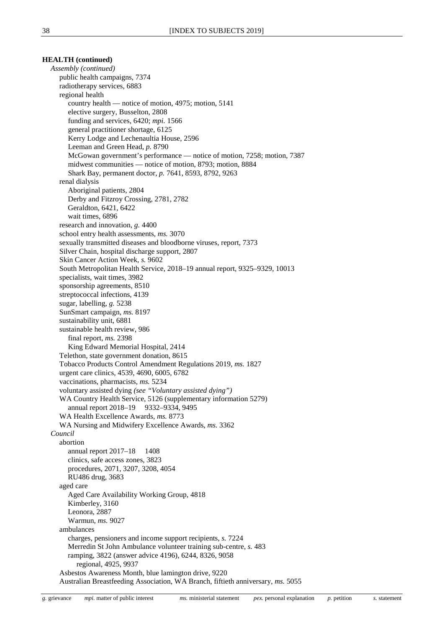*Assembly (continued)* public health campaigns, 7374 radiotherapy services, 6883 regional health country health — notice of motion, 4975; motion, 5141 elective surgery, Busselton, 2808 funding and services, 6420; *mpi.* 1566 general practitioner shortage, 6125 Kerry Lodge and Lechenaultia House, 2596 Leeman and Green Head, *p.* 8790 McGowan government's performance — notice of motion, 7258; motion, 7387 midwest communities — notice of motion, 8793; motion, 8884 Shark Bay, permanent doctor, *p.* 7641, 8593, 8792, 9263 renal dialysis Aboriginal patients, 2804 Derby and Fitzroy Crossing, 2781, 2782 Geraldton, 6421, 6422 wait times, 6896 research and innovation, *g.* 4400 school entry health assessments, *ms.* 3070 sexually transmitted diseases and bloodborne viruses, report, 7373 Silver Chain, hospital discharge support, 2807 Skin Cancer Action Week, *s.* 9602 South Metropolitan Health Service, 2018–19 annual report, 9325–9329, 10013 specialists, wait times, 3982 sponsorship agreements, 8510 streptococcal infections, 4139 sugar, labelling, *g.* 5238 SunSmart campaign, *ms.* 8197 sustainability unit, 6881 sustainable health review, 986 final report, *ms.* 2398 King Edward Memorial Hospital, 2414 Telethon, state government donation, 8615 Tobacco Products Control Amendment Regulations 2019, *ms.* 1827 urgent care clinics, 4539, 4690, 6005, 6782 vaccinations, pharmacists, *ms.* 5234 voluntary assisted dying *(see "Voluntary assisted dying")* WA Country Health Service, 5126 (supplementary information 5279) annual report 2018–19 9332–9334, 9495 WA Health Excellence Awards, *ms.* 8773 WA Nursing and Midwifery Excellence Awards, *ms.* 3362 *Council* abortion annual report 2017–18 1408 clinics, safe access zones, 3823 procedures, 2071, 3207, 3208, 4054 RU486 drug, 3683 aged care Aged Care Availability Working Group, 4818 Kimberley, 3160 Leonora, 2887 Warmun, *ms.* 9027 ambulances charges, pensioners and income support recipients, *s.* 7224 Merredin St John Ambulance volunteer training sub-centre, *s.* 483 ramping, 3822 (answer advice 4196), 6244, 8326, 9058 regional, 4925, 9937 Asbestos Awareness Month, blue lamington drive, 9220 Australian Breastfeeding Association, WA Branch, fiftieth anniversary, *ms.* 5055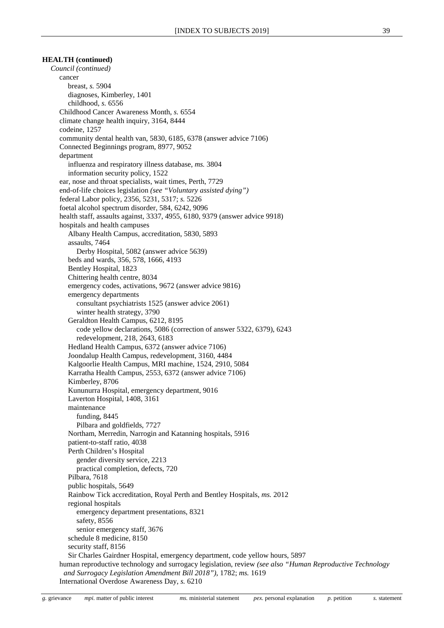*Council (continued)* cancer breast, *s.* 5904 diagnoses, Kimberley, 1401 childhood, *s.* 6556 Childhood Cancer Awareness Month, *s.* 6554 climate change health inquiry, 3164, 8444 codeine, 1257 community dental health van, 5830, 6185, 6378 (answer advice 7106) Connected Beginnings program, 8977, 9052 department influenza and respiratory illness database, *ms.* 3804 information security policy, 1522 ear, nose and throat specialists, wait times, Perth, 7729 end-of-life choices legislation *(see "Voluntary assisted dying")* federal Labor policy, 2356, 5231, 5317; *s.* 5226 foetal alcohol spectrum disorder, 584, 6242, 9096 health staff, assaults against, 3337, 4955, 6180, 9379 (answer advice 9918) hospitals and health campuses Albany Health Campus, accreditation, 5830, 5893 assaults, 7464 Derby Hospital, 5082 (answer advice 5639) beds and wards, 356, 578, 1666, 4193 Bentley Hospital, 1823 Chittering health centre, 8034 emergency codes, activations, 9672 (answer advice 9816) emergency departments consultant psychiatrists 1525 (answer advice 2061) winter health strategy, 3790 Geraldton Health Campus, 6212, 8195 code yellow declarations, 5086 (correction of answer 5322, 6379), 6243 redevelopment, 218, 2643, 6183 Hedland Health Campus, 6372 (answer advice 7106) Joondalup Health Campus, redevelopment, 3160, 4484 Kalgoorlie Health Campus, MRI machine, 1524, 2910, 5084 Karratha Health Campus, 2553, 6372 (answer advice 7106) Kimberley, 8706 Kununurra Hospital, emergency department, 9016 Laverton Hospital, 1408, 3161 maintenance funding, 8445 Pilbara and goldfields, 7727 Northam, Merredin, Narrogin and Katanning hospitals, 5916 patient-to-staff ratio, 4038 Perth Children's Hospital gender diversity service, 2213 practical completion, defects, 720 Pilbara, 7618 public hospitals, 5649 Rainbow Tick accreditation, Royal Perth and Bentley Hospitals, *ms.* 2012 regional hospitals emergency department presentations, 8321 safety, 8556 senior emergency staff, 3676 schedule 8 medicine, 8150 security staff, 8156 Sir Charles Gairdner Hospital, emergency department, code yellow hours, 5897 human reproductive technology and surrogacy legislation, review *(see also "Human Reproductive Technology and Surrogacy Legislation Amendment Bill 2018")*, 1782; *ms.* 1619

International Overdose Awareness Day, *s.* 6210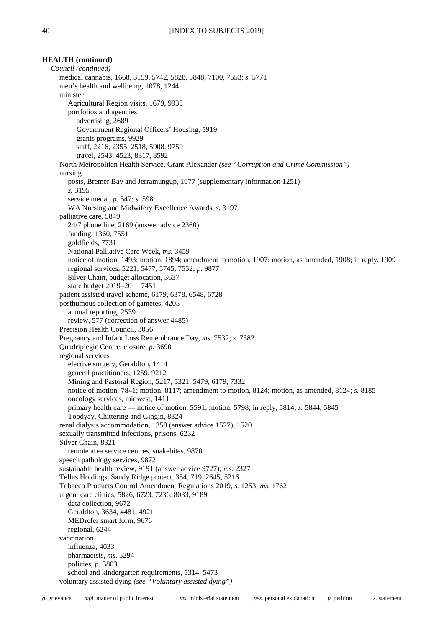*Council (continued)* medical cannabis, 1668, 3159, 5742, 5828, 5848, 7100, 7553; *s.* 5771 men's health and wellbeing, 1078, 1244 minister Agricultural Region visits, 1679, 9935 portfolios and agencies advertising, 2689 Government Regional Officers' Housing, 5919 grants programs, 9929 staff, 2216, 2355, 2518, 5908, 9759 travel, 2543, 4523, 8317, 8592 North Metropolitan Health Service, Grant Alexander *(see "Corruption and Crime Commission")* nursing posts, Bremer Bay and Jerramungup, 1077 (supplementary information 1251) *s.* 3195 service medal, *p.* 547; *s.* 598 WA Nursing and Midwifery Excellence Awards, *s.* 3197 palliative care, 5849 24/7 phone line, 2169 (answer advice 2360) funding, 1360, 7551 goldfields, 7731 National Palliative Care Week, *ms.* 3459 notice of motion, 1493; motion, 1894; amendment to motion, 1907; motion, as amended, 1908; in reply, 1909 regional services, 5221, 5477, 5745, 7552; *p.* 9877 Silver Chain, budget allocation, 3637 state budget 2019–20 7451 patient assisted travel scheme, 6179, 6378, 6548, 6728 posthumous collection of gametes, 4205 annual reporting, 2539 review, 577 (correction of answer 4485) Precision Health Council, 3056 Pregnancy and Infant Loss Remembrance Day, *ms.* 7532; *s.* 7582 Quadriplegic Centre, closure, *p.* 3690 regional services elective surgery, Geraldton, 1414 general practitioners, 1259, 9212 Mining and Pastoral Region, 5217, 5321, 5479, 6179, 7332 notice of motion, 7841; motion, 8117; amendment to motion, 8124; motion, as amended, 8124; *s.* 8185 oncology services, midwest, 1411 primary health care — notice of motion, 5591; motion, 5798; in reply, 5814; *s.* 5844, 5845 Toodyay, Chittering and Gingin, 8324 renal dialysis accommodation, 1358 (answer advice 1527), 1520 sexually transmitted infections, prisons, 6232 Silver Chain, 8321 remote area service centres, snakebites, 9870 speech pathology services, 9872 sustainable health review, 9191 (answer advice 9727); *ms.* 2327 Tellus Holdings, Sandy Ridge project, 354, 719, 2645, 5216 Tobacco Products Control Amendment Regulations 2019, *s.* 1253; *ms.* 1762 urgent care clinics, 5826, 6723, 7236, 8033, 9189 data collection, 9672 Geraldton, 3634, 4481, 4921 MEDrefer smart form, 9676 regional, 6244 vaccination influenza, 4033 pharmacists, *ms.* 5294 policies, *p.* 3803 school and kindergarten requirements, 5314, 5473 voluntary assisted dying *(see "Voluntary assisted dying")*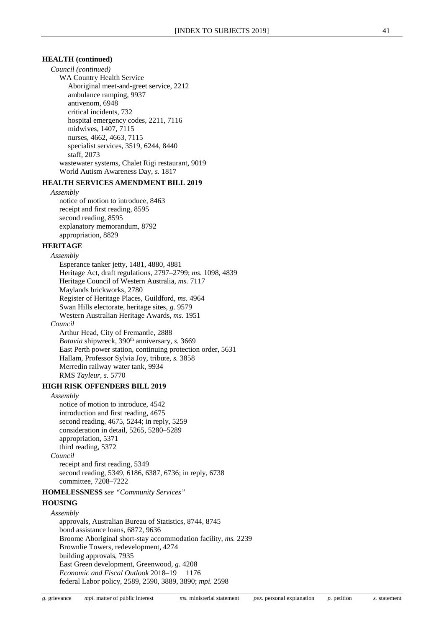*Council (continued)*

WA Country Health Service Aboriginal meet-and-greet service, 2212 ambulance ramping, 9937 antivenom, 6948 critical incidents, 732 hospital emergency codes, 2211, 7116 midwives, 1407, 7115 nurses, 4662, 4663, 7115 specialist services, 3519, 6244, 8440 staff, 2073 wastewater systems, Chalet Rigi restaurant, 9019 World Autism Awareness Day, *s.* 1817

## **HEALTH SERVICES AMENDMENT BILL 2019**

*Assembly*

notice of motion to introduce, 8463 receipt and first reading, 8595 second reading, 8595 explanatory memorandum, 8792 appropriation, 8829

## **HERITAGE**

*Assembly* Esperance tanker jetty, 1481, 4880, 4881 Heritage Act, draft regulations, 2797–2799; *ms.* 1098, 4839 Heritage Council of Western Australia, *ms.* 7117 Maylands brickworks, 2780 Register of Heritage Places, Guildford, *ms.* 4964 Swan Hills electorate, heritage sites, *g.* 9579 Western Australian Heritage Awards, *ms.* 1951 *Council* Arthur Head, City of Fremantle, 2888 *Batavia* shipwreck, 390<sup>th</sup> anniversary, *s.* 3669 East Perth power station, continuing protection order, 5631

Hallam, Professor Sylvia Joy, tribute, *s.* 3858 Merredin railway water tank, 9934 RMS *Tayleur*, *s.* 5770

## **HIGH RISK OFFENDERS BILL 2019**

## *Assembly*

notice of motion to introduce, 4542 introduction and first reading, 4675 second reading, 4675, 5244; in reply, 5259 consideration in detail, 5265, 5280–5289 appropriation, 5371 third reading, 5372 *Council* receipt and first reading, 5349 second reading, 5349, 6186, 6387, 6736; in reply, 6738 committee, 7208–7222

**HOMELESSNESS** *see "Community Services"*

#### **HOUSING**

*Assembly* approvals, Australian Bureau of Statistics, 8744, 8745 bond assistance loans, 6872, 9636 Broome Aboriginal short-stay accommodation facility, *ms.* 2239 Brownlie Towers, redevelopment, 4274 building approvals, 7935 East Green development, Greenwood, *g.* 4208 *Economic and Fiscal Outlook* 2018–19 1176 federal Labor policy, 2589, 2590, 3889, 3890; *mpi.* 2598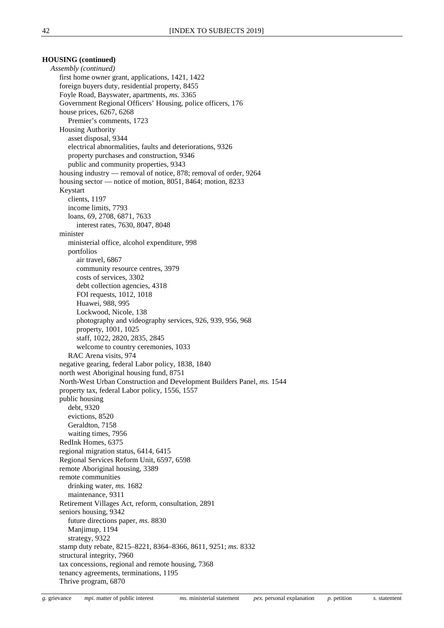## **HOUSING (continued)**

*Assembly (continued)* first home owner grant, applications, 1421, 1422 foreign buyers duty, residential property, 8455 Foyle Road, Bayswater, apartments, *ms.* 3365 Government Regional Officers' Housing, police officers, 176 house prices, 6267, 6268 Premier's comments, 1723 Housing Authority asset disposal, 9344 electrical abnormalities, faults and deteriorations, 9326 property purchases and construction, 9346 public and community properties, 9343 housing industry — removal of notice, 878; removal of order, 9264 housing sector — notice of motion, 8051, 8464; motion, 8233 Keystart clients, 1197 income limits, 7793 loans, 69, 2708, 6871, 7633 interest rates, 7630, 8047, 8048 minister ministerial office, alcohol expenditure, 998 portfolios air travel, 6867 community resource centres, 3979 costs of services, 3302 debt collection agencies, 4318 FOI requests, 1012, 1018 Huawei, 988, 995 Lockwood, Nicole, 138 photography and videography services, 926, 939, 956, 968 property, 1001, 1025 staff, 1022, 2820, 2835, 2845 welcome to country ceremonies, 1033 RAC Arena visits, 974 negative gearing, federal Labor policy, 1838, 1840 north west Aboriginal housing fund, 8751 North-West Urban Construction and Development Builders Panel, *ms.* 1544 property tax, federal Labor policy, 1556, 1557 public housing debt, 9320 evictions, 8520 Geraldton, 7158 waiting times, 7956 RedInk Homes, 6375 regional migration status, 6414, 6415 Regional Services Reform Unit, 6597, 6598 remote Aboriginal housing, 3389 remote communities drinking water, *ms.* 1682 maintenance, 9311 Retirement Villages Act, reform, consultation, 2891 seniors housing, 9342 future directions paper, *ms.* 8830 Manjimup, 1194 strategy, 9322 stamp duty rebate, 8215–8221, 8364–8366, 8611, 9251; *ms.* 8332 structural integrity, 7960 tax concessions, regional and remote housing, 7368 tenancy agreements, terminations, 1195 Thrive program, 6870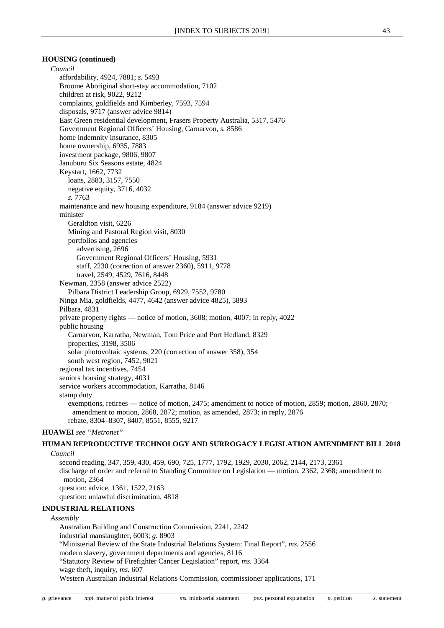## **HOUSING (continued)**

*Council* affordability, 4924, 7881; *s.* 5493 Broome Aboriginal short-stay accommodation, 7102 children at risk, 9022, 9212 complaints, goldfields and Kimberley, 7593, 7594 disposals, 9717 (answer advice 9814) East Green residential development, Frasers Property Australia, 5317, 5476 Government Regional Officers' Housing, Carnarvon, *s.* 8586 home indemnity insurance, 8305 home ownership, 6935, 7883 investment package, 9806, 9807 Januburu Six Seasons estate, 4824 Keystart, 1662, 7732 loans, 2883, 3157, 7550 negative equity, 3716, 4032 *s.* 7763 maintenance and new housing expenditure, 9184 (answer advice 9219) minister Geraldton visit, 6226 Mining and Pastoral Region visit, 8030 portfolios and agencies advertising, 2696 Government Regional Officers' Housing, 5931 staff, 2230 (correction of answer 2360), 5911, 9778 travel, 2549, 4529, 7616, 8448 Newman, 2358 (answer advice 2522) Pilbara District Leadership Group, 6929, 7552, 9780 Ninga Mia, goldfields, 4477, 4642 (answer advice 4825), 5893 Pilbara, 4831 private property rights — notice of motion, 3608; motion, 4007; in reply, 4022 public housing Carnarvon, Karratha, Newman, Tom Price and Port Hedland, 8329 properties, 3198, 3506 solar photovoltaic systems, 220 (correction of answer 358), 354 south west region, 7452, 9021 regional tax incentives, 7454 seniors housing strategy, 4031 service workers accommodation, Karratha, 8146 stamp duty exemptions, retirees — notice of motion, 2475; amendment to notice of motion, 2859; motion, 2860, 2870; amendment to motion, 2868, 2872; motion, as amended, 2873; in reply, 2876 rebate, 8304–8307, 8407, 8551, 8555, 9217 **HUAWEI** *see "Metronet"*

## **HUMAN REPRODUCTIVE TECHNOLOGY AND SURROGACY LEGISLATION AMENDMENT BILL 2018** *Council*

second reading, 347, 359, 430, 459, 690, 725, 1777, 1792, 1929, 2030, 2062, 2144, 2173, 2361 discharge of order and referral to Standing Committee on Legislation — motion, 2362, 2368; amendment to motion, 2364 question: advice, 1361, 1522, 2163 question: unlawful discrimination, 4818

#### **INDUSTRIAL RELATIONS**

*Assembly*

Australian Building and Construction Commission, 2241, 2242 industrial manslaughter, 6003; *g.* 8903 "Ministerial Review of the State Industrial Relations System: Final Report", *ms.* 2556 modern slavery, government departments and agencies, 8116 "Statutory Review of Firefighter Cancer Legislation" report, *ms.* 3364 wage theft, inquiry, *ms.* 607 Western Australian Industrial Relations Commission, commissioner applications, 171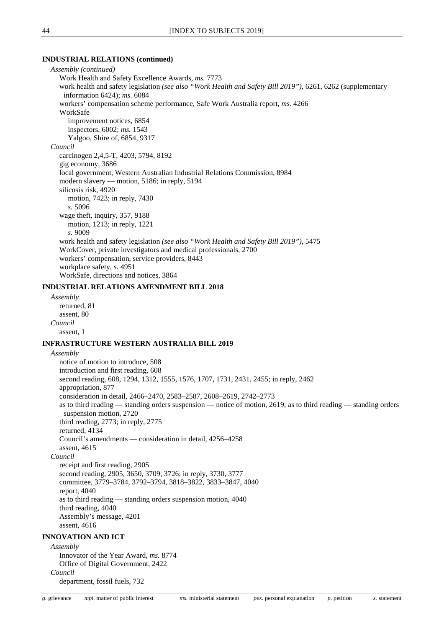## **INDUSTRIAL RELATIONS (continued)**

*Assembly (continued)* Work Health and Safety Excellence Awards, *ms.* 7773 work health and safety legislation *(see also "Work Health and Safety Bill 2019")*, 6261, 6262 (supplementary information 6424); *ms.* 6084 workers' compensation scheme performance, Safe Work Australia report, *ms.* 4266 WorkSafe improvement notices, 6854 inspectors, 6002; *ms.* 1543 Yalgoo, Shire of, 6854, 9317 *Council* carcinogen 2,4,5-T, 4203, 5794, 8192 gig economy, 3686 local government, Western Australian Industrial Relations Commission, 8984 modern slavery — motion, 5186; in reply, 5194 silicosis risk, 4920 motion, 7423; in reply, 7430 *s.* 5096 wage theft, inquiry, 357, 9188 motion, 1213; in reply, 1221 *s.* 9009 work health and safety legislation *(see also "Work Health and Safety Bill 2019")*, 5475 WorkCover, private investigators and medical professionals, 2700 workers' compensation, service providers, 8443 workplace safety, *s.* 4951 WorkSafe, directions and notices, 3864

## **INDUSTRIAL RELATIONS AMENDMENT BILL 2018**

*Assembly* returned, 81 assent, 80 *Council* assent, 1

### **INFRASTRUCTURE WESTERN AUSTRALIA BILL 2019**

*Assembly* notice of motion to introduce, 508 introduction and first reading, 608 second reading, 608, 1294, 1312, 1555, 1576, 1707, 1731, 2431, 2455; in reply, 2462 appropriation, 877 consideration in detail, 2466–2470, 2583–2587, 2608–2619, 2742–2773 as to third reading — standing orders suspension — notice of motion, 2619; as to third reading — standing orders suspension motion, 2720 third reading, 2773; in reply, 2775 returned, 4134 Council's amendments — consideration in detail, 4256–4258 assent, 4615 *Council* receipt and first reading, 2905 second reading, 2905, 3650, 3709, 3726; in reply, 3730, 3777 committee, 3779–3784, 3792–3794, 3818–3822, 3833–3847, 4040 report, 4040 as to third reading — standing orders suspension motion, 4040 third reading, 4040 Assembly's message, 4201 assent, 4616 **INNOVATION AND ICT** *Assembly* Innovator of the Year Award, *ms.* 8774

Office of Digital Government, 2422 *Council*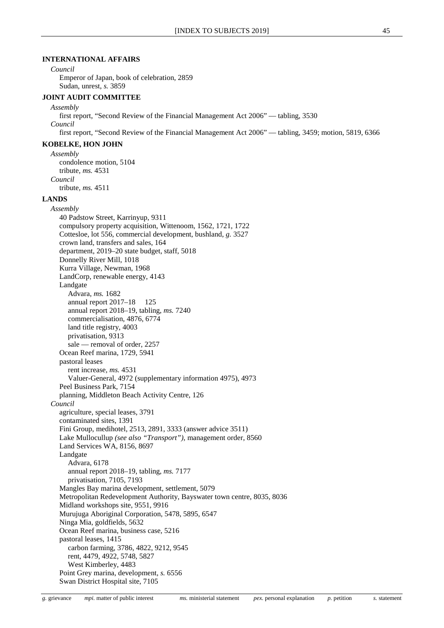## **INTERNATIONAL AFFAIRS**

#### *Council*

Emperor of Japan, book of celebration, 2859 Sudan, unrest, *s.* 3859

## **JOINT AUDIT COMMITTEE**

*Assembly* first report, "Second Review of the Financial Management Act 2006" — tabling, 3530 *Council* first report, "Second Review of the Financial Management Act 2006" — tabling, 3459; motion, 5819, 6366

#### **KOBELKE, HON JOHN**

*Assembly* condolence motion, 5104 tribute, *ms.* 4531 *Council* tribute, *ms.* 4511

#### **LANDS**

*Assembly* 40 Padstow Street, Karrinyup, 9311 compulsory property acquisition, Wittenoom, 1562, 1721, 1722 Cottesloe, lot 556, commercial development, bushland, *g.* 3527 crown land, transfers and sales, 164 department, 2019–20 state budget, staff, 5018 Donnelly River Mill, 1018 Kurra Village, Newman, 1968 LandCorp, renewable energy, 4143 Landgate Advara, *ms.* 1682 annual report 2017–18 125 annual report 2018–19, tabling, *ms.* 7240 commercialisation, 4876, 6774 land title registry, 4003 privatisation, 9313 sale — removal of order, 2257 Ocean Reef marina, 1729, 5941 pastoral leases rent increase, *ms.* 4531 Valuer-General, 4972 (supplementary information 4975), 4973 Peel Business Park, 7154 planning, Middleton Beach Activity Centre, 126 *Council* agriculture, special leases, 3791 contaminated sites, 1391 Fini Group, medihotel, 2513, 2891, 3333 (answer advice 3511) Lake Mullocullup *(see also "Transport")*, management order, 8560 Land Services WA, 8156, 8697 Landgate Advara, 6178 annual report 2018–19, tabling, *ms.* 7177 privatisation, 7105, 7193 Mangles Bay marina development, settlement, 5079 Metropolitan Redevelopment Authority, Bayswater town centre, 8035, 8036 Midland workshops site, 9551, 9916 Murujuga Aboriginal Corporation, 5478, 5895, 6547 Ninga Mia, goldfields, 5632 Ocean Reef marina, business case, 5216 pastoral leases, 1415 carbon farming, 3786, 4822, 9212, 9545 rent, 4479, 4922, 5748, 5827 West Kimberley, 4483 Point Grey marina, development, *s.* 6556 Swan District Hospital site, 7105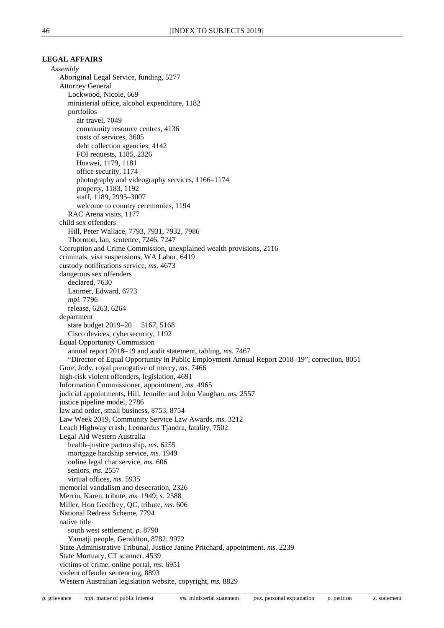### **LEGAL AFFAIRS**

*Assembly* Aboriginal Legal Service, funding, 5277 Attorney General Lockwood, Nicole, 669 ministerial office, alcohol expenditure, 1182 portfolios air travel, 7049 community resource centres, 4136 costs of services, 3605 debt collection agencies, 4142 FOI requests, 1185, 2326 Huawei, 1179, 1181 office security, 1174 photography and videography services, 1166–1174 property, 1183, 1192 staff, 1189, 2995–3007 welcome to country ceremonies, 1194 RAC Arena visits, 1177 child sex offenders Hill, Peter Wallace, 7793, 7931, 7932, 7986 Thornton, Ian, sentence, 7246, 7247 Corruption and Crime Commission, unexplained wealth provisions, 2116 criminals, visa suspensions, WA Labor, 6419 custody notifications service, *ms.* 4673 dangerous sex offenders declared, 7630 Latimer, Edward, 6773 *mpi.* 7796 release, 6263, 6264 department state budget 2019–20 5167, 5168 Cisco devices, cybersecurity, 1192 Equal Opportunity Commission annual report 2018–19 and audit statement, tabling, *ms.* 7467 "Director of Equal Opportunity in Public Employment Annual Report 2018–19", correction, 8051 Gore, Jody, royal prerogative of mercy, *ms.* 7466 high-risk violent offenders, legislation, 4691 Information Commissioner, appointment, *ms.* 4965 judicial appointments, Hill, Jennifer and John Vaughan, *ms.* 2557 justice pipeline model, 2786 law and order, small business, 8753, 8754 Law Week 2019, Community Service Law Awards, *ms.* 3212 Leach Highway crash, Leonardus Tjandra, fatality, 7502 Legal Aid Western Australia health–justice partnership, *ms.* 6255 mortgage hardship service, *ms.* 1949 online legal chat service, *ms.* 606 seniors, *ms.* 2557 virtual offices, *ms.* 5935 memorial vandalism and desecration, 2326 Merrin, Karen, tribute, *ms.* 1949; *s.* 2588 Miller, Hon Geoffrey, QC, tribute, *ms.* 606 National Redress Scheme, 7794 native title south west settlement, *p.* 8790 Yamatji people, Geraldton, 8782, 9972 State Administrative Tribunal, Justice Janine Pritchard, appointment, *ms.* 2239 State Mortuary, CT scanner, 4539 victims of crime, online portal, *ms.* 6951 violent offender sentencing, 8893 Western Australian legislation website, copyright, *ms.* 8829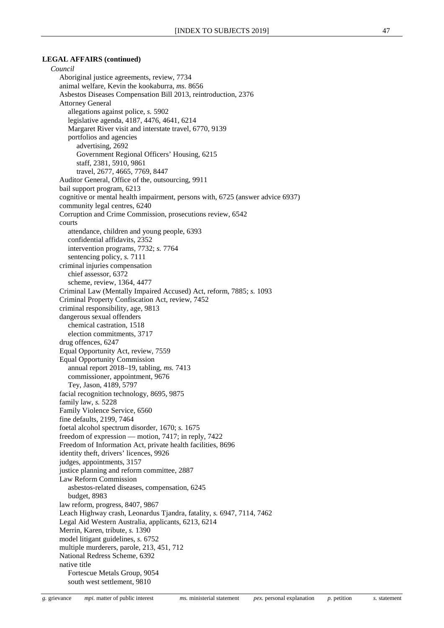## **LEGAL AFFAIRS (continued)**

*Council* Aboriginal justice agreements, review, 7734 animal welfare, Kevin the kookaburra, *ms.* 8656 Asbestos Diseases Compensation Bill 2013, reintroduction, 2376 Attorney General allegations against police, *s.* 5902 legislative agenda, 4187, 4476, 4641, 6214 Margaret River visit and interstate travel, 6770, 9139 portfolios and agencies advertising, 2692 Government Regional Officers' Housing, 6215 staff, 2381, 5910, 9861 travel, 2677, 4665, 7769, 8447 Auditor General, Office of the, outsourcing, 9911 bail support program, 6213 cognitive or mental health impairment, persons with, 6725 (answer advice 6937) community legal centres, 6240 Corruption and Crime Commission, prosecutions review, 6542 courts attendance, children and young people, 6393 confidential affidavits, 2352 intervention programs, 7732; *s.* 7764 sentencing policy, *s.* 7111 criminal injuries compensation chief assessor, 6372 scheme, review, 1364, 4477 Criminal Law (Mentally Impaired Accused) Act, reform, 7885; *s.* 1093 Criminal Property Confiscation Act, review, 7452 criminal responsibility, age, 9813 dangerous sexual offenders chemical castration, 1518 election commitments, 3717 drug offences, 6247 Equal Opportunity Act, review, 7559 Equal Opportunity Commission annual report 2018–19, tabling, *ms.* 7413 commissioner, appointment, 9676 Tey, Jason, 4189, 5797 facial recognition technology, 8695, 9875 family law, *s.* 5228 Family Violence Service, 6560 fine defaults, 2199, 7464 foetal alcohol spectrum disorder, 1670; *s.* 1675 freedom of expression — motion, 7417; in reply, 7422 Freedom of Information Act, private health facilities, 8696 identity theft, drivers' licences, 9926 judges, appointments, 3157 justice planning and reform committee, 2887 Law Reform Commission asbestos-related diseases, compensation, 6245 budget, 8983 law reform, progress, 8407, 9867 Leach Highway crash, Leonardus Tjandra, fatality, *s.* 6947, 7114, 7462 Legal Aid Western Australia, applicants, 6213, 6214 Merrin, Karen, tribute, *s.* 1390 model litigant guidelines, *s.* 6752 multiple murderers, parole, 213, 451, 712 National Redress Scheme, 6392 native title Fortescue Metals Group, 9054 south west settlement, 9810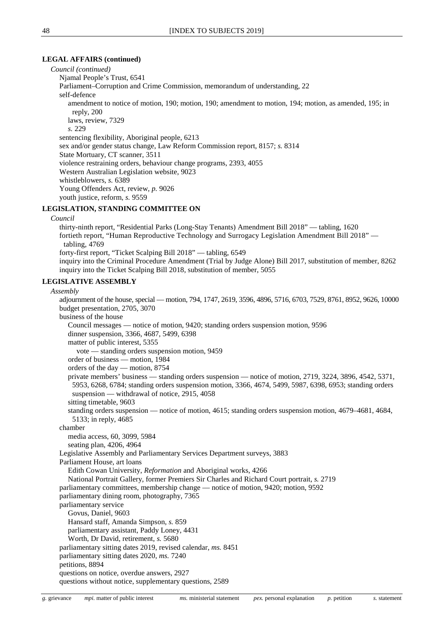#### **LEGAL AFFAIRS (continued)**

*Council (continued)*

Njamal People's Trust, 6541

Parliament–Corruption and Crime Commission, memorandum of understanding, 22

self-defence

amendment to notice of motion, 190; motion, 190; amendment to motion, 194; motion, as amended, 195; in reply, 200

laws, review, 7329

*s.* 229

sentencing flexibility, Aboriginal people, 6213 sex and/or gender status change, Law Reform Commission report, 8157; *s.* 8314 State Mortuary, CT scanner, 3511 violence restraining orders, behaviour change programs, 2393, 4055 Western Australian Legislation website, 9023 whistleblowers, *s.* 6389 Young Offenders Act, review, *p.* 9026 youth justice, reform, *s.* 9559

## **LEGISLATION, STANDING COMMITTEE ON**

#### *Council*

thirty-ninth report, "Residential Parks (Long-Stay Tenants) Amendment Bill 2018" — tabling, 1620 fortieth report, "Human Reproductive Technology and Surrogacy Legislation Amendment Bill 2018" tabling, 4769 forty-first report, "Ticket Scalping Bill 2018" — tabling, 6549

inquiry into the Criminal Procedure Amendment (Trial by Judge Alone) Bill 2017, substitution of member, 8262 inquiry into the Ticket Scalping Bill 2018, substitution of member, 5055

## **LEGISLATIVE ASSEMBLY**

## *Assembly*

adjournment of the house, special — motion, 794, 1747, 2619, 3596, 4896, 5716, 6703, 7529, 8761, 8952, 9626, 10000 budget presentation, 2705, 3070 business of the house Council messages — notice of motion, 9420; standing orders suspension motion, 9596 dinner suspension, 3366, 4687, 5499, 6398 matter of public interest, 5355 vote — standing orders suspension motion, 9459 order of business — motion, 1984 orders of the day — motion, 8754 private members' business — standing orders suspension — notice of motion, 2719, 3224, 3896, 4542, 5371, 5953, 6268, 6784; standing orders suspension motion, 3366, 4674, 5499, 5987, 6398, 6953; standing orders suspension — withdrawal of notice, 2915, 4058 sitting timetable, 9603 standing orders suspension — notice of motion, 4615; standing orders suspension motion, 4679–4681, 4684, 5133; in reply, 4685 chamber media access, 60, 3099, 5984 seating plan, 4206, 4964 Legislative Assembly and Parliamentary Services Department surveys, 3883 Parliament House, art loans Edith Cowan University, *Reformation* and Aboriginal works, 4266 National Portrait Gallery, former Premiers Sir Charles and Richard Court portrait, *s.* 2719 parliamentary committees, membership change — notice of motion, 9420; motion, 9592 parliamentary dining room, photography, 7365 parliamentary service Govus, Daniel, 9603 Hansard staff, Amanda Simpson, *s.* 859 parliamentary assistant, Paddy Loney, 4431 Worth, Dr David, retirement, *s.* 5680 parliamentary sitting dates 2019, revised calendar, *ms.* 8451 parliamentary sitting dates 2020, *ms.* 7240 petitions, 8894 questions on notice, overdue answers, 2927 questions without notice, supplementary questions, 2589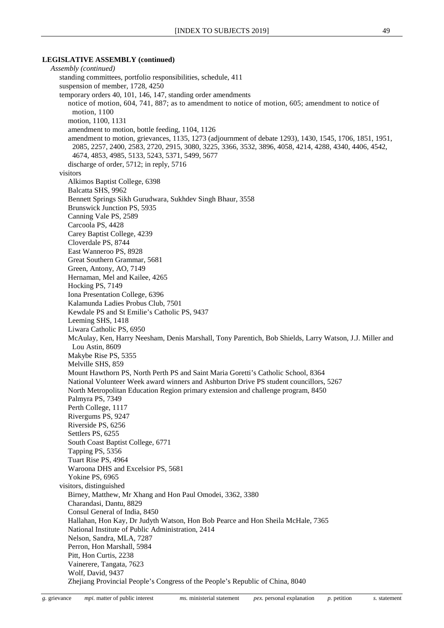#### **LEGISLATIVE ASSEMBLY (continued)**

*Assembly (continued)* standing committees, portfolio responsibilities, schedule, 411 suspension of member, 1728, 4250 temporary orders 40, 101, 146, 147, standing order amendments notice of motion, 604, 741, 887; as to amendment to notice of motion, 605; amendment to notice of motion, 1100 motion, 1100, 1131 amendment to motion, bottle feeding, 1104, 1126 amendment to motion, grievances, 1135, 1273 (adjournment of debate 1293), 1430, 1545, 1706, 1851, 1951, 2085, 2257, 2400, 2583, 2720, 2915, 3080, 3225, 3366, 3532, 3896, 4058, 4214, 4288, 4340, 4406, 4542, 4674, 4853, 4985, 5133, 5243, 5371, 5499, 5677 discharge of order, 5712; in reply, 5716 visitors Alkimos Baptist College, 6398 Balcatta SHS, 9962 Bennett Springs Sikh Gurudwara, Sukhdev Singh Bhaur, 3558 Brunswick Junction PS, 5935 Canning Vale PS, 2589 Carcoola PS, 4428 Carey Baptist College, 4239 Cloverdale PS, 8744 East Wanneroo PS, 8928 Great Southern Grammar, 5681 Green, Antony, AO, 7149 Hernaman, Mel and Kailee, 4265 Hocking PS, 7149 Iona Presentation College, 6396 Kalamunda Ladies Probus Club, 7501 Kewdale PS and St Emilie's Catholic PS, 9437 Leeming SHS, 1418 Liwara Catholic PS, 6950 McAulay, Ken, Harry Neesham, Denis Marshall, Tony Parentich, Bob Shields, Larry Watson, J.J. Miller and Lou Astin, 8609 Makybe Rise PS, 5355 Melville SHS, 859 Mount Hawthorn PS, North Perth PS and Saint Maria Goretti's Catholic School, 8364 National Volunteer Week award winners and Ashburton Drive PS student councillors, 5267 North Metropolitan Education Region primary extension and challenge program, 8450 Palmyra PS, 7349 Perth College, 1117 Rivergums PS, 9247 Riverside PS, 6256 Settlers PS, 6255 South Coast Baptist College, 6771 Tapping PS, 5356 Tuart Rise PS, 4964 Waroona DHS and Excelsior PS, 5681 Yokine PS, 6965 visitors, distinguished Birney, Matthew, Mr Xhang and Hon Paul Omodei, 3362, 3380 Charandasi, Dantu, 8829 Consul General of India, 8450 Hallahan, Hon Kay, Dr Judyth Watson, Hon Bob Pearce and Hon Sheila McHale, 7365 National Institute of Public Administration, 2414 Nelson, Sandra, MLA, 7287 Perron, Hon Marshall, 5984 Pitt, Hon Curtis, 2238 Vainerere, Tangata, 7623 Wolf, David, 9437 Zhejiang Provincial People's Congress of the People's Republic of China, 8040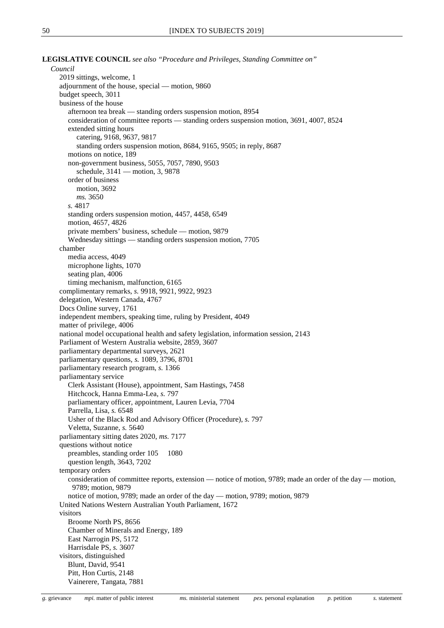**LEGISLATIVE COUNCIL** *see also "Procedure and Privileges, Standing Committee on"*

*Council* 2019 sittings, welcome, 1 adjournment of the house, special — motion, 9860 budget speech, 3011 business of the house afternoon tea break — standing orders suspension motion, 8954 consideration of committee reports — standing orders suspension motion, 3691, 4007, 8524 extended sitting hours catering, 9168, 9637, 9817 standing orders suspension motion, 8684, 9165, 9505; in reply, 8687 motions on notice, 189 non-government business, 5055, 7057, 7890, 9503 schedule, 3141 — motion, 3, 9878 order of business motion, 3692 *ms.* 3650 *s.* 4817 standing orders suspension motion, 4457, 4458, 6549 motion, 4657, 4826 private members' business, schedule — motion, 9879 Wednesday sittings — standing orders suspension motion, 7705 chamber media access, 4049 microphone lights, 1070 seating plan, 4006 timing mechanism, malfunction, 6165 complimentary remarks, *s.* 9918, 9921, 9922, 9923 delegation, Western Canada, 4767 Docs Online survey, 1761 independent members, speaking time, ruling by President, 4049 matter of privilege, 4006 national model occupational health and safety legislation, information session, 2143 Parliament of Western Australia website, 2859, 3607 parliamentary departmental surveys, 2621 parliamentary questions, *s.* 1089, 3796, 8701 parliamentary research program, *s.* 1366 parliamentary service Clerk Assistant (House), appointment, Sam Hastings, 7458 Hitchcock, Hanna Emma-Lea, *s.* 797 parliamentary officer, appointment, Lauren Levia, 7704 Parrella, Lisa, *s.* 6548 Usher of the Black Rod and Advisory Officer (Procedure), *s.* 797 Veletta, Suzanne, *s.* 5640 parliamentary sitting dates 2020, *ms.* 7177 questions without notice preambles, standing order 105 1080 question length, 3643, 7202 temporary orders consideration of committee reports, extension — notice of motion, 9789; made an order of the day — motion, 9789; motion, 9879 notice of motion, 9789; made an order of the day — motion, 9789; motion, 9879 United Nations Western Australian Youth Parliament, 1672 visitors Broome North PS, 8656 Chamber of Minerals and Energy, 189 East Narrogin PS, 5172 Harrisdale PS, *s.* 3607 visitors, distinguished Blunt, David, 9541 Pitt, Hon Curtis, 2148 Vainerere, Tangata, 7881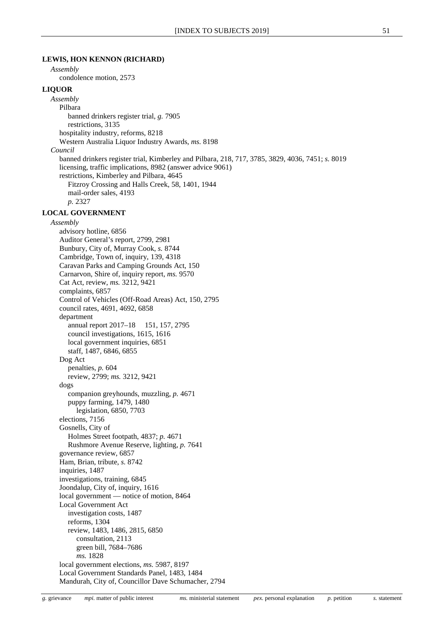#### **LEWIS, HON KENNON (RICHARD)**

# *Assembly*

condolence motion, 2573

## **LIQUOR**

*Assembly* Pilbara banned drinkers register trial, *g.* 7905 restrictions, 3135 hospitality industry, reforms, 8218 Western Australia Liquor Industry Awards, *ms.* 8198 *Council* banned drinkers register trial, Kimberley and Pilbara, 218, 717, 3785, 3829, 4036, 7451; *s.* 8019 licensing, traffic implications, 8982 (answer advice 9061) restrictions, Kimberley and Pilbara, 4645 Fitzroy Crossing and Halls Creek, 58, 1401, 1944 mail-order sales, 4193 *p.* 2327

## **LOCAL GOVERNMENT**

*Assembly* advisory hotline, 6856 Auditor General's report, 2799, 2981 Bunbury, City of, Murray Cook, *s.* 8744 Cambridge, Town of, inquiry, 139, 4318 Caravan Parks and Camping Grounds Act, 150 Carnarvon, Shire of, inquiry report, *ms.* 9570 Cat Act, review, *ms.* 3212, 9421 complaints, 6857 Control of Vehicles (Off-Road Areas) Act, 150, 2795 council rates, 4691, 4692, 6858 department annual report 2017–18 151, 157, 2795 council investigations, 1615, 1616 local government inquiries, 6851 staff, 1487, 6846, 6855 Dog Act penalties, *p.* 604 review, 2799; *ms.* 3212, 9421 dogs companion greyhounds, muzzling, *p.* 4671 puppy farming, 1479, 1480 legislation, 6850, 7703 elections, 7156 Gosnells, City of Holmes Street footpath, 4837; *p.* 4671 Rushmore Avenue Reserve, lighting, *p.* 7641 governance review, 6857 Ham, Brian, tribute, *s.* 8742 inquiries, 1487 investigations, training, 6845 Joondalup, City of, inquiry, 1616 local government — notice of motion, 8464 Local Government Act investigation costs, 1487 reforms, 1304 review, 1483, 1486, 2815, 6850 consultation, 2113 green bill, 7684–7686 *ms.* 1828 local government elections, *ms.* 5987, 8197 Local Government Standards Panel, 1483, 1484 Mandurah, City of, Councillor Dave Schumacher, 2794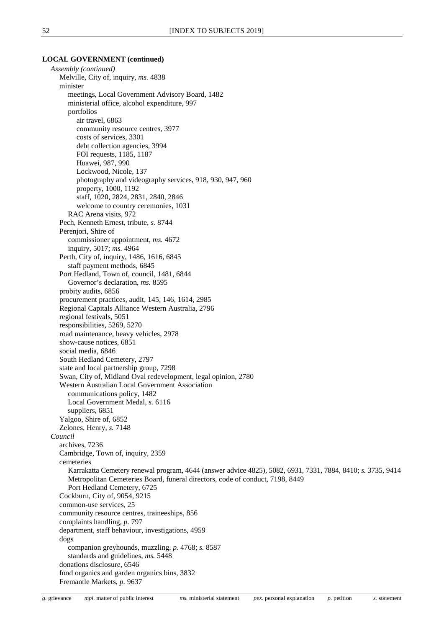## **LOCAL GOVERNMENT (continued)**

*Assembly (continued)* Melville, City of, inquiry, *ms.* 4838 minister meetings, Local Government Advisory Board, 1482 ministerial office, alcohol expenditure, 997 portfolios air travel, 6863 community resource centres, 3977 costs of services, 3301 debt collection agencies, 3994 FOI requests, 1185, 1187 Huawei, 987, 990 Lockwood, Nicole, 137 photography and videography services, 918, 930, 947, 960 property, 1000, 1192 staff, 1020, 2824, 2831, 2840, 2846 welcome to country ceremonies, 1031 RAC Arena visits, 972 Pech, Kenneth Ernest, tribute, *s.* 8744 Perenjori, Shire of commissioner appointment, *ms.* 4672 inquiry, 5017; *ms.* 4964 Perth, City of, inquiry, 1486, 1616, 6845 staff payment methods, 6845 Port Hedland, Town of, council, 1481, 6844 Governor's declaration, *ms.* 8595 probity audits, 6856 procurement practices, audit, 145, 146, 1614, 2985 Regional Capitals Alliance Western Australia, 2796 regional festivals, 5051 responsibilities, 5269, 5270 road maintenance, heavy vehicles, 2978 show-cause notices, 6851 social media, 6846 South Hedland Cemetery, 2797 state and local partnership group, 7298 Swan, City of, Midland Oval redevelopment, legal opinion, 2780 Western Australian Local Government Association communications policy, 1482 Local Government Medal, *s.* 6116 suppliers, 6851 Yalgoo, Shire of, 6852 Zelones, Henry, *s.* 7148 *Council* archives, 7236 Cambridge, Town of, inquiry, 2359 cemeteries Karrakatta Cemetery renewal program, 4644 (answer advice 4825), 5082, 6931, 7331, 7884, 8410; *s.* 3735*,* 9414 Metropolitan Cemeteries Board, funeral directors, code of conduct, 7198, 8449 Port Hedland Cemetery, 6725 Cockburn, City of, 9054, 9215 common-use services, 25 community resource centres, traineeships, 856 complaints handling, *p.* 797 department, staff behaviour, investigations, 4959 dogs companion greyhounds, muzzling, *p.* 4768; *s.* 8587 standards and guidelines, *ms.* 5448 donations disclosure, 6546 food organics and garden organics bins, 3832 Fremantle Markets, *p.* 9637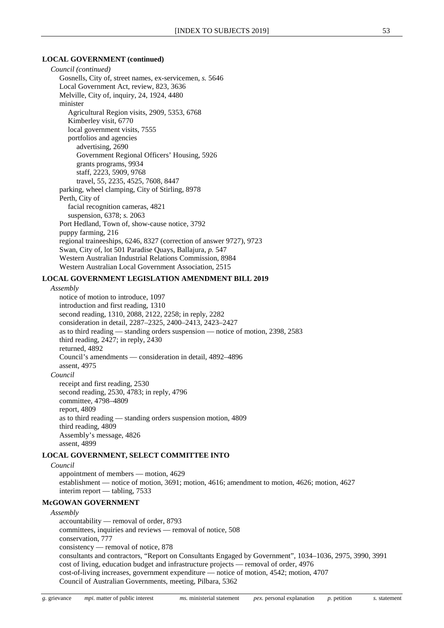### **LOCAL GOVERNMENT (continued)**

*Council (continued)* Gosnells, City of, street names, ex-servicemen, *s.* 5646 Local Government Act, review, 823, 3636 Melville, City of, inquiry, 24, 1924, 4480 minister Agricultural Region visits, 2909, 5353, 6768 Kimberley visit, 6770 local government visits, 7555 portfolios and agencies advertising, 2690 Government Regional Officers' Housing, 5926 grants programs, 9934 staff, 2223, 5909, 9768 travel, 55, 2235, 4525, 7608, 8447 parking, wheel clamping, City of Stirling, 8978 Perth, City of facial recognition cameras, 4821 suspension, 6378; *s.* 2063 Port Hedland, Town of, show-cause notice, 3792 puppy farming, 216 regional traineeships, 6246, 8327 (correction of answer 9727), 9723 Swan, City of, lot 501 Paradise Quays, Ballajura, *p.* 547 Western Australian Industrial Relations Commission, 8984 Western Australian Local Government Association, 2515

#### **LOCAL GOVERNMENT LEGISLATION AMENDMENT BILL 2019**

#### *Assembly*

notice of motion to introduce, 1097 introduction and first reading, 1310 second reading, 1310, 2088, 2122, 2258; in reply, 2282 consideration in detail, 2287–2325, 2400–2413, 2423–2427 as to third reading — standing orders suspension — notice of motion, 2398, 2583 third reading, 2427; in reply, 2430 returned, 4892 Council's amendments — consideration in detail, 4892–4896 assent, 4975 *Council* receipt and first reading, 2530

second reading, 2530, 4783; in reply, 4796 committee, 4798–4809 report, 4809 as to third reading — standing orders suspension motion, 4809 third reading, 4809 Assembly's message, 4826 assent, 4899

## **LOCAL GOVERNMENT, SELECT COMMITTEE INTO**

*Council*

appointment of members — motion, 4629 establishment — notice of motion, 3691; motion, 4616; amendment to motion, 4626; motion, 4627 interim report — tabling, 7533

## **McGOWAN GOVERNMENT**

*Assembly* accountability — removal of order, 8793 committees, inquiries and reviews — removal of notice, 508 conservation, 777 consistency — removal of notice, 878 consultants and contractors, "Report on Consultants Engaged by Government", 1034–1036, 2975, 3990, 3991 cost of living, education budget and infrastructure projects — removal of order, 4976 cost-of-living increases, government expenditure — notice of motion, 4542; motion, 4707 Council of Australian Governments, meeting, Pilbara, 5362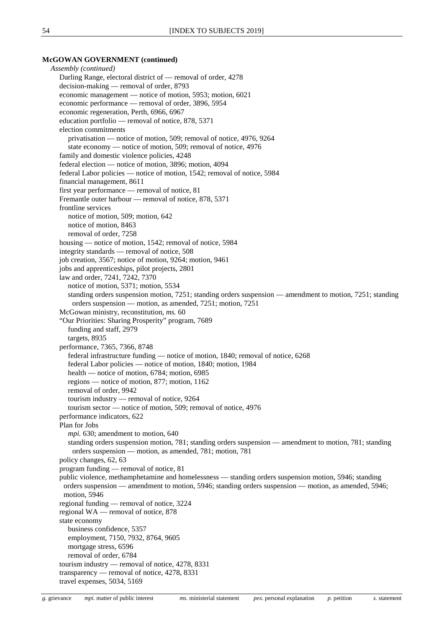## **McGOWAN GOVERNMENT (continued)**

*Assembly (continued)* Darling Range, electoral district of — removal of order, 4278 decision-making — removal of order, 8793 economic management — notice of motion, 5953; motion, 6021 economic performance — removal of order, 3896, 5954 economic regeneration, Perth, 6966, 6967 education portfolio — removal of notice, 878, 5371 election commitments privatisation — notice of motion, 509; removal of notice, 4976, 9264 state economy — notice of motion, 509; removal of notice, 4976 family and domestic violence policies, 4248 federal election — notice of motion, 3896; motion, 4094 federal Labor policies — notice of motion, 1542; removal of notice, 5984 financial management, 8611 first year performance — removal of notice, 81 Fremantle outer harbour — removal of notice, 878, 5371 frontline services notice of motion, 509; motion, 642 notice of motion, 8463 removal of order, 7258 housing — notice of motion, 1542; removal of notice, 5984 integrity standards — removal of notice, 508 job creation, 3567; notice of motion, 9264; motion, 9461 jobs and apprenticeships, pilot projects, 2801 law and order, 7241, 7242, 7370 notice of motion, 5371; motion, 5534 standing orders suspension motion, 7251; standing orders suspension — amendment to motion, 7251; standing orders suspension — motion, as amended, 7251; motion, 7251 McGowan ministry, reconstitution, *ms.* 60 "Our Priorities: Sharing Prosperity" program, 7689 funding and staff, 2979 targets, 8935 performance, 7365, 7366, 8748 federal infrastructure funding — notice of motion, 1840; removal of notice, 6268 federal Labor policies — notice of motion, 1840; motion, 1984 health — notice of motion, 6784; motion, 6985 regions — notice of motion, 877; motion, 1162 removal of order, 9942 tourism industry — removal of notice, 9264 tourism sector — notice of motion, 509; removal of notice, 4976 performance indicators, 622 Plan for Jobs *mpi.* 630; amendment to motion, 640 standing orders suspension motion, 781; standing orders suspension — amendment to motion, 781; standing orders suspension — motion, as amended, 781; motion, 781 policy changes, 62, 63 program funding — removal of notice, 81 public violence, methamphetamine and homelessness — standing orders suspension motion, 5946; standing orders suspension — amendment to motion, 5946; standing orders suspension — motion, as amended, 5946; motion, 5946 regional funding — removal of notice, 3224 regional WA — removal of notice, 878 state economy business confidence, 5357 employment, 7150, 7932, 8764, 9605 mortgage stress, 6596 removal of order, 6784 tourism industry — removal of notice, 4278, 8331 transparency — removal of notice, 4278, 8331 travel expenses, 5034, 5169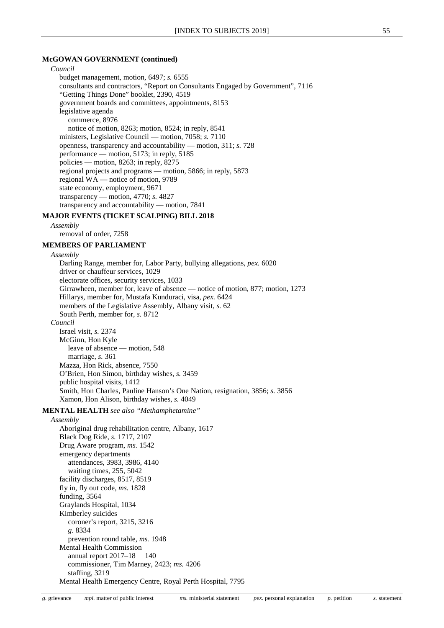#### **McGOWAN GOVERNMENT (continued)**

## *Council* budget management, motion, 6497; *s.* 6555 consultants and contractors, "Report on Consultants Engaged by Government", 7116 "Getting Things Done" booklet, 2390, 4519 government boards and committees, appointments, 8153 legislative agenda commerce, 8976 notice of motion, 8263; motion, 8524; in reply, 8541 ministers, Legislative Council — motion, 7058; *s.* 7110 openness, transparency and accountability — motion, 311; *s.* 728 performance — motion, 5173; in reply, 5185 policies — motion, 8263; in reply, 8275 regional projects and programs — motion, 5866; in reply, 5873 regional WA — notice of motion, 9789 state economy, employment, 9671 transparency — motion, 4770; *s.* 4827 transparency and accountability — motion, 7841

## **MAJOR EVENTS (TICKET SCALPING) BILL 2018**

*Assembly*

removal of order, 7258

## **MEMBERS OF PARLIAMENT**

*Assembly*

Darling Range, member for, Labor Party, bullying allegations, *pex.* 6020 driver or chauffeur services, 1029 electorate offices, security services, 1033 Girrawheen, member for, leave of absence — notice of motion, 877; motion, 1273 Hillarys, member for, Mustafa Kunduraci, visa, *pex.* 6424 members of the Legislative Assembly, Albany visit, *s.* 62 South Perth, member for, *s.* 8712 *Council* Israel visit, *s.* 2374 McGinn, Hon Kyle leave of absence — motion, 548 marriage, *s.* 361 Mazza, Hon Rick, absence, 7550 O'Brien, Hon Simon, birthday wishes, *s.* 3459 public hospital visits, 1412 Smith, Hon Charles, Pauline Hanson's One Nation, resignation, 3856; *s.* 3856

Xamon, Hon Alison, birthday wishes, *s.* 4049

## **MENTAL HEALTH** *see also "Methamphetamine"*

## *Assembly*

Aboriginal drug rehabilitation centre, Albany, 1617 Black Dog Ride, *s.* 1717, 2107 Drug Aware program, *ms.* 1542 emergency departments attendances, 3983, 3986, 4140 waiting times, 255, 5042 facility discharges, 8517, 8519 fly in, fly out code, *ms.* 1828 funding, 3564 Graylands Hospital, 1034 Kimberley suicides coroner's report, 3215, 3216 *g.* 8334 prevention round table, *ms.* 1948 Mental Health Commission annual report 2017–18 140 commissioner, Tim Marney, 2423; *ms.* 4206 staffing, 3219 Mental Health Emergency Centre, Royal Perth Hospital, 7795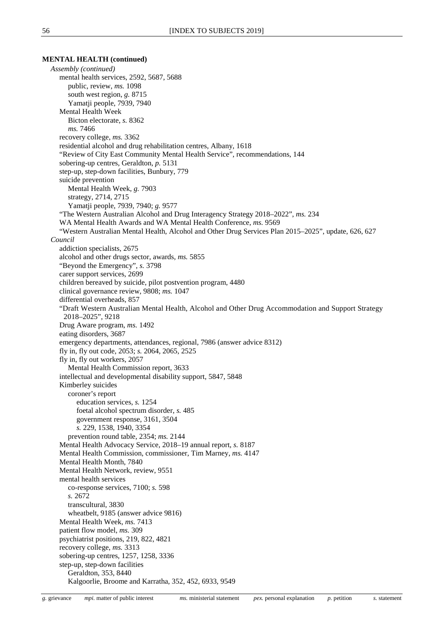#### **MENTAL HEALTH (continued)**

*Assembly (continued)* mental health services, 2592, 5687, 5688 public, review, *ms.* 1098 south west region, *g.* 8715 Yamatji people, 7939, 7940 Mental Health Week Bicton electorate, *s.* 8362 *ms.* 7466 recovery college, *ms.* 3362 residential alcohol and drug rehabilitation centres, Albany, 1618 "Review of City East Community Mental Health Service", recommendations, 144 sobering-up centres, Geraldton, *p.* 5131 step-up, step-down facilities, Bunbury, 779 suicide prevention Mental Health Week, *g.* 7903 strategy, 2714, 2715 Yamatji people, 7939, 7940; *g.* 9577 "The Western Australian Alcohol and Drug Interagency Strategy 2018–2022", *ms.* 234 WA Mental Health Awards and WA Mental Health Conference, *ms.* 9569 "Western Australian Mental Health, Alcohol and Other Drug Services Plan 2015–2025", update, 626, 627 *Council* addiction specialists, 2675 alcohol and other drugs sector, awards, *ms.* 5855 "Beyond the Emergency", *s.* 3798 carer support services, 2699 children bereaved by suicide, pilot postvention program, 4480 clinical governance review, 9808; *ms.* 1047 differential overheads, 857 "Draft Western Australian Mental Health, Alcohol and Other Drug Accommodation and Support Strategy 2018–2025", 9218 Drug Aware program, *ms.* 1492 eating disorders, 3687 emergency departments, attendances, regional, 7986 (answer advice 8312) fly in, fly out code, 2053; *s.* 2064, 2065, 2525 fly in, fly out workers, 2057 Mental Health Commission report, 3633 intellectual and developmental disability support, 5847, 5848 Kimberley suicides coroner's report education services, *s.* 1254 foetal alcohol spectrum disorder, *s.* 485 government response, 3161, 3504 *s.* 229, 1538, 1940, 3354 prevention round table, 2354; *ms.* 2144 Mental Health Advocacy Service, 2018–19 annual report, *s.* 8187 Mental Health Commission, commissioner, Tim Marney, *ms.* 4147 Mental Health Month, 7840 Mental Health Network, review, 9551 mental health services co-response services, 7100; *s.* 598 *s.* 2672 transcultural, 3830 wheatbelt, 9185 (answer advice 9816) Mental Health Week, *ms.* 7413 patient flow model, *ms.* 309 psychiatrist positions, 219, 822, 4821 recovery college, *ms.* 3313 sobering-up centres, 1257, 1258, 3336 step-up, step-down facilities Geraldton, 353, 8440 Kalgoorlie, Broome and Karratha, 352, 452, 6933, 9549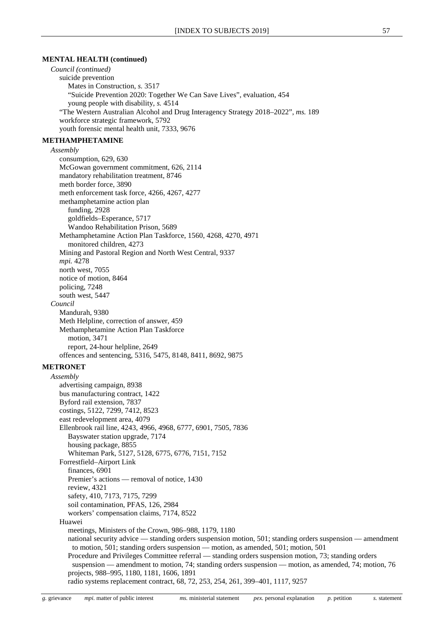#### **MENTAL HEALTH (continued)**

*Council (continued)* suicide prevention Mates in Construction, *s.* 3517 "Suicide Prevention 2020: Together We Can Save Lives", evaluation, 454 young people with disability, *s.* 4514 "The Western Australian Alcohol and Drug Interagency Strategy 2018–2022", *ms.* 189 workforce strategic framework, 5792 youth forensic mental health unit, 7333, 9676

#### **METHAMPHETAMINE**

*Assembly*

consumption, 629, 630 McGowan government commitment, 626, 2114 mandatory rehabilitation treatment, 8746 meth border force, 3890 meth enforcement task force, 4266, 4267, 4277 methamphetamine action plan funding, 2928 goldfields–Esperance, 5717 Wandoo Rehabilitation Prison, 5689 Methamphetamine Action Plan Taskforce, 1560, 4268, 4270, 4971 monitored children, 4273 Mining and Pastoral Region and North West Central, 9337 *mpi.* 4278 north west, 7055 notice of motion, 8464 policing, 7248 south west, 5447 *Council* Mandurah, 9380 Meth Helpline, correction of answer, 459 Methamphetamine Action Plan Taskforce motion, 3471 report, 24-hour helpline, 2649 offences and sentencing, 5316, 5475, 8148, 8411, 8692, 9875

## **METRONET**

*Assembly* advertising campaign, 8938 bus manufacturing contract, 1422 Byford rail extension, 7837 costings, 5122, 7299, 7412, 8523 east redevelopment area, 4079 Ellenbrook rail line, 4243, 4966, 4968, 6777, 6901, 7505, 7836 Bayswater station upgrade, 7174 housing package, 8855 Whiteman Park, 5127, 5128, 6775, 6776, 7151, 7152 Forrestfield–Airport Link finances, 6901 Premier's actions — removal of notice, 1430 review, 4321 safety, 410, 7173, 7175, 7299 soil contamination, PFAS, 126, 2984 workers' compensation claims, 7174, 8522 Huawei meetings, Ministers of the Crown, 986–988, 1179, 1180 national security advice — standing orders suspension motion, 501; standing orders suspension — amendment to motion, 501; standing orders suspension — motion, as amended, 501; motion, 501 Procedure and Privileges Committee referral — standing orders suspension motion, 73; standing orders suspension — amendment to motion, 74; standing orders suspension — motion, as amended, 74; motion, 76 projects, 988–995, 1180, 1181, 1606, 1891

radio systems replacement contract, 68, 72, 253, 254, 261, 399–401, 1117, 9257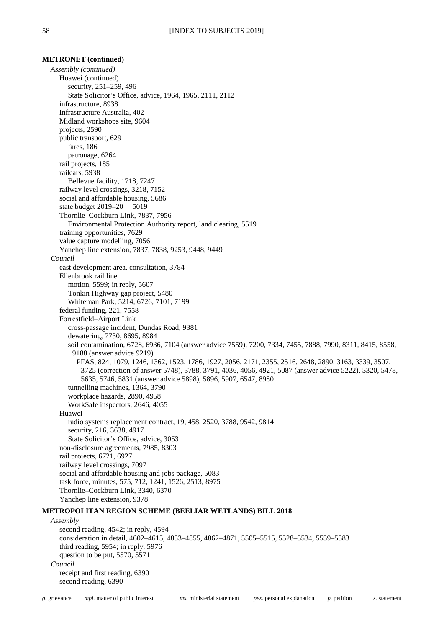## **METRONET (continued)**

*Assembly (continued)* Huawei (continued) security, 251–259, 496 State Solicitor's Office, advice, 1964, 1965, 2111, 2112 infrastructure, 8938 Infrastructure Australia, 402 Midland workshops site, 9604 projects, 2590 public transport, 629 fares, 186 patronage, 6264 rail projects, 185 railcars, 5938 Bellevue facility, 1718, 7247 railway level crossings, 3218, 7152 social and affordable housing, 5686 state budget 2019–20 5019 Thornlie–Cockburn Link, 7837, 7956 Environmental Protection Authority report, land clearing, 5519 training opportunities, 7629 value capture modelling, 7056 Yanchep line extension, 7837, 7838, 9253, 9448, 9449 *Council* east development area, consultation, 3784 Ellenbrook rail line motion, 5599; in reply, 5607 Tonkin Highway gap project, 5480 Whiteman Park, 5214, 6726, 7101, 7199 federal funding, 221, 7558 Forrestfield–Airport Link cross-passage incident, Dundas Road, 9381 dewatering, 7730, 8695, 8984 soil contamination, 6728, 6936, 7104 (answer advice 7559), 7200, 7334, 7455, 7888, 7990, 8311, 8415, 8558, 9188 (answer advice 9219) PFAS, 824, 1079, 1246, 1362, 1523, 1786, 1927, 2056, 2171, 2355, 2516, 2648, 2890, 3163, 3339, 3507, 3725 (correction of answer 5748), 3788, 3791, 4036, 4056, 4921, 5087 (answer advice 5222), 5320, 5478, 5635, 5746, 5831 (answer advice 5898), 5896, 5907, 6547, 8980 tunnelling machines, 1364, 3790 workplace hazards, 2890, 4958 WorkSafe inspectors, 2646, 4055 Huawei radio systems replacement contract, 19, 458, 2520, 3788, 9542, 9814 security, 216, 3638, 4917 State Solicitor's Office, advice, 3053 non-disclosure agreements, 7985, 8303 rail projects, 6721, 6927 railway level crossings, 7097 social and affordable housing and jobs package, 5083 task force, minutes, 575, 712, 1241, 1526, 2513, 8975 Thornlie–Cockburn Link, 3340, 6370 Yanchep line extension, 9378 **METROPOLITAN REGION SCHEME (BEELIAR WETLANDS) BILL 2018** *Assembly* second reading, 4542; in reply, 4594 consideration in detail, 4602–4615, 4853–4855, 4862–4871, 5505–5515, 5528–5534, 5559–5583

second reading, 6390

receipt and first reading, 6390

*Council*

third reading, 5954; in reply, 5976 question to be put, 5570, 5571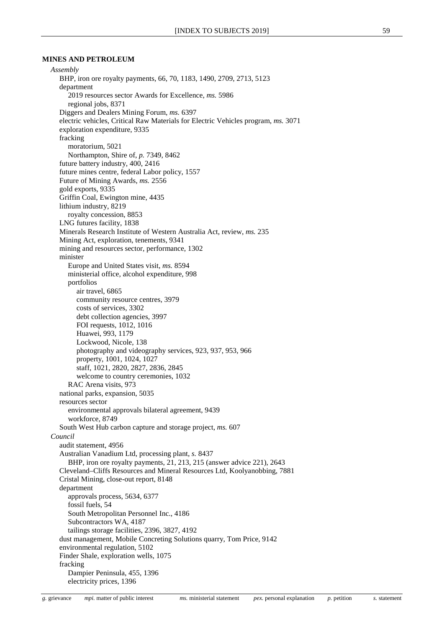## **MINES AND PETROLEUM**

*Assembly* BHP, iron ore royalty payments, 66, 70, 1183, 1490, 2709, 2713, 5123 department 2019 resources sector Awards for Excellence, *ms.* 5986 regional jobs, 8371 Diggers and Dealers Mining Forum, *ms.* 6397 electric vehicles, Critical Raw Materials for Electric Vehicles program, *ms.* 3071 exploration expenditure, 9335 fracking moratorium, 5021 Northampton, Shire of, *p.* 7349, 8462 future battery industry, 400, 2416 future mines centre, federal Labor policy, 1557 Future of Mining Awards, *ms.* 2556 gold exports, 9335 Griffin Coal, Ewington mine, 4435 lithium industry, 8219 royalty concession, 8853 LNG futures facility, 1838 Minerals Research Institute of Western Australia Act, review, *ms.* 235 Mining Act, exploration, tenements, 9341 mining and resources sector, performance, 1302 minister Europe and United States visit, *ms.* 8594 ministerial office, alcohol expenditure, 998 portfolios air travel, 6865 community resource centres, 3979 costs of services, 3302 debt collection agencies, 3997 FOI requests, 1012, 1016 Huawei, 993, 1179 Lockwood, Nicole, 138 photography and videography services, 923, 937, 953, 966 property, 1001, 1024, 1027 staff, 1021, 2820, 2827, 2836, 2845 welcome to country ceremonies, 1032 RAC Arena visits, 973 national parks, expansion, 5035 resources sector environmental approvals bilateral agreement, 9439 workforce, 8749 South West Hub carbon capture and storage project, *ms.* 607 *Council* audit statement, 4956 Australian Vanadium Ltd, processing plant, *s.* 8437 BHP, iron ore royalty payments, 21, 213, 215 (answer advice 221), 2643 Cleveland–Cliffs Resources and Mineral Resources Ltd, Koolyanobbing, 7881 Cristal Mining, close-out report, 8148 department approvals process, 5634, 6377 fossil fuels, 54 South Metropolitan Personnel Inc., 4186 Subcontractors WA, 4187 tailings storage facilities, 2396, 3827, 4192 dust management, Mobile Concreting Solutions quarry, Tom Price, 9142 environmental regulation, 5102 Finder Shale, exploration wells, 1075 fracking Dampier Peninsula, 455, 1396 electricity prices, 1396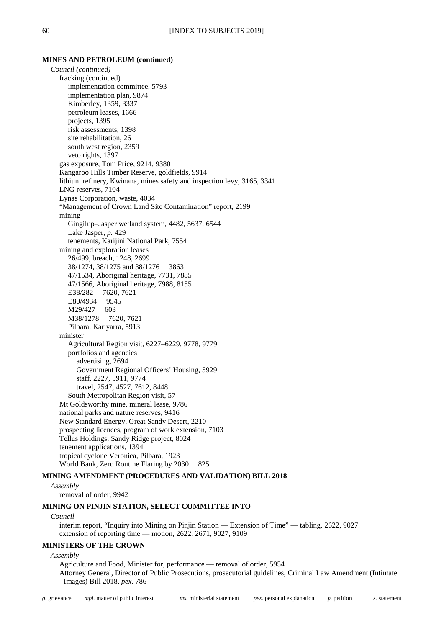#### **MINES AND PETROLEUM (continued)**

*Council (continued)* fracking (continued) implementation committee, 5793 implementation plan, 9874 Kimberley, 1359, 3337 petroleum leases, 1666 projects, 1395 risk assessments, 1398 site rehabilitation, 26 south west region, 2359 veto rights, 1397 gas exposure, Tom Price, 9214, 9380 Kangaroo Hills Timber Reserve, goldfields, 9914 lithium refinery, Kwinana, mines safety and inspection levy, 3165, 3341 LNG reserves, 7104 Lynas Corporation, waste, 4034 "Management of Crown Land Site Contamination" report, 2199 mining Gingilup–Jasper wetland system, 4482, 5637, 6544 Lake Jasper, *p.* 429 tenements, Karijini National Park, 7554 mining and exploration leases 26/499, breach, 1248, 2699 38/1274, 38/1275 and 38/1276 3863 47/1534, Aboriginal heritage, 7731, 7885 47/1566, Aboriginal heritage, 7988, 8155 E38/282 7620, 7621 E80/4934 9545 M29/427 603 M38/1278 7620, 7621 Pilbara, Kariyarra, 5913 minister Agricultural Region visit, 6227–6229, 9778, 9779 portfolios and agencies advertising, 2694 Government Regional Officers' Housing, 5929 staff, 2227, 5911, 9774 travel, 2547, 4527, 7612, 8448 South Metropolitan Region visit, 57 Mt Goldsworthy mine, mineral lease, 9786 national parks and nature reserves, 9416 New Standard Energy, Great Sandy Desert, 2210 prospecting licences, program of work extension, 7103 Tellus Holdings, Sandy Ridge project, 8024 tenement applications, 1394 tropical cyclone Veronica, Pilbara, 1923 World Bank, Zero Routine Flaring by 2030 825

## **MINING AMENDMENT (PROCEDURES AND VALIDATION) BILL 2018**

*Assembly*

removal of order, 9942

#### **MINING ON PINJIN STATION, SELECT COMMITTEE INTO**

#### *Council*

interim report, "Inquiry into Mining on Pinjin Station — Extension of Time" — tabling, 2622, 9027 extension of reporting time — motion, 2622, 2671, 9027, 9109

#### **MINISTERS OF THE CROWN**

*Assembly*

Agriculture and Food, Minister for, performance — removal of order, 5954

Attorney General, Director of Public Prosecutions, prosecutorial guidelines, Criminal Law Amendment (Intimate Images) Bill 2018, *pex.* 786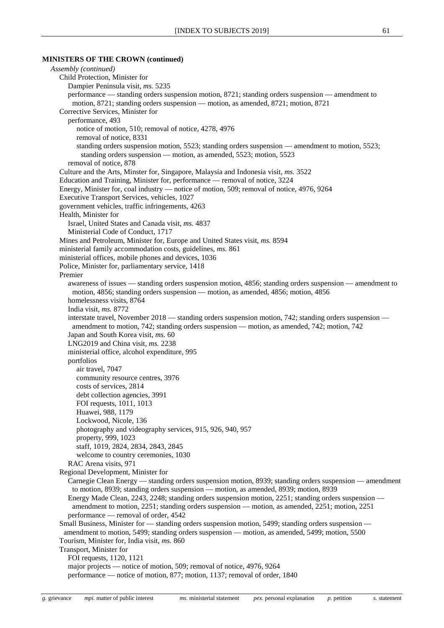## **MINISTERS OF THE CROWN (continued)**

*Assembly (continued)* Child Protection, Minister for Dampier Peninsula visit, *ms.* 5235 performance — standing orders suspension motion, 8721; standing orders suspension — amendment to motion, 8721; standing orders suspension — motion, as amended, 8721; motion, 8721 Corrective Services, Minister for performance, 493 notice of motion, 510; removal of notice, 4278, 4976 removal of notice, 8331 standing orders suspension motion, 5523; standing orders suspension — amendment to motion, 5523; standing orders suspension — motion, as amended, 5523; motion, 5523 removal of notice, 878 Culture and the Arts, Minster for, Singapore, Malaysia and Indonesia visit, *ms.* 3522 Education and Training, Minister for, performance — removal of notice, 3224 Energy, Minister for, coal industry — notice of motion, 509; removal of notice, 4976, 9264 Executive Transport Services, vehicles, 1027 government vehicles, traffic infringements, 4263 Health, Minister for Israel, United States and Canada visit, *ms.* 4837 Ministerial Code of Conduct, 1717 Mines and Petroleum, Minister for, Europe and United States visit, *ms.* 8594 ministerial family accommodation costs, guidelines, *ms.* 861 ministerial offices, mobile phones and devices, 1036 Police, Minister for, parliamentary service, 1418 Premier awareness of issues — standing orders suspension motion, 4856; standing orders suspension — amendment to motion, 4856; standing orders suspension — motion, as amended, 4856; motion, 4856 homelessness visits, 8764 India visit, *ms.* 8772 interstate travel, November 2018 — standing orders suspension motion, 742; standing orders suspension amendment to motion, 742; standing orders suspension — motion, as amended, 742; motion, 742 Japan and South Korea visit, *ms.* 60 LNG2019 and China visit, *ms.* 2238 ministerial office, alcohol expenditure, 995 portfolios air travel, 7047 community resource centres, 3976 costs of services, 2814 debt collection agencies, 3991 FOI requests, 1011, 1013 Huawei, 988, 1179 Lockwood, Nicole, 136 photography and videography services, 915, 926, 940, 957 property, 999, 1023 staff, 1019, 2824, 2834, 2843, 2845 welcome to country ceremonies, 1030 RAC Arena visits, 971 Regional Development, Minister for Carnegie Clean Energy — standing orders suspension motion, 8939; standing orders suspension — amendment to motion, 8939; standing orders suspension — motion, as amended, 8939; motion, 8939 Energy Made Clean, 2243, 2248; standing orders suspension motion, 2251; standing orders suspension amendment to motion, 2251; standing orders suspension — motion, as amended, 2251; motion, 2251 performance — removal of order, 4542 Small Business, Minister for — standing orders suspension motion, 5499; standing orders suspension amendment to motion, 5499; standing orders suspension — motion, as amended, 5499; motion, 5500 Tourism, Minister for, India visit, *ms.* 860 Transport, Minister for FOI requests, 1120, 1121 major projects — notice of motion, 509; removal of notice, 4976, 9264 performance — notice of motion, 877; motion, 1137; removal of order, 1840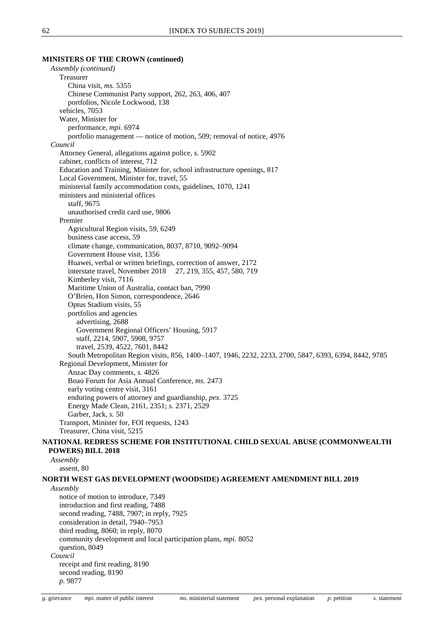## *Assembly (continued)* Treasurer China visit, *ms.* 5355 Chinese Communist Party support, 262, 263, 406, 407 portfolios, Nicole Lockwood, 138 vehicles, 7053 Water, Minister for performance, *mpi.* 6974 portfolio management — notice of motion, 509; removal of notice, 4976 *Council* Attorney General, allegations against police, *s.* 5902 cabinet, conflicts of interest, 712 Education and Training, Minister for, school infrastructure openings, 817 Local Government, Minister for, travel, 55 ministerial family accommodation costs, guidelines, 1070, 1241 ministers and ministerial offices staff, 9675 unauthorised credit card use, 9806 Premier Agricultural Region visits, 59, 6249 business case access, 59 climate change, communication, 8037, 8710, 9092–9094 Government House visit, 1356 Huawei, verbal or written briefings, correction of answer, 2172 interstate travel, November 2018 27, 219, 355, 457, 580, 719 Kimberley visit, 7116 Maritime Union of Australia, contact ban, 7990 O'Brien, Hon Simon, correspondence, 2646 Optus Stadium visits, 55 portfolios and agencies advertising, 2688 Government Regional Officers' Housing, 5917 staff, 2214, 5907, 5908, 9757 travel, 2539, 4522, 7601, 8442 South Metropolitan Region visits, 856, 1400–1407, 1946, 2232, 2233, 2700, 5847, 6393, 6394, 8442, 9785 Regional Development, Minister for Anzac Day comments, *s.* 4826 Boao Forum for Asia Annual Conference, *ms.* 2473 early voting centre visit, 3161 enduring powers of attorney and guardianship, *pex.* 3725 Energy Made Clean, 2161, 2351; *s.* 2371, 2529 Garber, Jack, *s.* 50 Transport, Minister for, FOI requests, 1243 Treasurer, China visit, 5215

## **NATIONAL REDRESS SCHEME FOR INSTITUTIONAL CHILD SEXUAL ABUSE (COMMONWEALTH POWERS) BILL 2018**

*Assembly* assent, 80

### **NORTH WEST GAS DEVELOPMENT (WOODSIDE) AGREEMENT AMENDMENT BILL 2019**

*Assembly*

notice of motion to introduce, 7349 introduction and first reading, 7488 second reading, 7488, 7907; in reply, 7925 consideration in detail, 7940–7953 third reading, 8060; in reply, 8070 community development and local participation plans, *mpi.* 8052 question, 8049 *Council* receipt and first reading, 8190 second reading, 8190 *p.* 9877

**MINISTERS OF THE CROWN (continued)**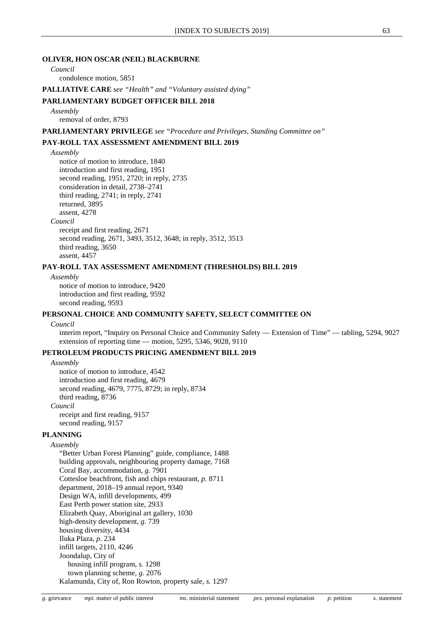#### **OLIVER, HON OSCAR (NEIL) BLACKBURNE**

## *Council*

condolence motion, 5851

**PALLIATIVE CARE** *see "Health" and "Voluntary assisted dying"*

#### **PARLIAMENTARY BUDGET OFFICER BILL 2018**

*Assembly*

removal of order, 8793

**PARLIAMENTARY PRIVILEGE** *see "Procedure and Privileges, Standing Committee on"*

## **PAY-ROLL TAX ASSESSMENT AMENDMENT BILL 2019**

*Assembly*

notice of motion to introduce, 1840 introduction and first reading, 1951 second reading, 1951, 2720; in reply, 2735 consideration in detail, 2738–2741 third reading, 2741; in reply, 2741 returned, 3895 assent, 4278 *Council* receipt and first reading, 2671 second reading, 2671, 3493, 3512, 3648; in reply, 3512, 3513 third reading, 3650 assent, 4457

## **PAY-ROLL TAX ASSESSMENT AMENDMENT (THRESHOLDS) BILL 2019**

*Assembly* notice of motion to introduce, 9420 introduction and first reading, 9592 second reading, 9593

## **PERSONAL CHOICE AND COMMUNITY SAFETY, SELECT COMMITTEE ON**

#### *Council*

interim report, "Inquiry on Personal Choice and Community Safety — Extension of Time" — tabling, 5294, 9027 extension of reporting time — motion, 5295, 5346, 9028, 9110

## **PETROLEUM PRODUCTS PRICING AMENDMENT BILL 2019**

*Assembly*

notice of motion to introduce, 4542 introduction and first reading, 4679 second reading, 4679, 7775, 8729; in reply, 8734 third reading, 8736 *Council* receipt and first reading, 9157 second reading, 9157

## **PLANNING**

## *Assembly*

"Better Urban Forest Planning" guide, compliance, 1488 building approvals, neighbouring property damage, 7168 Coral Bay, accommodation, *g.* 7901 Cottesloe beachfront, fish and chips restaurant, *p.* 8711 department, 2018–19 annual report, 9340 Design WA, infill developments, 499 East Perth power station site, 2933 Elizabeth Quay, Aboriginal art gallery, 1030 high-density development, *g.* 739 housing diversity, 4434 Iluka Plaza, *p.* 234 infill targets, 2110, 4246 Joondalup, City of housing infill program, *s.* 1298 town planning scheme, *g.* 2076 Kalamunda, City of, Ron Rowton, property sale, *s.* 1297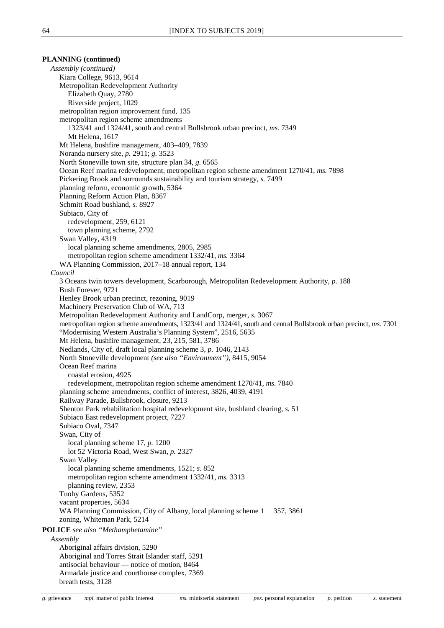## **PLANNING (continued)**

*Assembly (continued)* Kiara College, 9613, 9614 Metropolitan Redevelopment Authority Elizabeth Quay, 2780 Riverside project, 1029 metropolitan region improvement fund, 135 metropolitan region scheme amendments 1323/41 and 1324/41, south and central Bullsbrook urban precinct, *ms.* 7349 Mt Helena, 1617 Mt Helena, bushfire management, 403–409, 7839 Noranda nursery site, *p.* 2911; *g.* 3523 North Stoneville town site, structure plan 34, *g.* 6565 Ocean Reef marina redevelopment, metropolitan region scheme amendment 1270/41, *ms.* 7898 Pickering Brook and surrounds sustainability and tourism strategy, *s.* 7499 planning reform, economic growth, 5364 Planning Reform Action Plan, 8367 Schmitt Road bushland, *s.* 8927 Subiaco, City of redevelopment, 259, 6121 town planning scheme, 2792 Swan Valley, 4319 local planning scheme amendments, 2805, 2985 metropolitan region scheme amendment 1332/41, *ms.* 3364 WA Planning Commission, 2017–18 annual report, 134 *Council* 3 Oceans twin towers development, Scarborough, Metropolitan Redevelopment Authority, *p.* 188 Bush Forever, 9721 Henley Brook urban precinct, rezoning, 9019 Machinery Preservation Club of WA, 713 Metropolitan Redevelopment Authority and LandCorp, merger, *s.* 3067 metropolitan region scheme amendments, 1323/41 and 1324/41, south and central Bullsbrook urban precinct, *ms.* 7301 "Modernising Western Australia's Planning System", 2516, 5635 Mt Helena, bushfire management, 23, 215, 581, 3786 Nedlands, City of, draft local planning scheme 3, *p.* 1046, 2143 North Stoneville development *(see also "Environment")*, 8415, 9054 Ocean Reef marina coastal erosion, 4925 redevelopment, metropolitan region scheme amendment 1270/41, *ms.* 7840 planning scheme amendments, conflict of interest, 3826, 4039, 4191 Railway Parade, Bullsbrook, closure, 9213 Shenton Park rehabilitation hospital redevelopment site, bushland clearing, *s.* 51 Subiaco East redevelopment project, 7227 Subiaco Oval, 7347 Swan, City of local planning scheme 17, *p.* 1200 lot 52 Victoria Road, West Swan, *p.* 2327 Swan Valley local planning scheme amendments, 1521; *s.* 852 metropolitan region scheme amendment 1332/41, *ms.* 3313 planning review, 2353 Tuohy Gardens, 5352 vacant properties, 5634 WA Planning Commission, City of Albany, local planning scheme 1 357, 3861 zoning, Whiteman Park, 5214 **POLICE** *see also "Methamphetamine" Assembly* Aboriginal affairs division, 5290 Aboriginal and Torres Strait Islander staff, 5291 antisocial behaviour — notice of motion, 8464 Armadale justice and courthouse complex, 7369 breath tests, 3128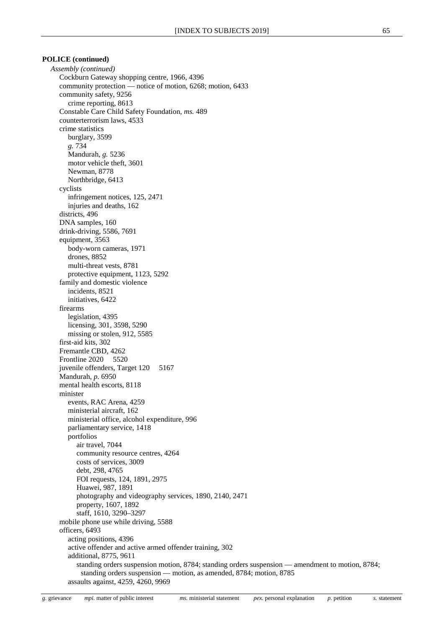*Assembly (continued)* Cockburn Gateway shopping centre, 1966, 4396 community protection — notice of motion, 6268; motion, 6433 community safety, 9256 crime reporting, 8613 Constable Care Child Safety Foundation, *ms.* 489 counterterrorism laws, 4533 crime statistics burglary, 3599 *g.* 734 Mandurah, *g.* 5236 motor vehicle theft, 3601 Newman, 8778 Northbridge, 6413 cyclists infringement notices, 125, 2471 injuries and deaths, 162 districts, 496 DNA samples, 160 drink-driving, 5586, 7691 equipment, 3563 body-worn cameras, 1971 drones, 8852 multi-threat vests, 8781 protective equipment, 1123, 5292 family and domestic violence incidents, 8521 initiatives, 6422 firearms legislation, 4395 licensing, 301, 3598, 5290 missing or stolen, 912, 5585 first-aid kits, 302 Fremantle CBD, 4262 Frontline 2020 5520 juvenile offenders, Target 120 5167 Mandurah, *p.* 6950 mental health escorts, 8118 minister events, RAC Arena, 4259 ministerial aircraft, 162 ministerial office, alcohol expenditure, 996 parliamentary service, 1418 portfolios air travel, 7044 community resource centres, 4264 costs of services, 3009 debt, 298, 4765 FOI requests, 124, 1891, 2975 Huawei, 987, 1891 photography and videography services, 1890, 2140, 2471 property, 1607, 1892 staff, 1610, 3290–3297 mobile phone use while driving, 5588 officers, 6493 acting positions, 4396 active offender and active armed offender training, 302 additional, 8775, 9611 standing orders suspension motion, 8784; standing orders suspension — amendment to motion, 8784; standing orders suspension — motion, as amended, 8784; motion, 8785 assaults against, 4259, 4260, 9969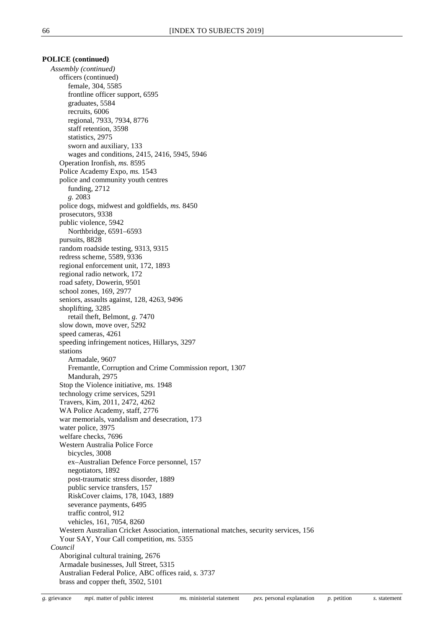*Assembly (continued)* officers (continued) female, 304, 5585 frontline officer support, 6595 graduates, 5584 recruits, 6006 regional, 7933, 7934, 8776 staff retention, 3598 statistics, 2975 sworn and auxiliary, 133 wages and conditions, 2415, 2416, 5945, 5946 Operation Ironfish, *ms.* 8595 Police Academy Expo, *ms.* 1543 police and community youth centres funding, 2712 *g.* 2083 police dogs, midwest and goldfields, *ms.* 8450 prosecutors, 9338 public violence, 5942 Northbridge, 6591–6593 pursuits, 8828 random roadside testing, 9313, 9315 redress scheme, 5589, 9336 regional enforcement unit, 172, 1893 regional radio network, 172 road safety, Dowerin, 9501 school zones, 169, 2977 seniors, assaults against, 128, 4263, 9496 shoplifting, 3285 retail theft, Belmont, *g.* 7470 slow down, move over, 5292 speed cameras, 4261 speeding infringement notices, Hillarys, 3297 stations Armadale, 9607 Fremantle, Corruption and Crime Commission report, 1307 Mandurah, 2975 Stop the Violence initiative, *ms.* 1948 technology crime services, 5291 Travers, Kim, 2011, 2472, 4262 WA Police Academy, staff, 2776 war memorials, vandalism and desecration, 173 water police, 3975 welfare checks, 7696 Western Australia Police Force bicycles, 3008 ex–Australian Defence Force personnel, 157 negotiators, 1892 post-traumatic stress disorder, 1889 public service transfers, 157 RiskCover claims, 178, 1043, 1889 severance payments, 6495 traffic control, 912 vehicles, 161, 7054, 8260 Western Australian Cricket Association, international matches, security services, 156 Your SAY, Your Call competition, *ms.* 5355 *Council* Aboriginal cultural training, 2676 Armadale businesses, Jull Street, 5315 Australian Federal Police, ABC offices raid, *s.* 3737 brass and copper theft, 3502, 5101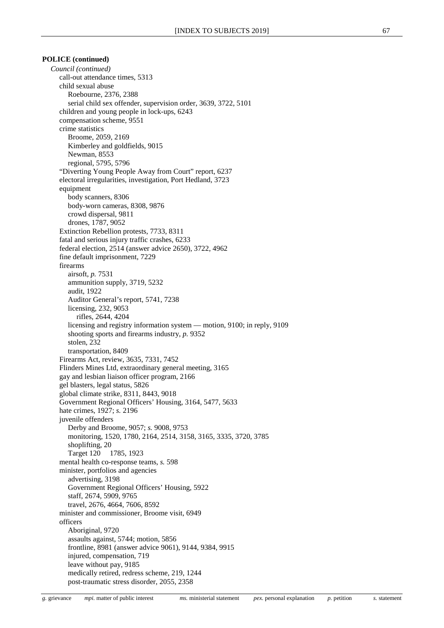*Council (continued)* call-out attendance times, 5313 child sexual abuse Roebourne, 2376, 2388 serial child sex offender, supervision order, 3639, 3722, 5101 children and young people in lock-ups, 6243 compensation scheme, 9551 crime statistics Broome, 2059, 2169 Kimberley and goldfields, 9015 Newman, 8553 regional, 5795, 5796 "Diverting Young People Away from Court" report, 6237 electoral irregularities, investigation, Port Hedland, 3723 equipment body scanners, 8306 body-worn cameras, 8308, 9876 crowd dispersal, 9811 drones, 1787, 9052 Extinction Rebellion protests, 7733, 8311 fatal and serious injury traffic crashes, 6233 federal election, 2514 (answer advice 2650), 3722, 4962 fine default imprisonment, 7229 firearms airsoft, *p.* 7531 ammunition supply, 3719, 5232 audit, 1922 Auditor General's report, 5741, 7238 licensing, 232, 9053 rifles, 2644, 4204 licensing and registry information system — motion, 9100; in reply, 9109 shooting sports and firearms industry, *p.* 9352 stolen, 232 transportation, 8409 Firearms Act, review, 3635, 7331, 7452 Flinders Mines Ltd, extraordinary general meeting, 3165 gay and lesbian liaison officer program, 2166 gel blasters, legal status, 5826 global climate strike, 8311, 8443, 9018 Government Regional Officers' Housing, 3164, 5477, 5633 hate crimes, 1927; *s.* 2196 juvenile offenders Derby and Broome, 9057; *s.* 9008, 9753 monitoring, 1520, 1780, 2164, 2514, 3158, 3165, 3335, 3720, 3785 shoplifting, 20 Target 120 1785, 1923 mental health co-response teams, *s.* 598 minister, portfolios and agencies advertising, 3198 Government Regional Officers' Housing, 5922 staff, 2674, 5909, 9765 travel, 2676, 4664, 7606, 8592 minister and commissioner, Broome visit, 6949 officers Aboriginal, 9720 assaults against, 5744; motion, 5856 frontline, 8981 (answer advice 9061), 9144, 9384, 9915 injured, compensation, 719 leave without pay, 9185 medically retired, redress scheme, 219, 1244 post-traumatic stress disorder, 2055, 2358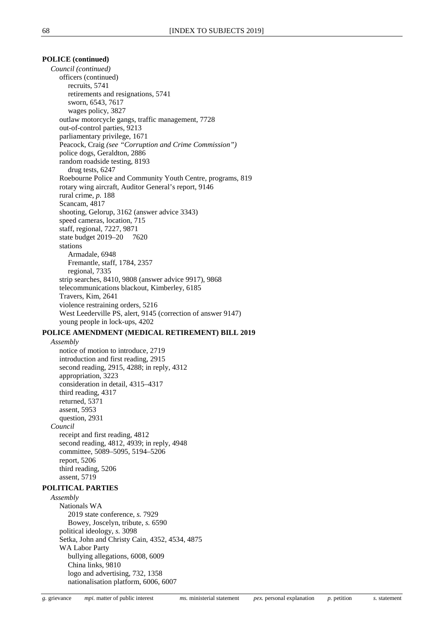*Council (continued)* officers (continued) recruits, 5741 retirements and resignations, 5741 sworn, 6543, 7617 wages policy, 3827 outlaw motorcycle gangs, traffic management, 7728 out-of-control parties, 9213 parliamentary privilege, 1671 Peacock, Craig *(see "Corruption and Crime Commission")* police dogs, Geraldton, 2886 random roadside testing, 8193 drug tests, 6247 Roebourne Police and Community Youth Centre, programs, 819 rotary wing aircraft, Auditor General's report, 9146 rural crime, *p.* 188 Scancam, 4817 shooting, Gelorup, 3162 (answer advice 3343) speed cameras, location, 715 staff, regional, 7227, 9871 state budget 2019–20 7620 stations Armadale, 6948 Fremantle, staff, 1784, 2357 regional, 7335 strip searches, 8410, 9808 (answer advice 9917), 9868 telecommunications blackout, Kimberley, 6185 Travers, Kim, 2641 violence restraining orders, 5216 West Leederville PS, alert, 9145 (correction of answer 9147) young people in lock-ups, 4202

## **POLICE AMENDMENT (MEDICAL RETIREMENT) BILL 2019**

## *Assembly*

notice of motion to introduce, 2719 introduction and first reading, 2915 second reading, 2915, 4288; in reply, 4312 appropriation, 3223 consideration in detail, 4315–4317 third reading, 4317 returned, 5371 assent, 5953 question, 2931 *Council* receipt and first reading, 4812 second reading, 4812, 4939; in reply, 4948 committee, 5089–5095, 5194–5206 report, 5206 third reading, 5206 assent, 5719

#### **POLITICAL PARTIES**

*Assembly* Nationals WA 2019 state conference, *s.* 7929 Bowey, Joscelyn, tribute, *s.* 6590 political ideology, *s.* 3098 Setka, John and Christy Cain, 4352, 4534, 4875 WA Labor Party bullying allegations, 6008, 6009 China links, 9810 logo and advertising, 732, 1358 nationalisation platform, 6006, 6007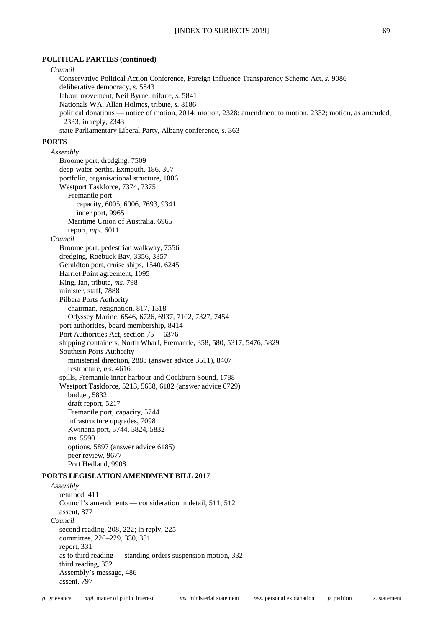#### **POLITICAL PARTIES (continued)**

### *Council*

Conservative Political Action Conference, Foreign Influence Transparency Scheme Act, *s.* 9086 deliberative democracy, *s.* 5843 labour movement, Neil Byrne, tribute, *s.* 5841 Nationals WA, Allan Holmes, tribute, *s.* 8186 political donations — notice of motion, 2014; motion, 2328; amendment to motion, 2332; motion, as amended, 2333; in reply, 2343 state Parliamentary Liberal Party, Albany conference, *s.* 363

#### **PORTS**

*Assembly* Broome port, dredging, 7509 deep-water berths, Exmouth, 186, 307 portfolio, organisational structure, 1006 Westport Taskforce, 7374, 7375 Fremantle port capacity, 6005, 6006, 7693, 9341 inner port, 9965 Maritime Union of Australia, 6965 report, *mpi.* 6011 *Council* Broome port, pedestrian walkway, 7556 dredging, Roebuck Bay, 3356, 3357 Geraldton port, cruise ships, 1540, 6245 Harriet Point agreement, 1095 King, Ian, tribute, *ms.* 798 minister, staff, 7888 Pilbara Ports Authority chairman, resignation, 817, 1518 Odyssey Marine, 6546, 6726, 6937, 7102, 7327, 7454 port authorities, board membership, 8414 Port Authorities Act, section 75 6376 shipping containers, North Wharf, Fremantle, 358, 580, 5317, 5476, 5829 Southern Ports Authority ministerial direction, 2883 (answer advice 3511), 8407 restructure, *ms.* 4616 spills, Fremantle inner harbour and Cockburn Sound, 1788 Westport Taskforce, 5213, 5638, 6182 (answer advice 6729) budget, 5832 draft report, 5217 Fremantle port, capacity, 5744 infrastructure upgrades, 7098 Kwinana port, 5744, 5824, 5832 *ms.* 5590 options, 5897 (answer advice 6185) peer review, 9677

#### **PORTS LEGISLATION AMENDMENT BILL 2017**

Port Hedland, 9908

*Assembly* returned, 411 Council's amendments — consideration in detail, 511, 512 assent, 877 *Council* second reading, 208, 222; in reply, 225 committee, 226–229, 330, 331 report, 331 as to third reading — standing orders suspension motion, 332 third reading, 332 Assembly's message, 486 assent, 797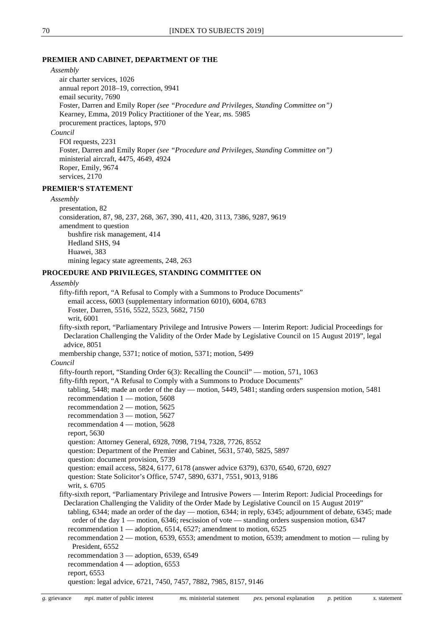#### **PREMIER AND CABINET, DEPARTMENT OF THE**

*Assembly*

air charter services, 1026 annual report 2018–19, correction, 9941 email security, 7690 Foster, Darren and Emily Roper *(see "Procedure and Privileges, Standing Committee on")* Kearney, Emma, 2019 Policy Practitioner of the Year, *ms.* 5985 procurement practices, laptops, 970 *Council* FOI requests, 2231 Foster, Darren and Emily Roper *(see "Procedure and Privileges, Standing Committee on")*

ministerial aircraft, 4475, 4649, 4924

Roper, Emily, 9674

services, 2170

### **PREMIER'S STATEMENT**

## *Assembly*

presentation, 82 consideration, 87, 98, 237, 268, 367, 390, 411, 420, 3113, 7386, 9287, 9619 amendment to question bushfire risk management, 414 Hedland SHS, 94 Huawei, 383 mining legacy state agreements, 248, 263

## **PROCEDURE AND PRIVILEGES, STANDING COMMITTEE ON**

#### *Assembly*

fifty-fifth report, "A Refusal to Comply with a Summons to Produce Documents" email access, 6003 (supplementary information 6010), 6004, 6783

Foster, Darren, 5516, 5522, 5523, 5682, 7150

writ, 6001

fifty-sixth report, "Parliamentary Privilege and Intrusive Powers — Interim Report: Judicial Proceedings for Declaration Challenging the Validity of the Order Made by Legislative Council on 15 August 2019", legal advice, 8051

membership change, 5371; notice of motion, 5371; motion, 5499

## *Council*

fifty-fourth report, "Standing Order 6(3): Recalling the Council" — motion, 571, 1063

fifty-fifth report, "A Refusal to Comply with a Summons to Produce Documents"

tabling, 5448; made an order of the day — motion, 5449, 5481; standing orders suspension motion, 5481 recommendation 1 — motion, 5608

- recommendation 2 motion, 5625
- recommendation 3 motion, 5627
- recommendation 4 motion, 5628
- report, 5630

question: Attorney General, 6928, 7098, 7194, 7328, 7726, 8552

question: Department of the Premier and Cabinet, 5631, 5740, 5825, 5897

question: document provision, 5739

question: email access, 5824, 6177, 6178 (answer advice 6379), 6370, 6540, 6720, 6927

question: State Solicitor's Office, 5747, 5890, 6371, 7551, 9013, 9186

writ, *s.* 6705

fifty-sixth report, "Parliamentary Privilege and Intrusive Powers — Interim Report: Judicial Proceedings for Declaration Challenging the Validity of the Order Made by Legislative Council on 15 August 2019"

tabling, 6344; made an order of the day — motion, 6344; in reply, 6345; adjournment of debate, 6345; made order of the day  $1 -$  motion, 6346; rescission of vote  $-$  standing orders suspension motion, 6347

recommendation 1 — adoption, 6514, 6527; amendment to motion, 6525

recommendation 2 — motion, 6539, 6553; amendment to motion, 6539; amendment to motion — ruling by President, 6552

recommendation 3 — adoption, 6539, 6549

recommendation 4 — adoption, 6553

report, 6553

question: legal advice, 6721, 7450, 7457, 7882, 7985, 8157, 9146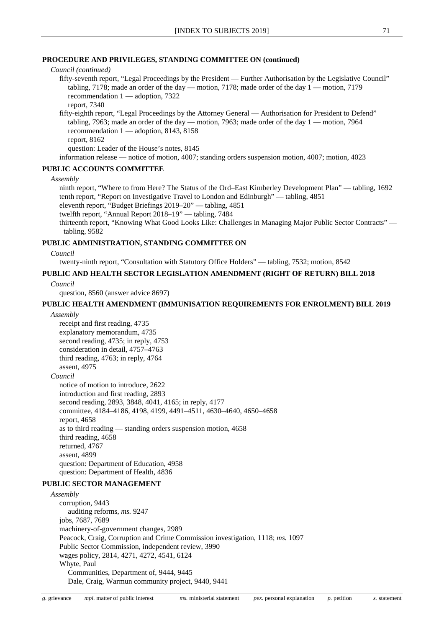## **PROCEDURE AND PRIVILEGES, STANDING COMMITTEE ON (continued)**

*Council (continued)*

fifty-seventh report, "Legal Proceedings by the President — Further Authorisation by the Legislative Council" tabling, 7178; made an order of the day — motion, 7178; made order of the day  $1$  — motion, 7179 recommendation 1 — adoption, 7322

report, 7340

fifty-eighth report, "Legal Proceedings by the Attorney General — Authorisation for President to Defend" tabling, 7963; made an order of the day — motion, 7963; made order of the day  $1$  — motion, 7964 recommendation 1 — adoption, 8143, 8158 report, 8162

question: Leader of the House's notes, 8145

information release — notice of motion, 4007; standing orders suspension motion, 4007; motion, 4023

## **PUBLIC ACCOUNTS COMMITTEE**

*Assembly*

ninth report, "Where to from Here? The Status of the Ord–East Kimberley Development Plan" — tabling, 1692 tenth report, "Report on Investigative Travel to London and Edinburgh" — tabling, 4851

eleventh report, "Budget Briefings 2019–20" — tabling, 4851

twelfth report, "Annual Report 2018–19" — tabling, 7484

thirteenth report, "Knowing What Good Looks Like: Challenges in Managing Major Public Sector Contracts" tabling, 9582

## **PUBLIC ADMINISTRATION, STANDING COMMITTEE ON**

*Council*

twenty-ninth report, "Consultation with Statutory Office Holders" — tabling, 7532; motion, 8542

## **PUBLIC AND HEALTH SECTOR LEGISLATION AMENDMENT (RIGHT OF RETURN) BILL 2018**

*Council*

question, 8560 (answer advice 8697)

## **PUBLIC HEALTH AMENDMENT (IMMUNISATION REQUIREMENTS FOR ENROLMENT) BILL 2019**

*Assembly*

receipt and first reading, 4735 explanatory memorandum, 4735 second reading, 4735; in reply, 4753 consideration in detail, 4757–4763 third reading, 4763; in reply, 4764 assent, 4975 *Council* notice of motion to introduce, 2622 introduction and first reading, 2893

second reading, 2893, 3848, 4041, 4165; in reply, 4177 committee, 4184–4186, 4198, 4199, 4491–4511, 4630–4640, 4650–4658 report, 4658 as to third reading — standing orders suspension motion, 4658 third reading, 4658 returned, 4767 assent, 4899

question: Department of Education, 4958 question: Department of Health, 4836

## **PUBLIC SECTOR MANAGEMENT**

*Assembly* corruption, 9443 auditing reforms, *ms.* 9247 jobs, 7687, 7689 machinery-of-government changes, 2989 Peacock, Craig, Corruption and Crime Commission investigation, 1118; *ms.* 1097 Public Sector Commission, independent review, 3990 wages policy, 2814, 4271, 4272, 4541, 6124 Whyte, Paul Communities, Department of, 9444, 9445 Dale, Craig, Warmun community project, 9440, 9441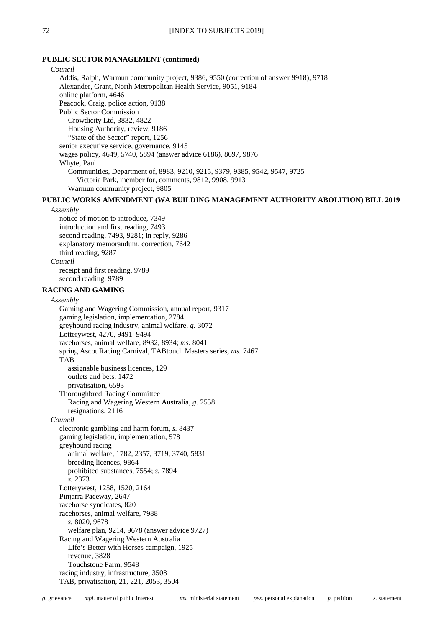## **PUBLIC SECTOR MANAGEMENT (continued)**

| Council                                                                              |
|--------------------------------------------------------------------------------------|
| Addis, Ralph, Warmun community project, 9386, 9550 (correction of answer 9918), 9718 |
| Alexander, Grant, North Metropolitan Health Service, 9051, 9184                      |
| online platform, 4646                                                                |
| Peacock, Craig, police action, 9138                                                  |
| <b>Public Sector Commission</b>                                                      |
| Crowdicity Ltd, 3832, 4822                                                           |
| Housing Authority, review, 9186                                                      |
| "State of the Sector" report, 1256                                                   |
| senior executive service, governance, 9145                                           |
| wages policy, 4649, 5740, 5894 (answer advice 6186), 8697, 9876                      |
| Whyte, Paul                                                                          |
| Communities, Department of, 8983, 9210, 9215, 9379, 9385, 9542, 9547, 9725           |
| Victoria Park, member for, comments, 9812, 9908, 9913                                |
| Warmun community project, 9805                                                       |

## **PUBLIC WORKS AMENDMENT (WA BUILDING MANAGEMENT AUTHORITY ABOLITION) BILL 2019**

#### *Assembly*

notice of motion to introduce, 7349 introduction and first reading, 7493 second reading, 7493, 9281; in reply, 9286 explanatory memorandum, correction, 7642 third reading, 9287 *Council* receipt and first reading, 9789

second reading, 9789

### **RACING AND GAMING**

#### *Assembly*

Gaming and Wagering Commission, annual report, 9317 gaming legislation, implementation, 2784 greyhound racing industry, animal welfare, *g.* 3072 Lotterywest, 4270, 9491–9494 racehorses, animal welfare, 8932, 8934; *ms.* 8041 spring Ascot Racing Carnival, TABtouch Masters series, *ms.* 7467 TAB assignable business licences, 129 outlets and bets, 1472 privatisation, 6593 Thoroughbred Racing Committee Racing and Wagering Western Australia, *g.* 2558 resignations, 2116 *Council* electronic gambling and harm forum, *s.* 8437 gaming legislation, implementation, 578 greyhound racing animal welfare, 1782, 2357, 3719, 3740, 5831 breeding licences, 9864 prohibited substances, 7554; *s.* 7894 *s.* 2373 Lotterywest, 1258, 1520, 2164 Pinjarra Paceway, 2647 racehorse syndicates, 820 racehorses, animal welfare, 7988 *s.* 8020, 9678 welfare plan, 9214, 9678 (answer advice 9727) Racing and Wagering Western Australia Life's Better with Horses campaign, 1925 revenue, 3828 Touchstone Farm, 9548 racing industry, infrastructure, 3508 TAB, privatisation, 21, 221, 2053, 3504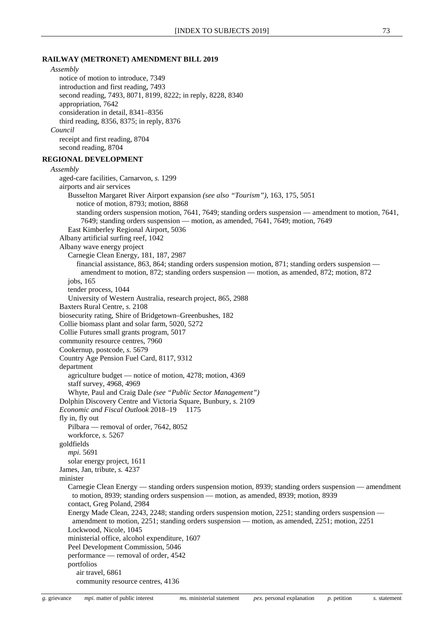#### **RAILWAY (METRONET) AMENDMENT BILL 2019**

```
Assembly
     notice of motion to introduce, 7349
     introduction and first reading, 7493
     second reading, 7493, 8071, 8199, 8222; in reply, 8228, 8340
     appropriation, 7642
     consideration in detail, 8341–8356
     third reading, 8356, 8375; in reply, 8376
  Council
     receipt and first reading, 8704
     second reading, 8704
REGIONAL DEVELOPMENT
  Assembly
     aged-care facilities, Carnarvon, s. 1299
     airports and air services
        Busselton Margaret River Airport expansion (see also "Tourism"), 163, 175, 5051
           notice of motion, 8793; motion, 8868
           standing orders suspension motion, 7641, 7649; standing orders suspension — amendment to motion, 7641, 
            7649; standing orders suspension — motion, as amended, 7641, 7649; motion, 7649
        East Kimberley Regional Airport, 5036
     Albany artificial surfing reef, 1042
     Albany wave energy project
        Carnegie Clean Energy, 181, 187, 2987
           financial assistance, 863, 864; standing orders suspension motion, 871; standing orders suspension —
            amendment to motion, 872; standing orders suspension — motion, as amended, 872; motion, 872
        jobs, 165
        tender process, 1044
        University of Western Australia, research project, 865, 2988
     Baxters Rural Centre, s. 2108
     biosecurity rating, Shire of Bridgetown–Greenbushes, 182
     Collie biomass plant and solar farm, 5020, 5272
     Collie Futures small grants program, 5017
     community resource centres, 7960
     Cookernup, postcode, s. 5679
     Country Age Pension Fuel Card, 8117, 9312
     department
        agriculture budget — notice of motion, 4278; motion, 4369
        staff survey, 4968, 4969
        Whyte, Paul and Craig Dale (see "Public Sector Management")
     Dolphin Discovery Centre and Victoria Square, Bunbury, s. 2109
     Economic and Fiscal Outlook 2018–19 1175
     fly in, fly out
        Pilbara — removal of order, 7642, 8052
        workforce, s. 5267
     goldfields
        mpi. 5691
        solar energy project, 1611
     James, Jan, tribute, s. 4237
     minister
        Carnegie Clean Energy — standing orders suspension motion, 8939; standing orders suspension — amendment 
         to motion, 8939; standing orders suspension — motion, as amended, 8939; motion, 8939
        contact, Greg Poland, 2984
        Energy Made Clean, 2243, 2248; standing orders suspension motion, 2251; standing orders suspension —
         amendment to motion, 2251; standing orders suspension — motion, as amended, 2251; motion, 2251
        Lockwood, Nicole, 1045
        ministerial office, alcohol expenditure, 1607
        Peel Development Commission, 5046
        performance — removal of order, 4542
        portfolios
           air travel, 6861
           community resource centres, 4136
```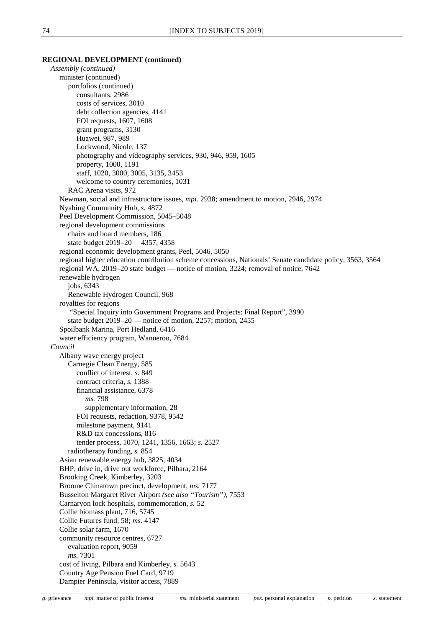#### **REGIONAL DEVELOPMENT (continued)**

*Assembly (continued)* minister (continued) portfolios (continued) consultants, 2986 costs of services, 3010 debt collection agencies, 4141 FOI requests, 1607, 1608 grant programs, 3130 Huawei, 987, 989 Lockwood, Nicole, 137 photography and videography services, 930, 946, 959, 1605 property, 1000, 1191 staff, 1020, 3000, 3005, 3135, 3453 welcome to country ceremonies, 1031 RAC Arena visits, 972 Newman, social and infrastructure issues, *mpi.* 2938; amendment to motion, 2946, 2974 Nyabing Community Hub, *s.* 4872 Peel Development Commission, 5045–5048 regional development commissions chairs and board members, 186 state budget 2019–20 4357, 4358 regional economic development grants, Peel, 5046, 5050 regional higher education contribution scheme concessions, Nationals' Senate candidate policy, 3563, 3564 regional WA, 2019–20 state budget — notice of motion, 3224; removal of notice, 7642 renewable hydrogen jobs, 6343 Renewable Hydrogen Council, 968 royalties for regions "Special Inquiry into Government Programs and Projects: Final Report", 3990 state budget 2019–20 — notice of motion, 2257; motion, 2455 Spoilbank Marina, Port Hedland, 6416 water efficiency program, Wanneroo, 7684 *Council* Albany wave energy project Carnegie Clean Energy, 585 conflict of interest, *s.* 849 contract criteria, *s.* 1388 financial assistance, 6378 *ms.* 798 supplementary information, 28 FOI requests, redaction, 9378, 9542 milestone payment, 9141 R&D tax concessions, 816 tender process, 1070, 1241, 1356, 1663; *s.* 2527 radiotherapy funding, *s.* 854 Asian renewable energy hub, 3825, 4034 BHP, drive in, drive out workforce, Pilbara, 2164 Brooking Creek, Kimberley, 3203 Broome Chinatown precinct, development, *ms.* 7177 Busselton Margaret River Airport *(see also "Tourism")*, 7553 Carnarvon lock hospitals, commemoration, *s.* 52 Collie biomass plant, 716, 5745 Collie Futures fund, 58; *ms.* 4147 Collie solar farm, 1670 community resource centres, 6727 evaluation report, 9059 *ms.* 7301 cost of living, Pilbara and Kimberley, *s.* 5643 Country Age Pension Fuel Card, 9719 Dampier Peninsula, visitor access, 7889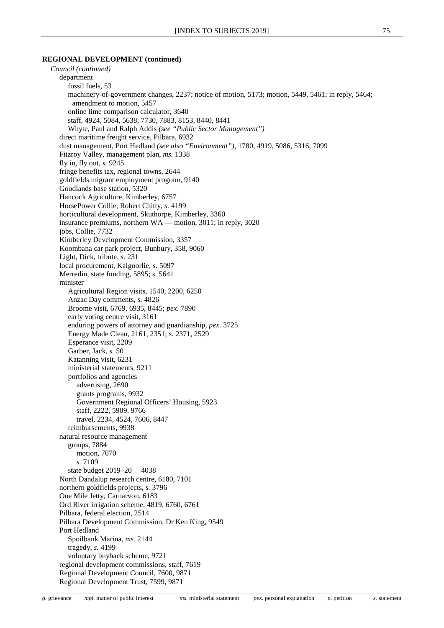## **REGIONAL DEVELOPMENT (continued)**

*Council (continued)* department fossil fuels, 53 machinery-of-government changes, 2237; notice of motion, 5173; motion, 5449, 5461; in reply, 5464; amendment to motion, 5457 online lime comparison calculator, 3640 staff, 4924, 5084, 5638, 7730, 7883, 8153, 8440, 8441 Whyte, Paul and Ralph Addis *(see "Public Sector Management")* direct maritime freight service, Pilbara, 6932 dust management, Port Hedland *(see also "Environment")*, 1780, 4919, 5086, 5316, 7099 Fitzroy Valley, management plan, *ms.* 1338 fly in, fly out, *s.* 9245 fringe benefits tax, regional towns, 2644 goldfields migrant employment program, 9140 Goodlands base station, 5320 Hancock Agriculture, Kimberley, 6757 HorsePower Collie, Robert Chitty, *s.* 4199 horticultural development, Skuthorpe, Kimberley, 3360 insurance premiums, northern WA — motion, 3011; in reply, 3020 jobs, Collie, 7732 Kimberley Development Commission, 3357 Koombana car park project, Bunbury, 358, 9060 Light, Dick, tribute, *s.* 231 local procurement, Kalgoorlie, *s.* 5097 Merredin, state funding, 5895; *s.* 5641 minister Agricultural Region visits, 1540, 2200, 6250 Anzac Day comments, *s.* 4826 Broome visit, 6769, 6935, 8445; *pex.* 7890 early voting centre visit, 3161 enduring powers of attorney and guardianship, *pex.* 3725 Energy Made Clean, 2161, 2351; *s.* 2371, 2529 Esperance visit, 2209 Garber, Jack, *s.* 50 Katanning visit, 6231 ministerial statements, 9211 portfolios and agencies advertising, 2690 grants programs, 9932 Government Regional Officers' Housing, 5923 staff, 2222, 5909, 9766 travel, 2234, 4524, 7606, 8447 reimbursements, 9938 natural resource management groups, 7884 motion, 7070 *s.* 7109 state budget 2019–20 4038 North Dandalup research centre, 6180, 7101 northern goldfields projects, *s.* 3796 One Mile Jetty, Carnarvon, 6183 Ord River irrigation scheme, 4819, 6760, 6761 Pilbara, federal election, 2514 Pilbara Development Commission, Dr Ken King, 9549 Port Hedland Spoilbank Marina, *ms.* 2144 tragedy, *s.* 4199 voluntary buyback scheme, 9721 regional development commissions, staff, 7619 Regional Development Council, 7600, 9871 Regional Development Trust, 7599, 9871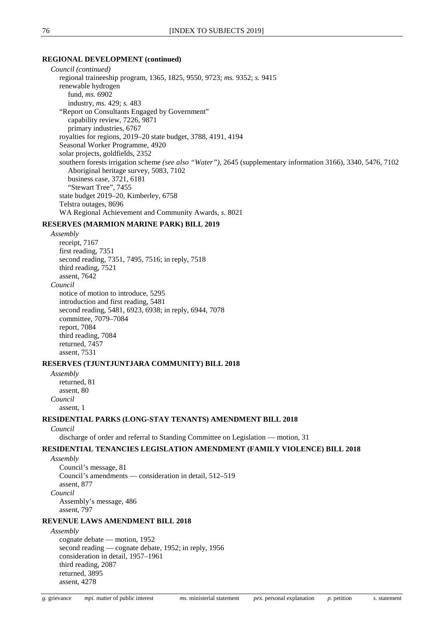#### **REGIONAL DEVELOPMENT (continued)**

*Council (continued)* regional traineeship program, 1365, 1825, 9550, 9723; *ms.* 9352; *s.* 9415 renewable hydrogen fund, *ms.* 6902 industry, *ms.* 429; *s.* 483 "Report on Consultants Engaged by Government" capability review, 7226, 9871 primary industries, 6767 royalties for regions, 2019–20 state budget, 3788, 4191, 4194 Seasonal Worker Programme, 4920 solar projects, goldfields, 2352 southern forests irrigation scheme *(see also "Water")*, 2645 (supplementary information 3166), 3340, 5476, 7102 Aboriginal heritage survey, 5083, 7102 business case, 3721, 6181 "Stewart Tree", 7455 state budget 2019–20, Kimberley, 6758 Telstra outages, 8696 WA Regional Achievement and Community Awards, *s.* 8021

## **RESERVES (MARMION MARINE PARK) BILL 2019**

*Assembly*

receipt, 7167 first reading, 7351 second reading, 7351, 7495, 7516; in reply, 7518 third reading, 7521 assent, 7642 *Council* notice of motion to introduce, 5295 introduction and first reading, 5481 second reading, 5481, 6923, 6938; in reply, 6944, 7078 committee, 7079–7084 report, 7084 third reading, 7084 returned, 7457 assent, 7531

#### **RESERVES (TJUNTJUNTJARA COMMUNITY) BILL 2018**

*Assembly* returned, 81 assent, 80 *Council* assent, 1

## **RESIDENTIAL PARKS (LONG-STAY TENANTS) AMENDMENT BILL 2018**

## *Council*

discharge of order and referral to Standing Committee on Legislation — motion, 31

## **RESIDENTIAL TENANCIES LEGISLATION AMENDMENT (FAMILY VIOLENCE) BILL 2018**

*Assembly*

Council's message, 81 Council's amendments — consideration in detail, 512–519 assent, 877 *Council* Assembly's message, 486 assent, 797

## **REVENUE LAWS AMENDMENT BILL 2018**

*Assembly*

cognate debate — motion, 1952 second reading — cognate debate, 1952; in reply, 1956 consideration in detail, 1957–1961 third reading, 2087 returned, 3895 assent, 4278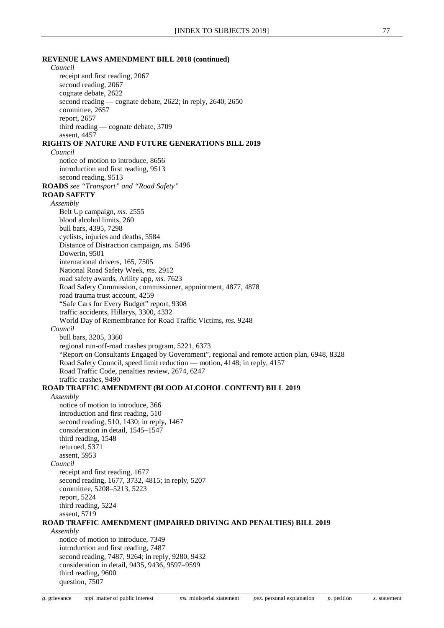## **REVENUE LAWS AMENDMENT BILL 2018 (continued)** *Council* receipt and first reading, 2067 second reading, 2067 cognate debate, 2622 second reading — cognate debate, 2622; in reply, 2640, 2650 committee, 2657 report, 2657 third reading — cognate debate, 3709 assent, 4457 **RIGHTS OF NATURE AND FUTURE GENERATIONS BILL 2019** *Council* notice of motion to introduce, 8656 introduction and first reading, 9513 second reading, 9513 **ROADS** *see "Transport" and "Road Safety"* **ROAD SAFETY** *Assembly* Belt Up campaign, *ms.* 2555 blood alcohol limits, 260 bull bars, 4395, 7298 cyclists, injuries and deaths, 5584 Distance of Distraction campaign, *ms.* 5496 Dowerin, 9501 international drivers, 165, 7505 National Road Safety Week, *ms.* 2912 road safety awards, Arility app, *ms.* 7623 Road Safety Commission, commissioner, appointment, 4877, 4878 road trauma trust account, 4259 "Safe Cars for Every Budget" report, 9308 traffic accidents, Hillarys, 3300, 4332 World Day of Remembrance for Road Traffic Victims, *ms.* 9248 *Council* bull bars, 3205, 3360 regional run-off-road crashes program, 5221, 6373 "Report on Consultants Engaged by Government", regional and remote action plan, 6948, 8328 Road Safety Council, speed limit reduction — motion, 4148; in reply, 4157 Road Traffic Code, penalties review, 2674, 6247 traffic crashes, 9490 **ROAD TRAFFIC AMENDMENT (BLOOD ALCOHOL CONTENT) BILL 2019** *Assembly* notice of motion to introduce, 366 introduction and first reading, 510 second reading, 510, 1430; in reply, 1467 consideration in detail, 1545–1547 third reading, 1548 returned, 5371

second reading, 1677, 3732, 4815; in reply, 5207 committee, 5208–5213, 5223

*Council*

report, 5224 third reading, 5224

receipt and first reading, 1677

assent, 5953

assent, 5719

# **ROAD TRAFFIC AMENDMENT (IMPAIRED DRIVING AND PENALTIES) BILL 2019**

*Assembly* notice of motion to introduce, 7349 introduction and first reading, 7487 second reading, 7487, 9264; in reply, 9280, 9432 consideration in detail, 9435, 9436, 9597–9599 third reading, 9600 question, 7507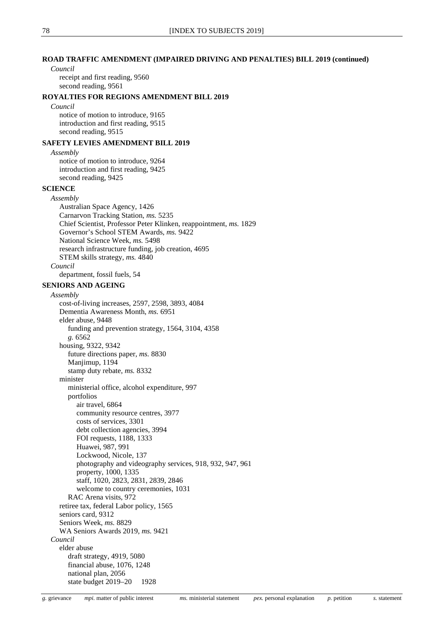## **ROAD TRAFFIC AMENDMENT (IMPAIRED DRIVING AND PENALTIES) BILL 2019 (continued)**

#### *Council*

receipt and first reading, 9560 second reading, 9561

## **ROYALTIES FOR REGIONS AMENDMENT BILL 2019**

#### *Council*

notice of motion to introduce, 9165 introduction and first reading, 9515 second reading, 9515

## **SAFETY LEVIES AMENDMENT BILL 2019**

*Assembly*

notice of motion to introduce, 9264 introduction and first reading, 9425 second reading, 9425

## **SCIENCE**

*Assembly* Australian Space Agency, 1426 Carnarvon Tracking Station, *ms.* 5235 Chief Scientist, Professor Peter Klinken, reappointment, *ms.* 1829 Governor's School STEM Awards, *ms.* 9422 National Science Week, *ms.* 5498 research infrastructure funding, job creation, 4695 STEM skills strategy, *ms.* 4840 *Council*

department, fossil fuels, 54

## **SENIORS AND AGEING**

*Assembly*

cost-of-living increases, 2597, 2598, 3893, 4084 Dementia Awareness Month, *ms.* 6951 elder abuse, 9448 funding and prevention strategy, 1564, 3104, 4358 *g.* 6562 housing, 9322, 9342 future directions paper, *ms.* 8830 Manjimup, 1194 stamp duty rebate, *ms.* 8332 minister ministerial office, alcohol expenditure, 997 portfolios air travel, 6864 community resource centres, 3977 costs of services, 3301 debt collection agencies, 3994 FOI requests, 1188, 1333 Huawei, 987, 991 Lockwood, Nicole, 137 photography and videography services, 918, 932, 947, 961 property, 1000, 1335 staff, 1020, 2823, 2831, 2839, 2846 welcome to country ceremonies, 1031 RAC Arena visits, 972 retiree tax, federal Labor policy, 1565 seniors card, 9312 Seniors Week, *ms.* 8829 WA Seniors Awards 2019, *ms.* 9421 *Council* elder abuse draft strategy, 4919, 5080 financial abuse, 1076, 1248 national plan, 2056 state budget 2019–20 1928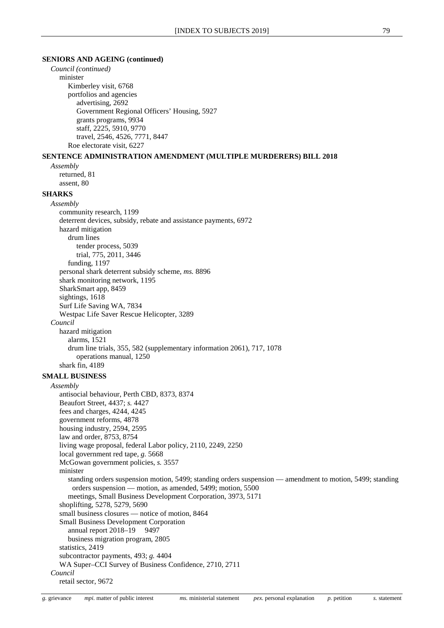## **SENIORS AND AGEING (continued)**

```
Council (continued)
     minister
        Kimberley visit, 6768
        portfolios and agencies
          advertising, 2692
          Government Regional Officers' Housing, 5927
          grants programs, 9934
          staff, 2225, 5910, 9770
          travel, 2546, 4526, 7771, 8447
        Roe electorate visit, 6227
SENTENCE ADMINISTRATION AMENDMENT (MULTIPLE MURDERERS) BILL 2018
  Assembly
     returned, 81
     assent, 80
SHARKS
  Assembly
     community research, 1199
     deterrent devices, subsidy, rebate and assistance payments, 6972
     hazard mitigation
        drum lines
          tender process, 5039
          trial, 775, 2011, 3446
        funding, 1197
     personal shark deterrent subsidy scheme, ms. 8896
     shark monitoring network, 1195
     SharkSmart app, 8459
     sightings, 1618
     Surf Life Saving WA, 7834
     Westpac Life Saver Rescue Helicopter, 3289
  Council
     hazard mitigation
        alarms, 1521
        drum line trials, 355, 582 (supplementary information 2061), 717, 1078
          operations manual, 1250
     shark fin, 4189
SMALL BUSINESS
  Assembly
     antisocial behaviour, Perth CBD, 8373, 8374
     Beaufort Street, 4437; s. 4427
     fees and charges, 4244, 4245
     government reforms, 4878
     housing industry, 2594, 2595
     law and order, 8753, 8754
     living wage proposal, federal Labor policy, 2110, 2249, 2250
     local government red tape, g. 5668
     McGowan government policies, s. 3557
     minister
        standing orders suspension motion, 5499; standing orders suspension — amendment to motion, 5499; standing 
         orders suspension — motion, as amended, 5499; motion, 5500
        meetings, Small Business Development Corporation, 3973, 5171
     shoplifting, 5278, 5279, 5690
     small business closures — notice of motion, 8464
     Small Business Development Corporation
        annual report 2018-19 9497
        business migration program, 2805
     statistics, 2419
     subcontractor payments, 493; g. 4404
     WA Super–CCI Survey of Business Confidence, 2710, 2711
  Council
     retail sector, 9672
```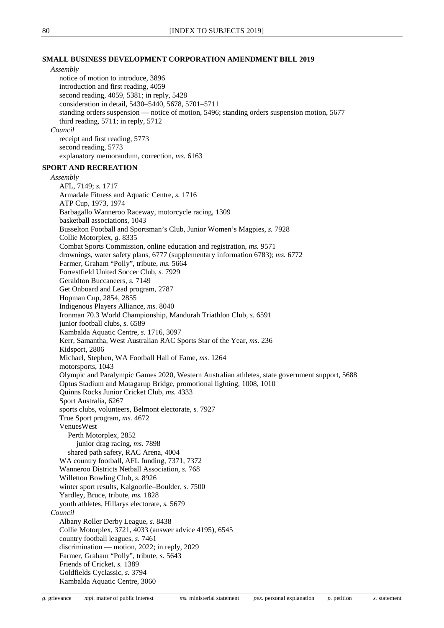## **SMALL BUSINESS DEVELOPMENT CORPORATION AMENDMENT BILL 2019**

## *Assembly*

notice of motion to introduce, 3896 introduction and first reading, 4059 second reading, 4059, 5381; in reply, 5428 consideration in detail, 5430–5440, 5678, 5701–5711 standing orders suspension — notice of motion, 5496; standing orders suspension motion, 5677 third reading, 5711; in reply, 5712 *Council* receipt and first reading, 5773

second reading, 5773

explanatory memorandum, correction, *ms.* 6163

## **SPORT AND RECREATION**

*Assembly* AFL, 7149; *s.* 1717 Armadale Fitness and Aquatic Centre, *s.* 1716 ATP Cup, 1973, 1974 Barbagallo Wanneroo Raceway, motorcycle racing, 1309 basketball associations, 1043 Busselton Football and Sportsman's Club, Junior Women's Magpies, *s.* 7928 Collie Motorplex, *g.* 8335 Combat Sports Commission, online education and registration, *ms.* 9571 drownings, water safety plans, 6777 (supplementary information 6783); *ms.* 6772 Farmer, Graham "Polly", tribute, *ms.* 5664 Forrestfield United Soccer Club, *s.* 7929 Geraldton Buccaneers, *s.* 7149 Get Onboard and Lead program, 2787 Hopman Cup, 2854, 2855 Indigenous Players Alliance, *ms.* 8040 Ironman 70.3 World Championship, Mandurah Triathlon Club, *s.* 6591 junior football clubs, *s.* 6589 Kambalda Aquatic Centre, *s.* 1716, 3097 Kerr, Samantha, West Australian RAC Sports Star of the Year, *ms.* 236 Kidsport, 2806 Michael, Stephen, WA Football Hall of Fame, *ms.* 1264 motorsports, 1043 Olympic and Paralympic Games 2020, Western Australian athletes, state government support, 5688 Optus Stadium and Matagarup Bridge, promotional lighting, 1008, 1010 Quinns Rocks Junior Cricket Club, *ms.* 4333 Sport Australia, 6267 sports clubs, volunteers, Belmont electorate, *s.* 7927 True Sport program, *ms.* 4672 VenuesWest Perth Motorplex, 2852 junior drag racing, *ms.* 7898 shared path safety, RAC Arena, 4004 WA country football, AFL funding, 7371, 7372 Wanneroo Districts Netball Association, *s.* 768 Willetton Bowling Club, *s.* 8926 winter sport results, Kalgoorlie–Boulder, *s.* 7500 Yardley, Bruce, tribute, *ms.* 1828 youth athletes, Hillarys electorate, *s.* 5679 *Council* Albany Roller Derby League, *s.* 8438 Collie Motorplex, 3721, 4033 (answer advice 4195), 6545 country football leagues, *s.* 7461 discrimination — motion, 2022; in reply, 2029 Farmer, Graham "Polly", tribute, *s.* 5643 Friends of Cricket, *s.* 1389

Goldfields Cyclassic, *s.* 3794

Kambalda Aquatic Centre, 3060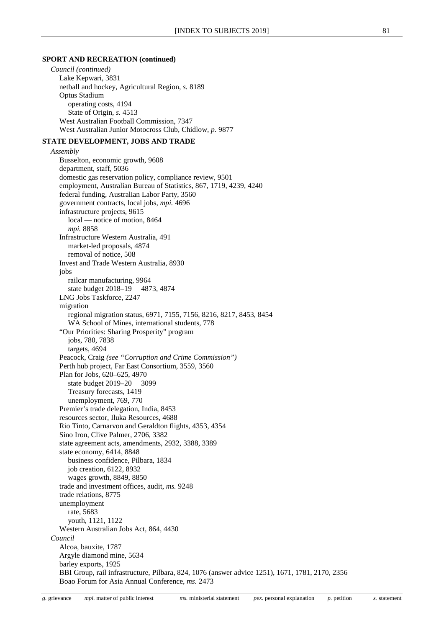#### **SPORT AND RECREATION (continued)**

*Council (continued)* Lake Kepwari, 3831 netball and hockey, Agricultural Region, *s.* 8189 Optus Stadium operating costs, 4194 State of Origin, *s.* 4513 West Australian Football Commission, 7347 West Australian Junior Motocross Club, Chidlow, *p.* 9877

#### **STATE DEVELOPMENT, JOBS AND TRADE**

*Assembly*

Busselton, economic growth, 9608 department, staff, 5036 domestic gas reservation policy, compliance review, 9501 employment, Australian Bureau of Statistics, 867, 1719, 4239, 4240 federal funding, Australian Labor Party, 3560 government contracts, local jobs, *mpi.* 4696 infrastructure projects, 9615 local — notice of motion, 8464 *mpi.* 8858 Infrastructure Western Australia, 491 market-led proposals, 4874 removal of notice, 508 Invest and Trade Western Australia, 8930 jobs railcar manufacturing, 9964 state budget 2018–19 4873, 4874 LNG Jobs Taskforce, 2247 migration regional migration status, 6971, 7155, 7156, 8216, 8217, 8453, 8454 WA School of Mines, international students, 778 "Our Priorities: Sharing Prosperity" program jobs, 780, 7838 targets, 4694 Peacock, Craig *(see "Corruption and Crime Commission")* Perth hub project, Far East Consortium, 3559, 3560 Plan for Jobs, 620–625, 4970 state budget 2019–20 3099 Treasury forecasts, 1419 unemployment, 769, 770 Premier's trade delegation, India, 8453 resources sector, Iluka Resources, 4688 Rio Tinto, Carnarvon and Geraldton flights, 4353, 4354 Sino Iron, Clive Palmer, 2706, 3382 state agreement acts, amendments, 2932, 3388, 3389 state economy, 6414, 8848 business confidence, Pilbara, 1834 job creation, 6122, 8932 wages growth, 8849, 8850 trade and investment offices, audit, *ms.* 9248 trade relations, 8775 unemployment rate, 5683 youth, 1121, 1122 Western Australian Jobs Act, 864, 4430 *Council* Alcoa, bauxite, 1787 Argyle diamond mine, 5634 barley exports, 1925 BBI Group, rail infrastructure, Pilbara, 824, 1076 (answer advice 1251), 1671, 1781, 2170, 2356 Boao Forum for Asia Annual Conference, *ms.* 2473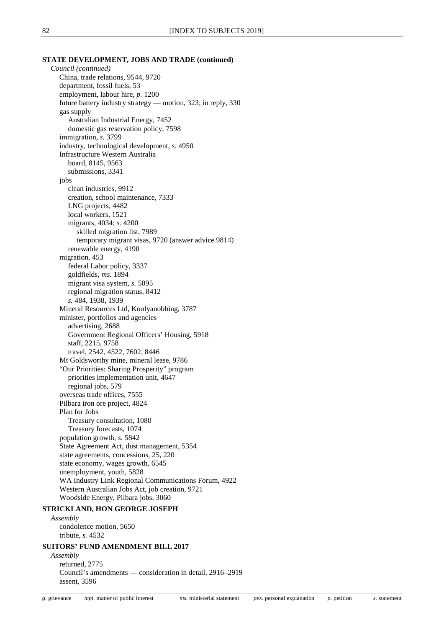#### **STATE DEVELOPMENT, JOBS AND TRADE (continued)**

*Council (continued)* China, trade relations, 9544, 9720 department, fossil fuels, 53 employment, labour hire, *p.* 1200 future battery industry strategy — motion, 323; in reply, 330 gas supply Australian Industrial Energy, 7452 domestic gas reservation policy, 7598 immigration, *s.* 3799 industry, technological development, *s.* 4950 Infrastructure Western Australia board, 8145, 9563 submissions, 3341 jobs clean industries, 9912 creation, school maintenance, 7333 LNG projects, 4482 local workers, 1521 migrants, 4034; *s.* 4200 skilled migration list, 7989 temporary migrant visas, 9720 (answer advice 9814) renewable energy, 4190 migration, 453 federal Labor policy, 3337 goldfields, *ms.* 1894 migrant visa system, *s.* 5095 regional migration status, 8412 *s.* 484, 1938, 1939 Mineral Resources Ltd, Koolyanobbing, 3787 minister, portfolios and agencies advertising, 2688 Government Regional Officers' Housing, 5918 staff, 2215, 9758 travel, 2542, 4522, 7602, 8446 Mt Goldsworthy mine, mineral lease, 9786 "Our Priorities: Sharing Prosperity" program priorities implementation unit, 4647 regional jobs, 579 overseas trade offices, 7555 Pilbara iron ore project, 4824 Plan for Jobs Treasury consultation, 1080 Treasury forecasts, 1074 population growth, *s.* 5842 State Agreement Act, dust management, 5354 state agreements, concessions, 25, 220 state economy, wages growth, 6545 unemployment, youth, 5828 WA Industry Link Regional Communications Forum, 4922 Western Australian Jobs Act, job creation, 9721 Woodside Energy, Pilbara jobs, 3060 **STRICKLAND, HON GEORGE JOSEPH**

*Assembly* condolence motion, 5650 tribute, *s.* 4532

## **SUITORS' FUND AMENDMENT BILL 2017**

*Assembly*

returned, 2775 Council's amendments — consideration in detail, 2916–2919 assent, 3596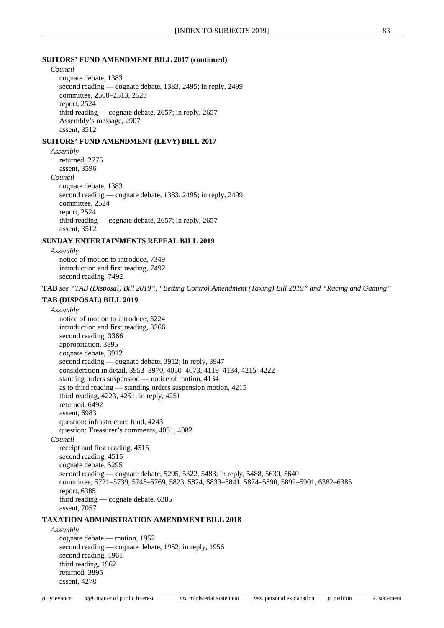#### **SUITORS' FUND AMENDMENT BILL 2017 (continued)**

*Council*

cognate debate, 1383 second reading — cognate debate, 1383, 2495; in reply, 2499 committee, 2500–2513, 2523 report, 2524 third reading — cognate debate, 2657; in reply, 2657 Assembly's message, 2907 assent, 3512

## **SUITORS' FUND AMENDMENT (LEVY) BILL 2017**

*Assembly* returned, 2775 assent, 3596 *Council* cognate debate, 1383 second reading — cognate debate, 1383, 2495; in reply, 2499 committee, 2524 report, 2524 third reading — cognate debate, 2657; in reply, 2657 assent, 3512

## **SUNDAY ENTERTAINMENTS REPEAL BILL 2019**

*Assembly* notice of motion to introduce, 7349 introduction and first reading, 7492 second reading, 7492

**TAB** *see "TAB (Disposal) Bill 2019", "Betting Control Amendment (Taxing) Bill 2019" and "Racing and Gaming"*

## **TAB (DISPOSAL) BILL 2019**

*Assembly*

notice of motion to introduce, 3224 introduction and first reading, 3366 second reading, 3366 appropriation, 3895 cognate debate, 3912 second reading — cognate debate, 3912; in reply, 3947 consideration in detail, 3953–3970, 4060–4073, 4119–4134, 4215–4222 standing orders suspension — notice of motion, 4134 as to third reading — standing orders suspension motion, 4215 third reading, 4223, 4251; in reply, 4251 returned, 6492 assent, 6983 question: infrastructure fund, 4243 question: Treasurer's comments, 4081, 4082 *Council* receipt and first reading, 4515 second reading, 4515 cognate debate, 5295 second reading — cognate debate, 5295, 5322, 5483; in reply, 5488, 5630, 5640 committee, 5721–5739, 5748–5769, 5823, 5824, 5833–5841, 5874–5890, 5899–5901, 6382–6385 report, 6385 third reading — cognate debate, 6385 assent, 7057

## **TAXATION ADMINISTRATION AMENDMENT BILL 2018**

*Assembly* cognate debate — motion, 1952 second reading — cognate debate, 1952; in reply, 1956 second reading, 1961 third reading, 1962 returned, 3895 assent, 4278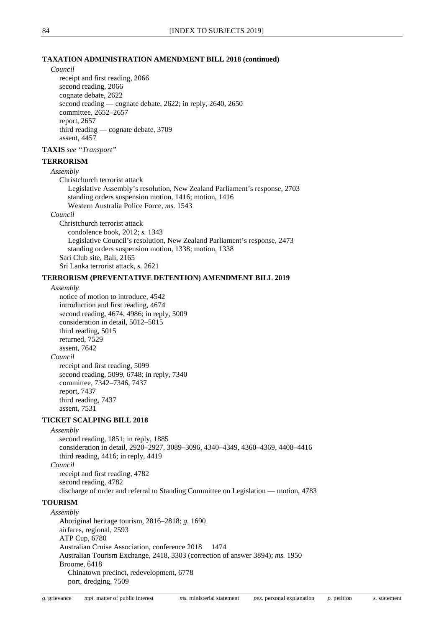#### **TAXATION ADMINISTRATION AMENDMENT BILL 2018 (continued)**

## *Council*

receipt and first reading, 2066 second reading, 2066 cognate debate, 2622 second reading — cognate debate, 2622; in reply, 2640, 2650 committee, 2652–2657 report, 2657 third reading — cognate debate, 3709 assent, 4457

## **TAXIS** *see "Transport"*

## **TERRORISM**

*Assembly*

Christchurch terrorist attack Legislative Assembly's resolution, New Zealand Parliament's response, 2703 standing orders suspension motion, 1416; motion, 1416 Western Australia Police Force, *ms.* 1543

## *Council*

Christchurch terrorist attack condolence book, 2012; *s.* 1343 Legislative Council's resolution, New Zealand Parliament's response, 2473 standing orders suspension motion, 1338; motion, 1338 Sari Club site, Bali, 2165 Sri Lanka terrorist attack, *s.* 2621

#### **TERRORISM (PREVENTATIVE DETENTION) AMENDMENT BILL 2019**

#### *Assembly*

notice of motion to introduce, 4542 introduction and first reading, 4674 second reading, 4674, 4986; in reply, 5009 consideration in detail, 5012–5015 third reading, 5015 returned, 7529 assent, 7642 *Council* receipt and first reading, 5099 second reading, 5099, 6748; in reply, 7340 committee, 7342–7346, 7437 report, 7437

## **TICKET SCALPING BILL 2018**

third reading, 7437 assent, 7531

## *Assembly*

second reading, 1851; in reply, 1885 consideration in detail, 2920–2927, 3089–3096, 4340–4349, 4360–4369, 4408–4416 third reading, 4416; in reply, 4419 *Council* receipt and first reading, 4782

second reading, 4782 discharge of order and referral to Standing Committee on Legislation — motion, 4783

## **TOURISM**

*Assembly* Aboriginal heritage tourism, 2816–2818; *g.* 1690 airfares, regional, 2593 ATP Cup, 6780 Australian Cruise Association, conference 2018 1474 Australian Tourism Exchange, 2418, 3303 (correction of answer 3894); *ms.* 1950 Broome, 6418 Chinatown precinct, redevelopment, 6778 port, dredging, 7509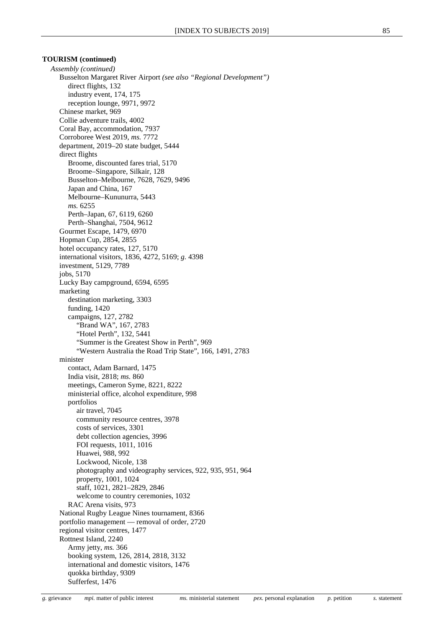#### **TOURISM (continued)**

*Assembly (continued)* Busselton Margaret River Airport *(see also "Regional Development")* direct flights, 132 industry event, 174, 175 reception lounge, 9971, 9972 Chinese market, 969 Collie adventure trails, 4002 Coral Bay, accommodation, 7937 Corroboree West 2019, *ms.* 7772 department, 2019–20 state budget, 5444 direct flights Broome, discounted fares trial, 5170 Broome–Singapore, Silkair, 128 Busselton–Melbourne, 7628, 7629, 9496 Japan and China, 167 Melbourne–Kununurra, 5443 *ms.* 6255 Perth–Japan, 67, 6119, 6260 Perth–Shanghai, 7504, 9612 Gourmet Escape, 1479, 6970 Hopman Cup, 2854, 2855 hotel occupancy rates, 127, 5170 international visitors, 1836, 4272, 5169; *g.* 4398 investment, 5129, 7789 jobs, 5170 Lucky Bay campground, 6594, 6595 marketing destination marketing, 3303 funding, 1420 campaigns, 127, 2782 "Brand WA", 167, 2783 "Hotel Perth", 132, 5441 "Summer is the Greatest Show in Perth", 969 "Western Australia the Road Trip State", 166, 1491, 2783 minister contact, Adam Barnard, 1475 India visit, 2818; *ms.* 860 meetings, Cameron Syme, 8221, 8222 ministerial office, alcohol expenditure, 998 portfolios air travel, 7045 community resource centres, 3978 costs of services, 3301 debt collection agencies, 3996 FOI requests, 1011, 1016 Huawei, 988, 992 Lockwood, Nicole, 138 photography and videography services, 922, 935, 951, 964 property, 1001, 1024 staff, 1021, 2821–2829, 2846 welcome to country ceremonies, 1032 RAC Arena visits, 973 National Rugby League Nines tournament, 8366 portfolio management — removal of order, 2720 regional visitor centres, 1477 Rottnest Island, 2240 Army jetty, *ms.* 366 booking system, 126, 2814, 2818, 3132 international and domestic visitors, 1476 quokka birthday, 9309 Sufferfest, 1476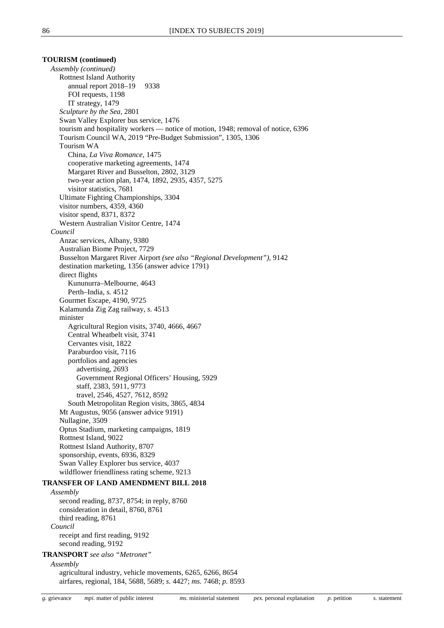## **TOURISM (continued)**

*Assembly (continued)* Rottnest Island Authority annual report 2018–19 9338 FOI requests, 1198 IT strategy, 1479 *Sculpture by the Sea*, 2801 Swan Valley Explorer bus service, 1476 tourism and hospitality workers — notice of motion, 1948; removal of notice, 6396 Tourism Council WA, 2019 "Pre-Budget Submission", 1305, 1306 Tourism WA China, *La Viva Romance*, 1475 cooperative marketing agreements, 1474 Margaret River and Busselton, 2802, 3129 two-year action plan, 1474, 1892, 2935, 4357, 5275 visitor statistics, 7681 Ultimate Fighting Championships, 3304 visitor numbers, 4359, 4360 visitor spend, 8371, 8372 Western Australian Visitor Centre, 1474 *Council* Anzac services, Albany, 9380 Australian Biome Project, 7729 Busselton Margaret River Airport *(see also "Regional Development")*, 9142 destination marketing, 1356 (answer advice 1791) direct flights Kununurra–Melbourne, 4643 Perth–India, *s.* 4512 Gourmet Escape, 4190, 9725 Kalamunda Zig Zag railway, *s.* 4513 minister Agricultural Region visits, 3740, 4666, 4667 Central Wheatbelt visit, 3741 Cervantes visit, 1822 Paraburdoo visit, 7116 portfolios and agencies advertising, 2693 Government Regional Officers' Housing, 5929 staff, 2383, 5911, 9773 travel, 2546, 4527, 7612, 8592 South Metropolitan Region visits, 3865, 4834 Mt Augustus, 9056 (answer advice 9191) Nullagine, 3509 Optus Stadium, marketing campaigns, 1819 Rottnest Island, 9022 Rottnest Island Authority, 8707 sponsorship, events, 6936, 8329 Swan Valley Explorer bus service, 4037 wildflower friendliness rating scheme, 9213 **TRANSFER OF LAND AMENDMENT BILL 2018** *Assembly* second reading, 8737, 8754; in reply, 8760 consideration in detail, 8760, 8761 third reading, 8761 *Council* receipt and first reading, 9192 second reading, 9192 **TRANSPORT** *see also "Metronet" Assembly* agricultural industry, vehicle movements, 6265, 6266, 8654

airfares, regional, 184, 5688, 5689; *s.* 4427; *ms.* 7468; *p.* 8593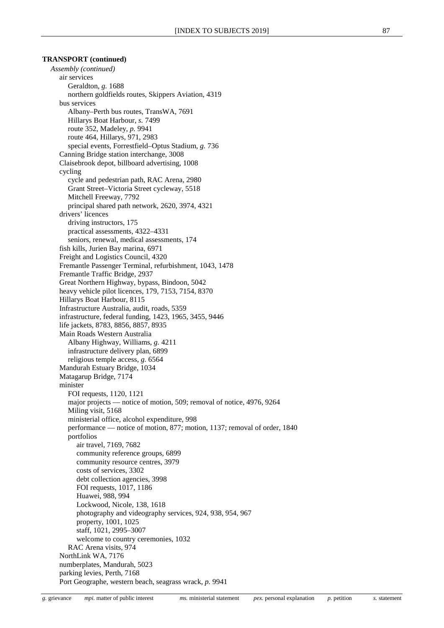*Assembly (continued)* air services Geraldton, *g.* 1688 northern goldfields routes, Skippers Aviation, 4319 bus services Albany–Perth bus routes, TransWA, 7691 Hillarys Boat Harbour, *s.* 7499 route 352, Madeley, *p.* 9941 route 464, Hillarys, 971, 2983 special events, Forrestfield–Optus Stadium, *g.* 736 Canning Bridge station interchange, 3008 Claisebrook depot, billboard advertising, 1008 cycling cycle and pedestrian path, RAC Arena, 2980 Grant Street–Victoria Street cycleway, 5518 Mitchell Freeway, 7792 principal shared path network, 2620, 3974, 4321 drivers' licences driving instructors, 175 practical assessments, 4322–4331 seniors, renewal, medical assessments, 174 fish kills, Jurien Bay marina, 6971 Freight and Logistics Council, 4320 Fremantle Passenger Terminal, refurbishment, 1043, 1478 Fremantle Traffic Bridge, 2937 Great Northern Highway, bypass, Bindoon, 5042 heavy vehicle pilot licences, 179, 7153, 7154, 8370 Hillarys Boat Harbour, 8115 Infrastructure Australia, audit, roads, 5359 infrastructure, federal funding, 1423, 1965, 3455, 9446 life jackets, 8783, 8856, 8857, 8935 Main Roads Western Australia Albany Highway, Williams, *g.* 4211 infrastructure delivery plan, 6899 religious temple access, *g.* 6564 Mandurah Estuary Bridge, 1034 Matagarup Bridge, 7174 minister FOI requests, 1120, 1121 major projects — notice of motion, 509; removal of notice, 4976, 9264 Miling visit, 5168 ministerial office, alcohol expenditure, 998 performance — notice of motion, 877; motion, 1137; removal of order, 1840 portfolios air travel, 7169, 7682 community reference groups, 6899 community resource centres, 3979 costs of services, 3302 debt collection agencies, 3998 FOI requests, 1017, 1186 Huawei, 988, 994 Lockwood, Nicole, 138, 1618 photography and videography services, 924, 938, 954, 967 property, 1001, 1025 staff, 1021, 2995–3007 welcome to country ceremonies, 1032 RAC Arena visits, 974 NorthLink WA, 7176 numberplates, Mandurah, 5023 parking levies, Perth, 7168 Port Geographe, western beach, seagrass wrack, *p.* 9941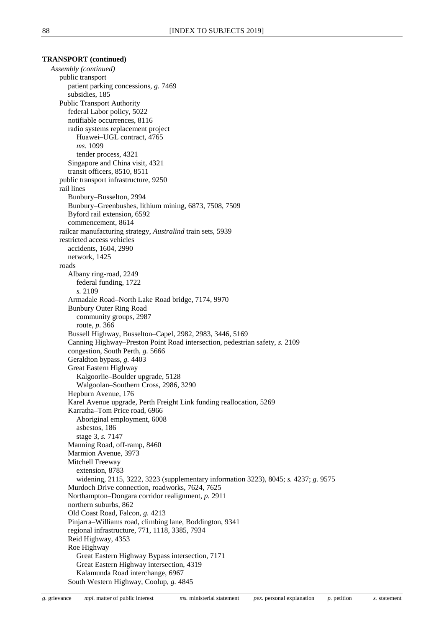*Assembly (continued)* public transport patient parking concessions, *g.* 7469 subsidies, 185 Public Transport Authority federal Labor policy, 5022 notifiable occurrences, 8116 radio systems replacement project Huawei–UGL contract, 4765 *ms.* 1099 tender process, 4321 Singapore and China visit, 4321 transit officers, 8510, 8511 public transport infrastructure, 9250 rail lines Bunbury–Busselton, 2994 Bunbury–Greenbushes, lithium mining, 6873, 7508, 7509 Byford rail extension, 6592 commencement, 8614 railcar manufacturing strategy, *Australind* train sets, 5939 restricted access vehicles accidents, 1604, 2990 network, 1425 roads Albany ring-road, 2249 federal funding, 1722 *s.* 2109 Armadale Road–North Lake Road bridge, 7174, 9970 Bunbury Outer Ring Road community groups, 2987 route, *p.* 366 Bussell Highway, Busselton–Capel, 2982, 2983, 3446, 5169 Canning Highway–Preston Point Road intersection, pedestrian safety, *s.* 2109 congestion, South Perth, *g.* 5666 Geraldton bypass, *g.* 4403 Great Eastern Highway Kalgoorlie–Boulder upgrade, 5128 Walgoolan–Southern Cross, 2986, 3290 Hepburn Avenue, 176 Karel Avenue upgrade, Perth Freight Link funding reallocation, 5269 Karratha–Tom Price road, 6966 Aboriginal employment, 6008 asbestos, 186 stage 3, *s.* 7147 Manning Road, off-ramp, 8460 Marmion Avenue, 3973 Mitchell Freeway extension, 8783 widening, 2115, 3222, 3223 (supplementary information 3223), 8045; *s.* 4237; *g.* 9575 Murdoch Drive connection, roadworks, 7624, 7625 Northampton–Dongara corridor realignment, *p.* 2911 northern suburbs, 862 Old Coast Road, Falcon, *g.* 4213 Pinjarra–Williams road, climbing lane, Boddington, 9341 regional infrastructure, 771, 1118, 3385, 7934 Reid Highway, 4353 Roe Highway Great Eastern Highway Bypass intersection, 7171 Great Eastern Highway intersection, 4319 Kalamunda Road interchange, 6967 South Western Highway, Coolup, *g.* 4845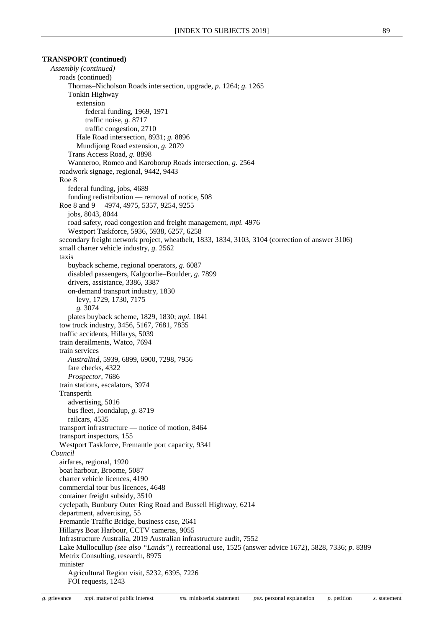*Assembly (continued)* roads (continued) Thomas–Nicholson Roads intersection, upgrade, *p.* 1264; *g.* 1265 Tonkin Highway extension federal funding, 1969, 1971 traffic noise, *g.* 8717 traffic congestion, 2710 Hale Road intersection, 8931; *g.* 8896 Mundijong Road extension, *g.* 2079 Trans Access Road, *g.* 8898 Wanneroo, Romeo and Karoborup Roads intersection, *g.* 2564 roadwork signage, regional, 9442, 9443 Roe 8 federal funding, jobs, 4689 funding redistribution — removal of notice, 508 Roe 8 and 9 4974, 4975, 5357, 9254, 9255 jobs, 8043, 8044 road safety, road congestion and freight management, *mpi.* 4976 Westport Taskforce, 5936, 5938, 6257, 6258 secondary freight network project, wheatbelt, 1833, 1834, 3103, 3104 (correction of answer 3106) small charter vehicle industry, *g.* 2562 taxis buyback scheme, regional operators, *g.* 6087 disabled passengers, Kalgoorlie–Boulder, *g.* 7899 drivers, assistance, 3386, 3387 on-demand transport industry, 1830 levy, 1729, 1730, 7175 *g.* 3074 plates buyback scheme, 1829, 1830; *mpi.* 1841 tow truck industry, 3456, 5167, 7681, 7835 traffic accidents, Hillarys, 5039 train derailments, Watco, 7694 train services *Australind*, 5939, 6899, 6900, 7298, 7956 fare checks, 4322 *Prospector*, 7686 train stations, escalators, 3974 Transperth advertising, 5016 bus fleet, Joondalup, *g.* 8719 railcars, 4535 transport infrastructure — notice of motion, 8464 transport inspectors, 155 Westport Taskforce, Fremantle port capacity, 9341 *Council* airfares, regional, 1920 boat harbour, Broome, 5087 charter vehicle licences, 4190 commercial tour bus licences, 4648 container freight subsidy, 3510 cyclepath, Bunbury Outer Ring Road and Bussell Highway, 6214 department, advertising, 55 Fremantle Traffic Bridge, business case, 2641 Hillarys Boat Harbour, CCTV cameras, 9055 Infrastructure Australia, 2019 Australian infrastructure audit, 7552 Lake Mullocullup *(see also "Lands")*, recreational use, 1525 (answer advice 1672), 5828, 7336; *p.* 8389 Metrix Consulting, research, 8975 minister Agricultural Region visit, 5232, 6395, 7226 FOI requests, 1243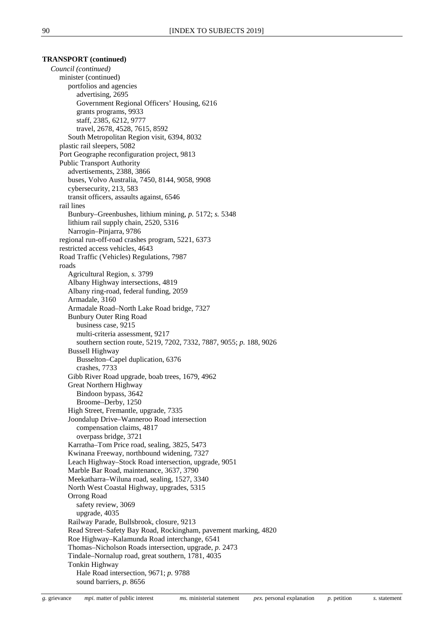*Council (continued)* minister (continued) portfolios and agencies advertising, 2695 Government Regional Officers' Housing, 6216 grants programs, 9933 staff, 2385, 6212, 9777 travel, 2678, 4528, 7615, 8592 South Metropolitan Region visit, 6394, 8032 plastic rail sleepers, 5082 Port Geographe reconfiguration project, 9813 Public Transport Authority advertisements, 2388, 3866 buses, Volvo Australia, 7450, 8144, 9058, 9908 cybersecurity, 213, 583 transit officers, assaults against, 6546 rail lines Bunbury–Greenbushes, lithium mining, *p.* 5172; *s.* 5348 lithium rail supply chain, 2520, 5316 Narrogin–Pinjarra, 9786 regional run-off-road crashes program, 5221, 6373 restricted access vehicles, 4643 Road Traffic (Vehicles) Regulations, 7987 roads Agricultural Region, *s.* 3799 Albany Highway intersections, 4819 Albany ring-road, federal funding, 2059 Armadale, 3160 Armadale Road–North Lake Road bridge, 7327 Bunbury Outer Ring Road business case, 9215 multi-criteria assessment, 9217 southern section route, 5219, 7202, 7332, 7887, 9055; *p.* 188, 9026 Bussell Highway Busselton–Capel duplication, 6376 crashes, 7733 Gibb River Road upgrade, boab trees, 1679, 4962 Great Northern Highway Bindoon bypass, 3642 Broome–Derby, 1250 High Street, Fremantle, upgrade, 7335 Joondalup Drive–Wanneroo Road intersection compensation claims, 4817 overpass bridge, 3721 Karratha–Tom Price road, sealing, 3825, 5473 Kwinana Freeway, northbound widening, 7327 Leach Highway–Stock Road intersection, upgrade, 9051 Marble Bar Road, maintenance, 3637, 3790 Meekatharra–Wiluna road, sealing, 1527, 3340 North West Coastal Highway, upgrades, 5315 Orrong Road safety review, 3069 upgrade, 4035 Railway Parade, Bullsbrook, closure, 9213 Read Street–Safety Bay Road, Rockingham, pavement marking, 4820 Roe Highway–Kalamunda Road interchange, 6541 Thomas–Nicholson Roads intersection, upgrade, *p.* 2473 Tindale–Nornalup road, great southern, 1781, 4035 Tonkin Highway Hale Road intersection, 9671; *p.* 9788 sound barriers, *p.* 8656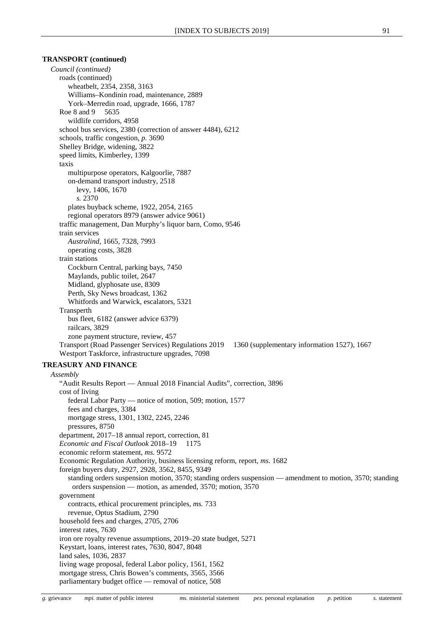*Council (continued)* roads (continued) wheatbelt, 2354, 2358, 3163 Williams–Kondinin road, maintenance, 2889 York–Merredin road, upgrade, 1666, 1787 Roe 8 and 9 5635 wildlife corridors, 4958 school bus services, 2380 (correction of answer 4484), 6212 schools, traffic congestion, *p.* 3690 Shelley Bridge, widening, 3822 speed limits, Kimberley, 1399 taxis multipurpose operators, Kalgoorlie, 7887 on-demand transport industry, 2518 levy, 1406, 1670 *s.* 2370 plates buyback scheme, 1922, 2054, 2165 regional operators 8979 (answer advice 9061) traffic management, Dan Murphy's liquor barn, Como, 9546 train services *Australind*, 1665, 7328, 7993 operating costs, 3828 train stations Cockburn Central, parking bays, 7450 Maylands, public toilet, 2647 Midland, glyphosate use, 8309 Perth, Sky News broadcast, 1362 Whitfords and Warwick, escalators, 5321 Transperth bus fleet, 6182 (answer advice 6379) railcars, 3829 zone payment structure, review, 457 Transport (Road Passenger Services) Regulations 2019 1360 (supplementary information 1527), 1667 Westport Taskforce, infrastructure upgrades, 7098 **TREASURY AND FINANCE** *Assembly* "Audit Results Report — Annual 2018 Financial Audits", correction, 3896 cost of living federal Labor Party — notice of motion, 509; motion, 1577 fees and charges, 3384 mortgage stress, 1301, 1302, 2245, 2246 pressures, 8750 department, 2017–18 annual report, correction, 81 *Economic and Fiscal Outlook* 2018–19 1175 economic reform statement, *ms.* 9572 Economic Regulation Authority, business licensing reform, report, *ms.* 1682 foreign buyers duty, 2927, 2928, 3562, 8455, 9349 standing orders suspension motion, 3570; standing orders suspension — amendment to motion, 3570; standing orders suspension — motion, as amended, 3570; motion, 3570 government contracts, ethical procurement principles, *ms.* 733 revenue, Optus Stadium, 2790 household fees and charges, 2705, 2706 interest rates, 7630 iron ore royalty revenue assumptions, 2019–20 state budget, 5271 Keystart, loans, interest rates, 7630, 8047, 8048 land sales, 1036, 2837 living wage proposal, federal Labor policy, 1561, 1562 mortgage stress, Chris Bowen's comments, 3565, 3566 parliamentary budget office — removal of notice, 508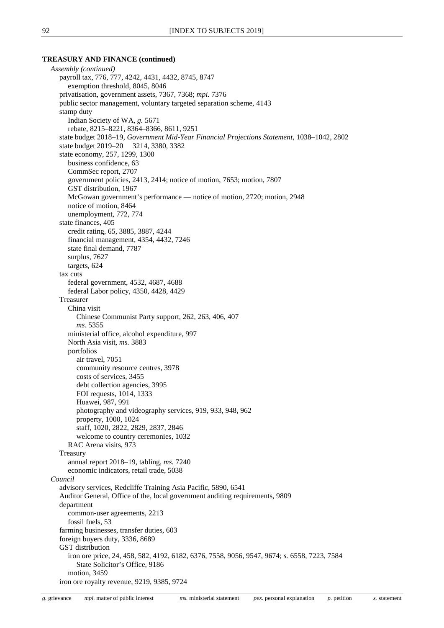#### **TREASURY AND FINANCE (continued)**

*Assembly (continued)* payroll tax, 776, 777, 4242, 4431, 4432, 8745, 8747 exemption threshold, 8045, 8046 privatisation, government assets, 7367, 7368; *mpi.* 7376 public sector management, voluntary targeted separation scheme, 4143 stamp duty Indian Society of WA, *g.* 5671 rebate, 8215–8221, 8364–8366, 8611, 9251 state budget 2018–19, *Government Mid-Year Financial Projections Statement*, 1038–1042, 2802 state budget 2019–20 3214, 3380, 3382 state economy, 257, 1299, 1300 business confidence, 63 CommSec report, 2707 government policies, 2413, 2414; notice of motion, 7653; motion, 7807 GST distribution, 1967 McGowan government's performance — notice of motion, 2720; motion, 2948 notice of motion, 8464 unemployment, 772, 774 state finances, 405 credit rating, 65, 3885, 3887, 4244 financial management, 4354, 4432, 7246 state final demand, 7787 surplus, 7627 targets, 624 tax cuts federal government, 4532, 4687, 4688 federal Labor policy, 4350, 4428, 4429 Treasurer China visit Chinese Communist Party support, 262, 263, 406, 407 *ms.* 5355 ministerial office, alcohol expenditure, 997 North Asia visit, *ms.* 3883 portfolios air travel, 7051 community resource centres, 3978 costs of services, 3455 debt collection agencies, 3995 FOI requests, 1014, 1333 Huawei, 987, 991 photography and videography services, 919, 933, 948, 962 property, 1000, 1024 staff, 1020, 2822, 2829, 2837, 2846 welcome to country ceremonies, 1032 RAC Arena visits, 973 Treasury annual report 2018–19, tabling, *ms.* 7240 economic indicators, retail trade, 5038 *Council* advisory services, Redcliffe Training Asia Pacific, 5890, 6541 Auditor General, Office of the, local government auditing requirements, 9809 department common-user agreements, 2213 fossil fuels, 53 farming businesses, transfer duties, 603 foreign buyers duty, 3336, 8689 GST distribution iron ore price, 24, 458, 582, 4192, 6182, 6376, 7558, 9056, 9547, 9674; *s.* 6558, 7223, 7584 State Solicitor's Office, 9186 motion, 3459 iron ore royalty revenue, 9219, 9385, 9724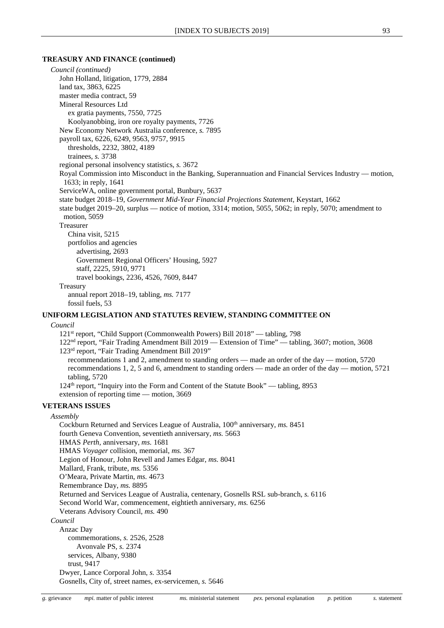#### **TREASURY AND FINANCE (continued)**

*Council (continued)* John Holland, litigation, 1779, 2884 land tax, 3863, 6225 master media contract, 59 Mineral Resources Ltd ex gratia payments, 7550, 7725 Koolyanobbing, iron ore royalty payments, 7726 New Economy Network Australia conference, *s.* 7895 payroll tax, 6226, 6249, 9563, 9757, 9915 thresholds, 2232, 3802, 4189 trainees, *s.* 3738 regional personal insolvency statistics, *s.* 3672 Royal Commission into Misconduct in the Banking, Superannuation and Financial Services Industry — motion, 1633; in reply, 1641 ServiceWA, online government portal, Bunbury, 5637 state budget 2018–19, *Government Mid-Year Financial Projections Statement,* Keystart, 1662 state budget 2019–20, surplus — notice of motion, 3314; motion, 5055, 5062; in reply, 5070; amendment to motion, 5059 Treasurer China visit, 5215 portfolios and agencies advertising, 2693 Government Regional Officers' Housing, 5927 staff, 2225, 5910, 9771 travel bookings, 2236, 4526, 7609, 8447 Treasury annual report 2018–19, tabling, *ms.* 7177 fossil fuels, 53 **UNIFORM LEGISLATION AND STATUTES REVIEW, STANDING COMMITTEE ON** *Council* 121st report, "Child Support (Commonwealth Powers) Bill 2018" — tabling, 798 122nd report, "Fair Trading Amendment Bill 2019 — Extension of Time" — tabling, 3607; motion, 3608 123rd report, "Fair Trading Amendment Bill 2019" recommendations 1 and 2, amendment to standing orders — made an order of the day — motion, 5720 recommendations 1, 2, 5 and 6, amendment to standing orders — made an order of the day — motion, 5721 tabling, 5720 124<sup>th</sup> report, "Inquiry into the Form and Content of the Statute Book" — tabling, 8953 extension of reporting time — motion, 3669 **VETERANS ISSUES** *Assembly* Cockburn Returned and Services League of Australia, 100<sup>th</sup> anniversary, *ms.* 8451 fourth Geneva Convention, seventieth anniversary, *ms.* 5663 HMAS *Perth,* anniversary, *ms.* 1681 HMAS *Voyager* collision, memorial, *ms.* 367 Legion of Honour, John Revell and James Edgar, *ms.* 8041 Mallard, Frank, tribute, *ms.* 5356 O'Meara, Private Martin, *ms.* 4673 Remembrance Day, *ms.* 8895 Returned and Services League of Australia, centenary, Gosnells RSL sub-branch, *s.* 6116 Second World War, commencement, eightieth anniversary, *ms.* 6256 Veterans Advisory Council, *ms.* 490 *Council* Anzac Day commemorations, *s.* 2526, 2528 Avonvale PS, *s.* 2374 services, Albany, 9380

Dwyer, Lance Corporal John, *s.* 3354 Gosnells, City of, street names, ex-servicemen, *s.* 5646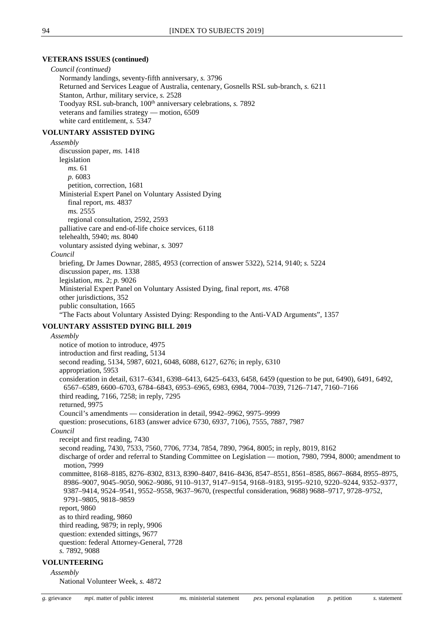#### **VETERANS ISSUES (continued)**

*Council (continued)* Normandy landings, seventy-fifth anniversary, *s.* 3796 Returned and Services League of Australia, centenary, Gosnells RSL sub-branch, *s.* 6211 Stanton, Arthur, military service, *s.* 2528 Toodyay RSL sub-branch, 100<sup>th</sup> anniversary celebrations, *s.* 7892 veterans and families strategy — motion, 6509 white card entitlement, *s.* 5347

## **VOLUNTARY ASSISTED DYING**

*Assembly* discussion paper, *ms.* 1418 legislation *ms.* 61 *p.* 6083 petition, correction, 1681 Ministerial Expert Panel on Voluntary Assisted Dying final report, *ms.* 4837 *ms.* 2555 regional consultation, 2592, 2593 palliative care and end-of-life choice services, 6118 telehealth, 5940; *ms.* 8040 voluntary assisted dying webinar, *s.* 3097 *Council* briefing, Dr James Downar, 2885, 4953 (correction of answer 5322), 5214, 9140; *s.* 5224 discussion paper, *ms.* 1338

legislation, *ms.* 2; *p.* 9026

Ministerial Expert Panel on Voluntary Assisted Dying, final report, *ms.* 4768

other jurisdictions, 352 public consultation, 1665

"The Facts about Voluntary Assisted Dying: Responding to the Anti-VAD Arguments", 1357

## **VOLUNTARY ASSISTED DYING BILL 2019**

*Assembly* notice of motion to introduce, 4975 introduction and first reading, 5134 second reading, 5134, 5987, 6021, 6048, 6088, 6127, 6276; in reply, 6310 appropriation, 5953 consideration in detail, 6317–6341, 6398–6413, 6425–6433, 6458, 6459 (question to be put, 6490), 6491, 6492, 6567–6589, 6600–6703, 6784–6843, 6953–6965, 6983, 6984, 7004–7039, 7126–7147, 7160–7166 third reading, 7166, 7258; in reply, 7295 returned, 9975 Council's amendments — consideration in detail, 9942–9962, 9975–9999 question: prosecutions, 6183 (answer advice 6730, 6937, 7106), 7555, 7887, 7987 *Council* receipt and first reading, 7430 second reading, 7430, 7533, 7560, 7706, 7734, 7854, 7890, 7964, 8005; in reply, 8019, 8162 discharge of order and referral to Standing Committee on Legislation — motion, 7980, 7994, 8000; amendment to motion, 7999 committee, 8168–8185, 8276–8302, 8313, 8390–8407, 8416–8436, 8547–8551, 8561–8585, 8667–8684, 8955–8975, 8986–9007, 9045–9050, 9062–9086, 9110–9137, 9147–9154, 9168–9183, 9195–9210, 9220–9244, 9352–9377, 9387–9414, 9524–9541, 9552–9558, 9637–9670, (respectful consideration, 9688) 9688–9717, 9728–9752, 9791–9805, 9818–9859 report, 9860 as to third reading, 9860 third reading, 9879; in reply, 9906 question: extended sittings, 9677 question: federal Attorney-General, 7728 *s.* 7892, 9088

## **VOLUNTEERING**

*Assembly*

National Volunteer Week, *s.* 4872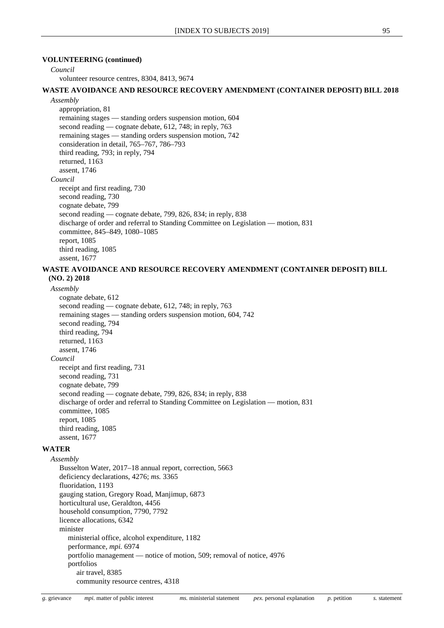#### **VOLUNTEERING (continued)**

#### *Council*

volunteer resource centres, 8304, 8413, 9674

#### **WASTE AVOIDANCE AND RESOURCE RECOVERY AMENDMENT (CONTAINER DEPOSIT) BILL 2018**

*Assembly*

appropriation, 81 remaining stages — standing orders suspension motion, 604 second reading — cognate debate, 612, 748; in reply, 763 remaining stages — standing orders suspension motion, 742 consideration in detail, 765–767, 786–793 third reading, 793; in reply, 794 returned, 1163 assent, 1746 *Council* receipt and first reading, 730 second reading, 730 cognate debate, 799 second reading — cognate debate, 799, 826, 834; in reply, 838 discharge of order and referral to Standing Committee on Legislation — motion, 831 committee, 845–849, 1080–1085 report, 1085 third reading, 1085 assent, 1677

## **WASTE AVOIDANCE AND RESOURCE RECOVERY AMENDMENT (CONTAINER DEPOSIT) BILL (NO. 2) 2018**

*Assembly*

```
cognate debate, 612
  second reading — cognate debate, 612, 748; in reply, 763
  remaining stages — standing orders suspension motion, 604, 742
  second reading, 794
  third reading, 794
  returned, 1163
  assent, 1746
Council
  receipt and first reading, 731
  second reading, 731
  cognate debate, 799
  second reading — cognate debate, 799, 826, 834; in reply, 838
  discharge of order and referral to Standing Committee on Legislation — motion, 831
  committee, 1085
  report, 1085
  third reading, 1085
  assent, 1677
```
## **WATER**

*Assembly* Busselton Water, 2017–18 annual report, correction, 5663 deficiency declarations, 4276; *ms.* 3365 fluoridation, 1193 gauging station, Gregory Road, Manjimup, 6873 horticultural use, Geraldton, 4456 household consumption, 7790, 7792 licence allocations, 6342 minister ministerial office, alcohol expenditure, 1182 performance, *mpi.* 6974 portfolio management — notice of motion, 509; removal of notice, 4976 portfolios air travel, 8385 community resource centres, 4318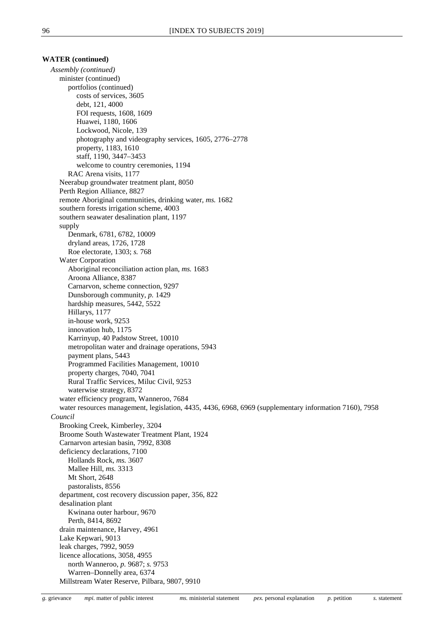#### **WATER (continued)**

*Assembly (continued)* minister (continued) portfolios (continued) costs of services, 3605 debt, 121, 4000 FOI requests, 1608, 1609 Huawei, 1180, 1606 Lockwood, Nicole, 139 photography and videography services, 1605, 2776–2778 property, 1183, 1610 staff, 1190, 3447–3453 welcome to country ceremonies, 1194 RAC Arena visits, 1177 Neerabup groundwater treatment plant, 8050 Perth Region Alliance, 8827 remote Aboriginal communities, drinking water, *ms.* 1682 southern forests irrigation scheme, 4003 southern seawater desalination plant, 1197 supply Denmark, 6781, 6782, 10009 dryland areas, 1726, 1728 Roe electorate, 1303; *s.* 768 Water Corporation Aboriginal reconciliation action plan, *ms.* 1683 Aroona Alliance, 8387 Carnarvon, scheme connection, 9297 Dunsborough community, *p.* 1429 hardship measures, 5442, 5522 Hillarys, 1177 in-house work, 9253 innovation hub, 1175 Karrinyup, 40 Padstow Street, 10010 metropolitan water and drainage operations, 5943 payment plans, 5443 Programmed Facilities Management, 10010 property charges, 7040, 7041 Rural Traffic Services, Miluc Civil, 9253 waterwise strategy, 8372 water efficiency program, Wanneroo, 7684 water resources management, legislation, 4435, 4436, 6968, 6969 (supplementary information 7160), 7958 *Council* Brooking Creek, Kimberley, 3204 Broome South Wastewater Treatment Plant, 1924 Carnarvon artesian basin, 7992, 8308 deficiency declarations, 7100 Hollands Rock, *ms.* 3607 Mallee Hill, *ms.* 3313 Mt Short, 2648 pastoralists, 8556 department, cost recovery discussion paper, 356, 822 desalination plant Kwinana outer harbour, 9670 Perth, 8414, 8692 drain maintenance, Harvey, 4961 Lake Kepwari, 9013 leak charges, 7992, 9059 licence allocations, 3058, 4955 north Wanneroo, *p.* 9687; *s.* 9753 Warren–Donnelly area, 6374 Millstream Water Reserve, Pilbara, 9807, 9910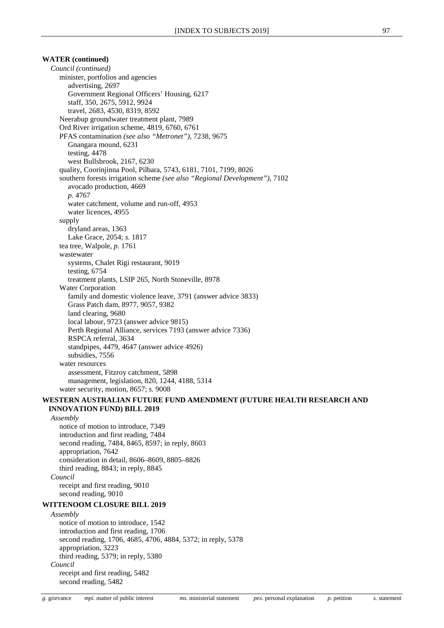## **WATER (continued)**

*Council (continued)* minister, portfolios and agencies advertising, 2697 Government Regional Officers' Housing, 6217 staff, 350, 2675, 5912, 9924 travel, 2683, 4530, 8319, 8592 Neerabup groundwater treatment plant, 7989 Ord River irrigation scheme, 4819, 6760, 6761 PFAS contamination *(see also "Metronet")*, 7238, 9675 Gnangara mound, 6231 testing, 4478 west Bullsbrook, 2167, 6230 quality, Coorinjinna Pool, Pilbara, 5743, 6181, 7101, 7199, 8026 southern forests irrigation scheme *(see also "Regional Development")*, 7102 avocado production, 4669 *p.* 4767 water catchment, volume and run-off, 4953 water licences, 4955 supply dryland areas, 1363 Lake Grace, 2054; *s.* 1817 tea tree, Walpole, *p.* 1761 wastewater systems, Chalet Rigi restaurant, 9019 testing, 6754 treatment plants, LSIP 265, North Stoneville, 8978 Water Corporation family and domestic violence leave, 3791 (answer advice 3833) Grass Patch dam, 8977, 9057, 9382 land clearing, 9680 local labour, 9723 (answer advice 9815) Perth Regional Alliance, services 7193 (answer advice 7336) RSPCA referral, 3634 standpipes, 4479, 4647 (answer advice 4926) subsidies, 7556 water resources assessment, Fitzroy catchment, 5898 management, legislation, 820, 1244, 4188, 5314 water security, motion, 8657; *s.* 9008 **WESTERN AUSTRALIAN FUTURE FUND AMENDMENT (FUTURE HEALTH RESEARCH AND INNOVATION FUND) BILL 2019** *Assembly* notice of motion to introduce, 7349 introduction and first reading, 7484 second reading, 7484, 8465, 8597; in reply, 8603 appropriation, 7642 consideration in detail, 8606–8609, 8805–8826 third reading, 8843; in reply, 8845 *Council* receipt and first reading, 9010 second reading, 9010 **WITTENOOM CLOSURE BILL 2019** *Assembly* notice of motion to introduce, 1542 introduction and first reading, 1706 second reading, 1706, 4685, 4706, 4884, 5372; in reply, 5378 appropriation, 3223 third reading, 5379; in reply, 5380 *Council* receipt and first reading, 5482 second reading, 5482